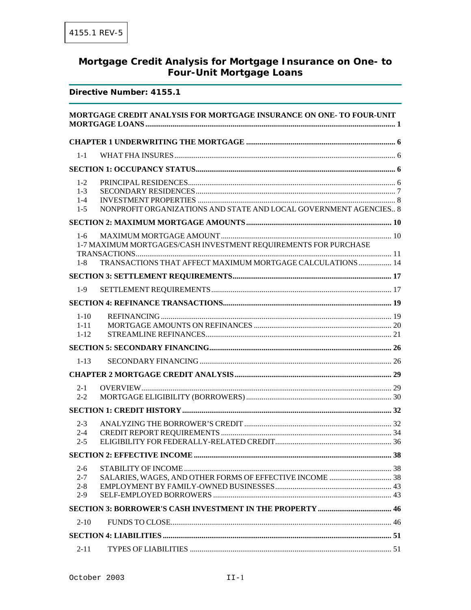# Mortgage Credit Analysis for Mortgage Insurance on One- to **Four-Unit Mortgage Loans**

#### Directive Number: 4155.1

|          | MORTGAGE CREDIT ANALYSIS FOR MORTGAGE INSURANCE ON ONE- TO FOUR-UNIT |  |
|----------|----------------------------------------------------------------------|--|
|          |                                                                      |  |
| $1 - 1$  |                                                                      |  |
|          |                                                                      |  |
| $1 - 2$  |                                                                      |  |
| $1 - 3$  |                                                                      |  |
| $1 - 4$  |                                                                      |  |
| $1-5$    | NONPROFIT ORGANIZATIONS AND STATE AND LOCAL GOVERNMENT AGENCIES 8    |  |
|          |                                                                      |  |
| $1-6$    |                                                                      |  |
|          | 1-7 MAXIMUM MORTGAGES/CASH INVESTMENT REQUIREMENTS FOR PURCHASE      |  |
| $1 - 8$  | TRANSACTIONS THAT AFFECT MAXIMUM MORTGAGE CALCULATIONS  14           |  |
|          |                                                                      |  |
| $1-9$    |                                                                      |  |
|          |                                                                      |  |
| $1-10$   |                                                                      |  |
| $1 - 11$ |                                                                      |  |
| $1 - 12$ |                                                                      |  |
|          |                                                                      |  |
| $1-13$   |                                                                      |  |
|          |                                                                      |  |
| $2 - 1$  |                                                                      |  |
| $2 - 2$  |                                                                      |  |
|          |                                                                      |  |
| $2 - 3$  |                                                                      |  |
| $2 - 4$  |                                                                      |  |
| $2 - 5$  |                                                                      |  |
|          |                                                                      |  |
| $2 - 6$  |                                                                      |  |
| $2 - 7$  |                                                                      |  |
| $2 - 8$  |                                                                      |  |
| $2-9$    |                                                                      |  |
|          |                                                                      |  |
| $2 - 10$ |                                                                      |  |
|          |                                                                      |  |
| $2 - 11$ |                                                                      |  |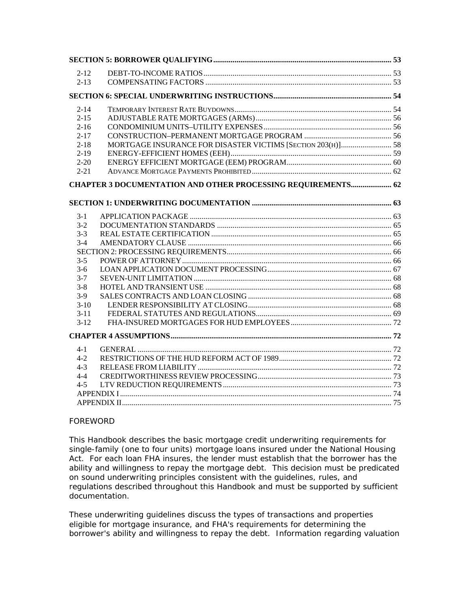| $2 - 12$ |                                                                     |  |
|----------|---------------------------------------------------------------------|--|
| $2 - 13$ |                                                                     |  |
|          |                                                                     |  |
| $2 - 14$ |                                                                     |  |
| $2 - 15$ |                                                                     |  |
| $2 - 16$ |                                                                     |  |
| $2 - 17$ |                                                                     |  |
| $2 - 18$ | MORTGAGE INSURANCE FOR DISASTER VICTIMS [SECTION 203(H)] 58         |  |
| $2 - 19$ |                                                                     |  |
| $2 - 20$ |                                                                     |  |
| $2 - 21$ |                                                                     |  |
|          | <b>CHAPTER 3 DOCUMENTATION AND OTHER PROCESSING REQUIREMENTS 62</b> |  |
|          |                                                                     |  |
| $3-1$    |                                                                     |  |
| $3-2$    |                                                                     |  |
| $3-3$    |                                                                     |  |
| $3-4$    |                                                                     |  |
|          |                                                                     |  |
| $3 - 5$  |                                                                     |  |
| $3-6$    |                                                                     |  |
| $3 - 7$  |                                                                     |  |
| $3 - 8$  |                                                                     |  |
| $3-9$    |                                                                     |  |
| $3-10$   |                                                                     |  |
| $3 - 11$ |                                                                     |  |
| $3-12$   |                                                                     |  |
|          |                                                                     |  |
| 4-1      |                                                                     |  |
| $4-2$    |                                                                     |  |
| $4 - 3$  |                                                                     |  |
| $4 - 4$  |                                                                     |  |
| $4 - 5$  |                                                                     |  |
|          |                                                                     |  |
|          |                                                                     |  |

#### FOREWORD

This Handbook describes the basic mortgage credit underwriting requirements for single-family (one to four units) mortgage loans insured under the National Housing Act. For each loan FHA insures, the lender must establish that the borrower has the ability and willingness to repay the mortgage debt. This decision must be predicated on sound underwriting principles consistent with the guidelines, rules, and regulations described throughout this Handbook and must be supported by sufficient documentation.

These underwriting guidelines discuss the types of transactions and properties eligible for mortgage insurance, and FHA's requirements for determining the borrower's ability and willingness to repay the debt. Information regarding valuation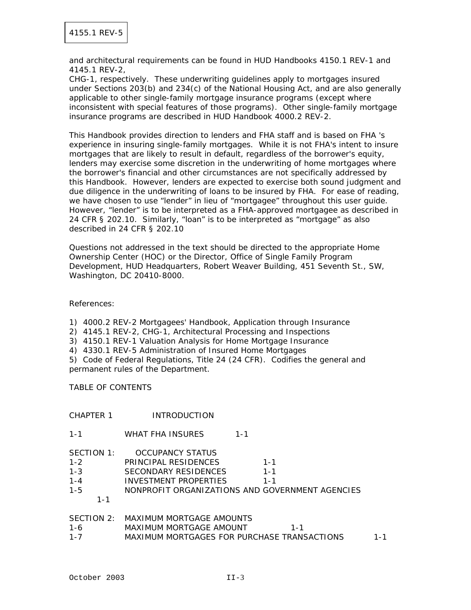and architectural requirements can be found in HUD Handbooks 4150.1 REV-1 and 4145.1 REV-2,

CHG-1, respectively. These underwriting guidelines apply to mortgages insured under Sections 203(b) and 234(c) of the National Housing Act, and are also generally applicable to other single-family mortgage insurance programs (except where inconsistent with special features of those programs). Other single-family mortgage insurance programs are described in HUD Handbook 4000.2 REV-2.

This Handbook provides direction to lenders and FHA staff and is based on FHA 's experience in insuring single-family mortgages. While it is not FHA's intent to insure mortgages that are likely to result in default, regardless of the borrower's equity, lenders may exercise some discretion in the underwriting of home mortgages where the borrower's financial and other circumstances are not specifically addressed by this Handbook. However, lenders are expected to exercise both sound judgment and due diligence in the underwriting of loans to be insured by FHA. For ease of reading, we have chosen to use "lender" in lieu of "mortgagee" throughout this user guide. However, "lender" is to be interpreted as a FHA-approved mortgagee as described in 24 CFR § 202.10. Similarly, "loan" is to be interpreted as "mortgage" as also described in 24 CFR § 202.10

Questions not addressed in the text should be directed to the appropriate Home Ownership Center (HOC) or the Director, Office of Single Family Program Development, HUD Headquarters, Robert Weaver Building, 451 Seventh St., SW, Washington, DC 20410-8000.

References:

1) 4000.2 REV-2 Mortgagees' Handbook, Application through Insurance

2) 4145.1 REV-2, CHG-1, Architectural Processing and Inspections

3) 4150.1 REV-1 Valuation Analysis for Home Mortgage Insurance

4) 4330.1 REV-5 Administration of Insured Home Mortgages

5) Code of Federal Regulations, Title 24 (24 CFR). Codifies the general and permanent rules of the Department.

TABLE OF CONTENTS

#### CHAPTER 1 INTRODUCTION

1-1 WHAT FHA INSURES 1-1

| SECTION 1: | OCCUPANCY STATUS                                |         |
|------------|-------------------------------------------------|---------|
| $1 - 2$    | PRINCIPAL RESIDENCES                            | $1 - 1$ |
| $1 - 3$    | SECONDARY RESIDENCES                            | $1 - 1$ |
| $1 - 4$    | INVESTMENT PROPERTIFS                           | $1 - 1$ |
| $1 - 5$    | NONPROFIT ORGANIZATIONS AND GOVERNMENT AGENCIES |         |
| $1 - 1$    |                                                 |         |
|            |                                                 |         |
|            | SECTION 2: MAXIMUM MORTGAGE AMOUNTS             |         |

| 1-6     | MAXIMUM MORTGAGE AMOUNT                     |  |
|---------|---------------------------------------------|--|
| $1 - 7$ | MAXIMUM MORTGAGES FOR PURCHASE TRANSACTIONS |  |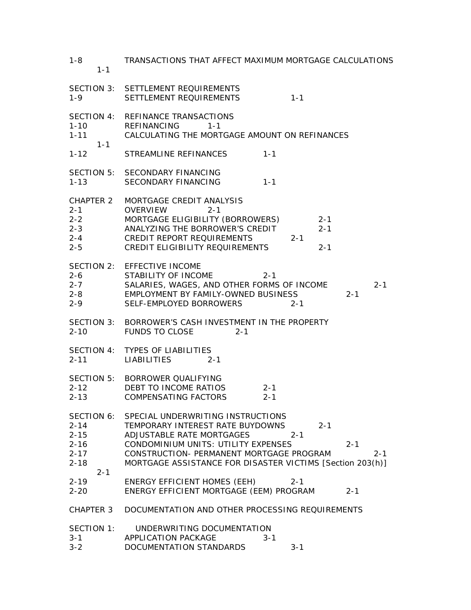| $1 - 8$<br>$1 - 1$                                                                | TRANSACTIONS THAT AFFECT MAXIMUM MORTGAGE CALCULATIONS                                                                                                                                                                                                                                         |
|-----------------------------------------------------------------------------------|------------------------------------------------------------------------------------------------------------------------------------------------------------------------------------------------------------------------------------------------------------------------------------------------|
| $1 - 9$                                                                           | SECTION 3: SETTLEMENT REQUIREMENTS<br>SETTLEMENT REQUIREMENTS<br>$1 - 1$                                                                                                                                                                                                                       |
| SECTION 4:<br>$1 - 10$<br>$1 - 11$<br>$1 - 1$                                     | REFINANCE TRANSACTIONS<br><b>REFINANCING</b><br>$1 - 1$<br>CALCULATING THE MORTGAGE AMOUNT ON REFINANCES                                                                                                                                                                                       |
| $1 - 12$                                                                          | STREAMLINE REFINANCES<br>$1 - 1$                                                                                                                                                                                                                                                               |
| $1 - 13$                                                                          | SECTION 5: SECONDARY FINANCING<br>SECONDARY FINANCING<br>$1 - 1$                                                                                                                                                                                                                               |
| $2 - 1$<br>$2-2$<br>$2 - 3$<br>$2 - 4$<br>$2 - 5$                                 | CHAPTER 2 MORTGAGE CREDIT ANALYSIS<br><b>OVERVIEW</b><br>$2 - 1$<br>MORTGAGE ELIGIBILITY (BORROWERS)<br>$2 - 1$<br>ANALYZING THE BORROWER'S CREDIT<br>$2 - 1$<br>CREDIT REPORT REQUIREMENTS<br>$2 - 1$<br>CREDIT ELIGIBILITY REQUIREMENTS<br>$2 - 1$                                           |
| $2 - 6$<br>$2 - 7$<br>$2 - 8$<br>$2 - 9$                                          | SECTION 2: EFFECTIVE INCOME<br>STABILITY OF INCOME<br>$2 - 1$<br>SALARIES, WAGES, AND OTHER FORMS OF INCOME<br>$2 - 1$<br>EMPLOYMENT BY FAMILY-OWNED BUSINESS<br>$2 - 1$<br>SELF-EMPLOYED BORROWERS<br>$2 - 1$                                                                                 |
|                                                                                   | SECTION 3: BORROWER'S CASH INVESTMENT IN THE PROPERTY<br>2-10 FUNDS TO CLOSE<br>$2 - 1$                                                                                                                                                                                                        |
| $2 - 11$                                                                          | SECTION 4: TYPES OF LIABILITIES<br>LIABILITIES<br>$2 - 1$                                                                                                                                                                                                                                      |
| $2 - 12$<br>$2 - 13$                                                              | SECTION 5: BORROWER QUALIFYING<br>DEBT TO INCOME RATIOS<br>$2 - 1$<br><b>COMPENSATING FACTORS</b><br>$2 - 1$                                                                                                                                                                                   |
| SECTION 6:<br>$2 - 14$<br>$2 - 15$<br>$2 - 16$<br>$2 - 17$<br>$2 - 18$<br>$2 - 1$ | SPECIAL UNDERWRITING INSTRUCTIONS<br>TEMPORARY INTEREST RATE BUYDOWNS<br>$2 - 1$<br>ADJUSTABLE RATE MORTGAGES<br>$2 - 1$<br>CONDOMINIUM UNITS: UTILITY EXPENSES<br>$2 - 1$<br>CONSTRUCTION- PERMANENT MORTGAGE PROGRAM<br>$2 - 1$<br>MORTGAGE ASSISTANCE FOR DISASTER VICTIMS [Section 203(h)] |
| $2 - 19$<br>$2 - 20$                                                              | <b>ENERGY EFFICIENT HOMES (EEH)</b><br>$2 - 1$<br>ENERGY EFFICIENT MORTGAGE (EEM) PROGRAM<br>$2 - 1$                                                                                                                                                                                           |
| CHAPTER 3                                                                         | DOCUMENTATION AND OTHER PROCESSING REQUIREMENTS                                                                                                                                                                                                                                                |
| SECTION 1:<br>$3 - 1$<br>$3 - 2$                                                  | UNDERWRITING DOCUMENTATION<br>APPLICATION PACKAGE<br>$3 - 1$<br>DOCUMENTATION STANDARDS<br>$3 - 1$                                                                                                                                                                                             |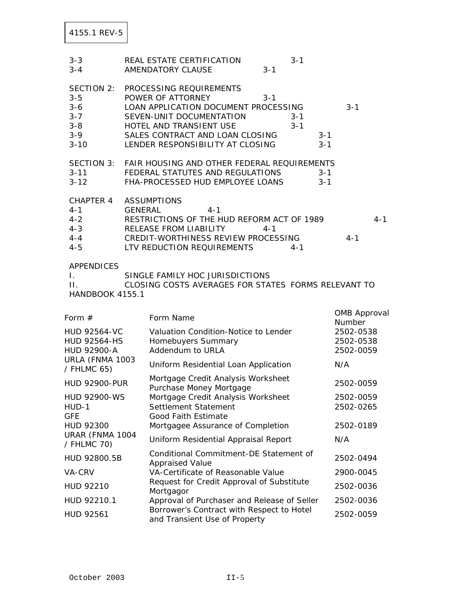| $3 - 3$<br>$3 - 4$                                                            |         | REAL ESTATE CERTIFICATION<br>$3 - 1$<br>AMENDATORY CLAUSE<br>$3 - 1$                                                                                                                                                                                |                                     |
|-------------------------------------------------------------------------------|---------|-----------------------------------------------------------------------------------------------------------------------------------------------------------------------------------------------------------------------------------------------------|-------------------------------------|
| SECTION 2:<br>$3 - 5$<br>$3 - 6$<br>$3 - 7$<br>$3 - 8$<br>$3 - 9$<br>$3 - 10$ |         | PROCESSING REQUIREMENTS<br>POWER OF ATTORNEY<br>$3 - 1$<br>LOAN APPLICATION DOCUMENT PROCESSING<br>SEVEN-UNIT DOCUMENTATION<br>$3 - 1$<br>HOTEL AND TRANSIENT USE<br>$3 - 1$<br>SALES CONTRACT AND LOAN CLOSING<br>LENDER RESPONSIBILITY AT CLOSING | $3 - 1$<br>$3 - 1$<br>$3 - 1$       |
| <b>SECTION 3:</b><br>$3 - 11$<br>$3 - 12$                                     |         | FAIR HOUSING AND OTHER FEDERAL REQUIREMENTS<br>FEDERAL STATUTES AND REGULATIONS<br>FHA-PROCESSED HUD EMPLOYEE LOANS                                                                                                                                 | $3 - 1$<br>$3 - 1$                  |
| CHAPTER 4<br>$4 - 1$<br>$4 - 2$<br>$4 - 3$<br>$4 - 4$<br>$4 - 5$              | GENERAL | <b>ASSUMPTIONS</b><br>$4 - 1$<br>RESTRICTIONS OF THE HUD REFORM ACT OF 1989<br>RELEASE FROM LIABILITY<br>$4 - 1$<br>CREDIT-WORTHINESS REVIEW PROCESSING<br>LTV REDUCTION REQUIREMENTS<br>$4 - 1$                                                    | $4 - 1$<br>$4 - 1$                  |
| <b>APPENDICES</b><br>Τ.<br>П.<br><b>HANDBOOK 4155.1</b>                       |         | SINGLE FAMILY HOC JURISDICTIONS<br>CLOSING COSTS AVERAGES FOR STATES FORMS RELEVANT TO                                                                                                                                                              |                                     |
| Form $#$                                                                      |         | Form Name                                                                                                                                                                                                                                           | <b>OMB Approval</b><br>Number       |
| <b>HUD 92564-VC</b><br><b>HUD 92564-HS</b><br>HUD 92900-A                     |         | Valuation Condition-Notice to Lender<br>Homebuyers Summary<br>Addendum to URLA                                                                                                                                                                      | 2502-0538<br>2502-0538<br>2502-0059 |
| URLA (FNMA 1003<br>/ FHLMC 65)                                                |         | Uniform Residential Loan Application                                                                                                                                                                                                                | N/A                                 |
| <b>HUD 92900-PUR</b>                                                          |         | Mortgage Credit Analysis Worksheet<br>Purchase Money Mortgage                                                                                                                                                                                       | 2502-0059                           |
| HUD 92900-WS<br>HUD-1<br><b>GFE</b>                                           |         | Mortgage Credit Analysis Worksheet<br>Settlement Statement<br>Good Faith Estimate                                                                                                                                                                   | 2502-0059<br>2502-0265              |
| HUD 92300<br>URAR (FNMA 1004                                                  |         | Mortgagee Assurance of Completion<br>Uniform Residential Appraisal Report                                                                                                                                                                           | 2502-0189<br>N/A                    |
| / FHLMC 70)                                                                   |         | Conditional Commitment-DE Statement of                                                                                                                                                                                                              |                                     |
| HUD 92800.5B                                                                  |         | <b>Appraised Value</b>                                                                                                                                                                                                                              | 2502-0494                           |
| VA-CRV<br>HUD 92210                                                           |         | VA-Certificate of Reasonable Value<br>Request for Credit Approval of Substitute                                                                                                                                                                     | 2900-0045<br>2502-0036              |
| HUD 92210.1                                                                   |         | Mortgagor<br>Approval of Purchaser and Release of Seller                                                                                                                                                                                            | 2502-0036                           |
| HUD 92561                                                                     |         | Borrower's Contract with Respect to Hotel<br>and Transient Use of Property                                                                                                                                                                          | 2502-0059                           |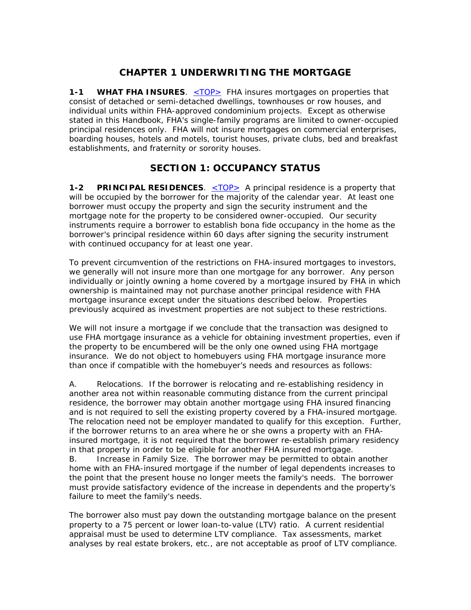## **CHAPTER 1 UNDERWRITING THE MORTGAGE**

**1-1 WHAT FHA INSURES.** <u><TOP></u> FHA insures mortgages on properties that consist of detached or semi-detached dwellings, townhouses or row houses, and individual units within FHA-approved condominium projects. Except as otherwise stated in this Handbook, FHA's single-family programs are limited to owner-occupied principal residences only. FHA will not insure mortgages on commercial enterprises, boarding houses, hotels and motels, tourist houses, private clubs, bed and breakfast establishments, and fraternity or sorority houses.

## **SECTION 1: OCCUPANCY STATUS**

**1-2 PRINCIPAL RESIDENCES.** <TOP> A principal residence is a property that will be occupied by the borrower for the majority of the calendar year. At least one borrower must occupy the property and sign the security instrument and the mortgage note for the property to be considered owner-occupied. Our security instruments require a borrower to establish bona fide occupancy in the home as the borrower's principal residence within 60 days after signing the security instrument with continued occupancy for at least one year.

To prevent circumvention of the restrictions on FHA-insured mortgages to investors, we generally will not insure more than one mortgage for any borrower. Any person individually or jointly owning a home covered by a mortgage insured by FHA in which ownership is maintained may not purchase another principal residence with FHA mortgage insurance except under the situations described below. Properties previously acquired as investment properties are not subject to these restrictions.

We will not insure a mortgage if we conclude that the transaction was designed to use FHA mortgage insurance as a vehicle for obtaining investment properties, even if the property to be encumbered will be the only one owned using FHA mortgage insurance. We do not object to homebuyers using FHA mortgage insurance more than once if compatible with the homebuyer's needs and resources as follows:

A. Relocations. If the borrower is relocating and re-establishing residency in another area not within reasonable commuting distance from the current principal residence, the borrower may obtain another mortgage using FHA insured financing and is not required to sell the existing property covered by a FHA-insured mortgage. The relocation need not be employer mandated to qualify for this exception. Further, if the borrower returns to an area where he or she owns a property with an FHAinsured mortgage, it is not required that the borrower re-establish primary residency in that property in order to be eligible for another FHA insured mortgage. B. Increase in Family Size. The borrower may be permitted to obtain another home with an FHA-insured mortgage if the number of legal dependents increases to the point that the present house no longer meets the family's needs. The borrower

The borrower also must pay down the outstanding mortgage balance on the present property to a 75 percent or lower loan-to-value (LTV) ratio. A current residential appraisal must be used to determine LTV compliance. Tax assessments, market analyses by real estate brokers, etc., are not acceptable as proof of LTV compliance.

must provide satisfactory evidence of the increase in dependents and the property's

failure to meet the family's needs.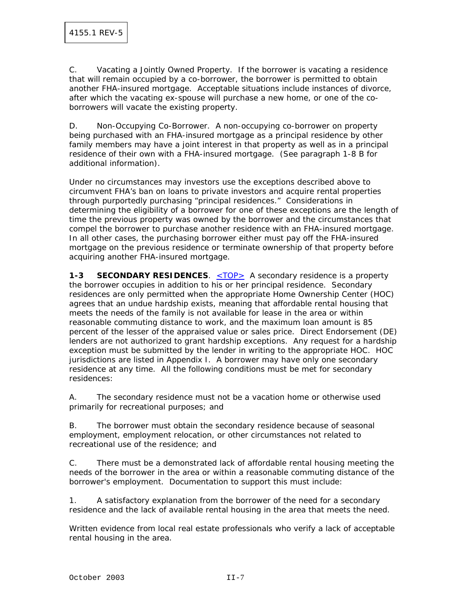C. Vacating a Jointly Owned Property. If the borrower is vacating a residence that will remain occupied by a co-borrower, the borrower is permitted to obtain another FHA-insured mortgage. Acceptable situations include instances of divorce, after which the vacating ex-spouse will purchase a new home, or one of the coborrowers will vacate the existing property.

D. Non-Occupying Co-Borrower. A non-occupying co-borrower on property being purchased with an FHA-insured mortgage as a principal residence by other family members may have a joint interest in that property as well as in a principal residence of their own with a FHA-insured mortgage. (See paragraph 1-8 B for additional information).

Under no circumstances may investors use the exceptions described above to circumvent FHA's ban on loans to private investors and acquire rental properties through purportedly purchasing "principal residences." Considerations in determining the eligibility of a borrower for one of these exceptions are the length of time the previous property was owned by the borrower and the circumstances that compel the borrower to purchase another residence with an FHA-insured mortgage. In all other cases, the purchasing borrower either must pay off the FHA-insured mortgage on the previous residence or terminate ownership of that property before acquiring another FHA-insured mortgage.

**1-3 SECONDARY RESIDENCES.** <TOP> A secondary residence is a property the borrower occupies in addition to his or her principal residence. Secondary residences are only permitted when the appropriate Home Ownership Center (HOC) agrees that an undue hardship exists, meaning that affordable rental housing that meets the needs of the family is not available for lease in the area or within reasonable commuting distance to work, and the maximum loan amount is 85 percent of the lesser of the appraised value or sales price. Direct Endorsement (DE) lenders are not authorized to grant hardship exceptions. Any request for a hardship exception must be submitted by the lender in writing to the appropriate HOC. HOC jurisdictions are listed in Appendix I. A borrower may have only one secondary residence at any time. All the following conditions must be met for secondary residences:

A. The secondary residence must not be a vacation home or otherwise used primarily for recreational purposes; and

B. The borrower must obtain the secondary residence because of seasonal employment, employment relocation, or other circumstances not related to recreational use of the residence; and

C. There must be a demonstrated lack of affordable rental housing meeting the needs of the borrower in the area or within a reasonable commuting distance of the borrower's employment. Documentation to support this must include:

1. A satisfactory explanation from the borrower of the need for a secondary residence and the lack of available rental housing in the area that meets the need.

Written evidence from local real estate professionals who verify a lack of acceptable rental housing in the area.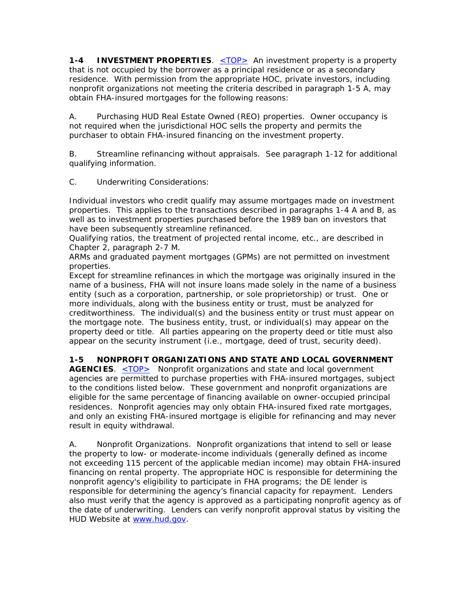**1-4 INVESTMENT PROPERTIES**. <TOP> An investment property is a property that is not occupied by the borrower as a principal residence or as a secondary residence. With permission from the appropriate HOC, private investors, including nonprofit organizations not meeting the criteria described in paragraph 1-5 A, may obtain FHA-insured mortgages for the following reasons:

A. Purchasing HUD Real Estate Owned (REO) properties. Owner occupancy is not required when the jurisdictional HOC sells the property and permits the purchaser to obtain FHA-insured financing on the investment property.

B. Streamline refinancing without appraisals. See paragraph 1-12 for additional qualifying information.

C. Underwriting Considerations:

Individual investors who credit qualify may assume mortgages made on investment properties. This applies to the transactions described in paragraphs 1-4 A and B, as well as to investment properties purchased before the 1989 ban on investors that have been subsequently streamline refinanced.

Qualifying ratios, the treatment of projected rental income, etc., are described in Chapter 2, paragraph 2-7 M.

ARMs and graduated payment mortgages (GPMs) are not permitted on investment properties.

Except for streamline refinances in which the mortgage was originally insured in the name of a business, FHA will not insure loans made solely in the name of a business entity (such as a corporation, partnership, or sole proprietorship) or trust. One or more individuals, along with the business entity or trust, must be analyzed for creditworthiness. The individual(s) and the business entity or trust must appear on the mortgage note. The business entity, trust, or individual(s) may appear on the property deed or title. All parties appearing on the property deed or title must also appear on the security instrument (i.e., mortgage, deed of trust, security deed).

### **1-5 NONPROFIT ORGANIZATIONS AND STATE AND LOCAL GOVERNMENT**

**AGENCIES**. <TOP> Nonprofit organizations and state and local government agencies are permitted to purchase properties with FHA-insured mortgages, subject to the conditions listed below. These government and nonprofit organizations are eligible for the same percentage of financing available on owner-occupied principal residences. Nonprofit agencies may only obtain FHA-insured fixed rate mortgages, and only an existing FHA-insured mortgage is eligible for refinancing and may never result in equity withdrawal.

A. Nonprofit Organizations. Nonprofit organizations that intend to sell or lease the property to low- or moderate-income individuals (generally defined as income not exceeding 115 percent of the applicable median income) may obtain FHA-insured financing on rental property. The appropriate HOC is responsible for determining the nonprofit agency's eligibility to participate in FHA programs; the DE lender is responsible for determining the agency's financial capacity for repayment. Lenders also must verify that the agency is approved as a participating nonprofit agency as of the date of underwriting. Lenders can verify nonprofit approval status by visiting the HUD Website at www.hud.gov.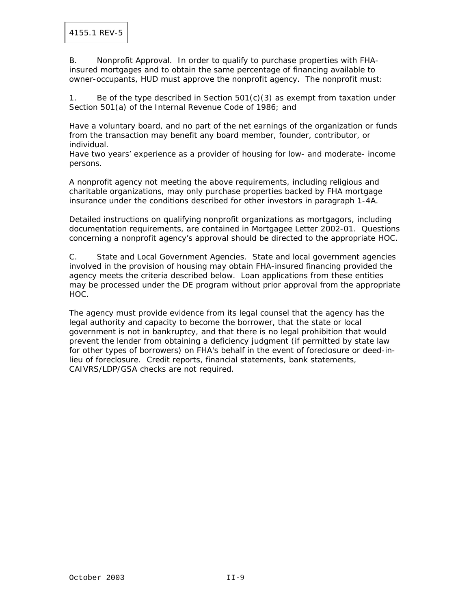B. Nonprofit Approval. In order to qualify to purchase properties with FHAinsured mortgages and to obtain the same percentage of financing available to owner-occupants, HUD must approve the nonprofit agency. The nonprofit must:

1. Be of the type described in Section  $501(c)(3)$  as exempt from taxation under Section 501(a) of the Internal Revenue Code of 1986; and

Have a voluntary board, and no part of the net earnings of the organization or funds from the transaction may benefit any board member, founder, contributor, or individual.

Have two years' experience as a provider of housing for low- and moderate- income persons.

A nonprofit agency not meeting the above requirements, including religious and charitable organizations, may only purchase properties backed by FHA mortgage insurance under the conditions described for other investors in paragraph 1-4A.

Detailed instructions on qualifying nonprofit organizations as mortgagors, including documentation requirements, are contained in Mortgagee Letter 2002-01. Questions concerning a nonprofit agency's approval should be directed to the appropriate HOC.

C. State and Local Government Agencies. State and local government agencies involved in the provision of housing may obtain FHA-insured financing provided the agency meets the criteria described below. Loan applications from these entities may be processed under the DE program without prior approval from the appropriate HOC.

The agency must provide evidence from its legal counsel that the agency has the legal authority and capacity to become the borrower, that the state or local government is not in bankruptcy, and that there is no legal prohibition that would prevent the lender from obtaining a deficiency judgment (if permitted by state law for other types of borrowers) on FHA's behalf in the event of foreclosure or deed-inlieu of foreclosure. Credit reports, financial statements, bank statements, CAIVRS/LDP/GSA checks are not required.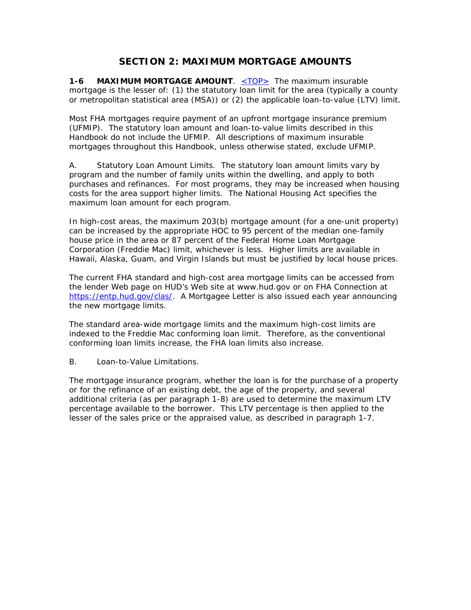# **SECTION 2: MAXIMUM MORTGAGE AMOUNTS**

**1-6 MAXIMUM MORTGAGE AMOUNT.** <TOP> The maximum insurable mortgage is the lesser of: (1) the statutory loan limit for the area (typically a county or metropolitan statistical area (MSA)) or (2) the applicable loan-to-value (LTV) limit.

Most FHA mortgages require payment of an upfront mortgage insurance premium (UFMIP). The statutory loan amount and loan-to-value limits described in this Handbook do not include the UFMIP. All descriptions of maximum insurable mortgages throughout this Handbook, unless otherwise stated, exclude UFMIP.

A. Statutory Loan Amount Limits. The statutory loan amount limits vary by program and the number of family units within the dwelling, and apply to both purchases and refinances. For most programs, they may be increased when housing costs for the area support higher limits. The National Housing Act specifies the maximum loan amount for each program.

In high-cost areas, the maximum 203(b) mortgage amount (for a one-unit property) can be increased by the appropriate HOC to 95 percent of the median one-family house price in the area or 87 percent of the Federal Home Loan Mortgage Corporation (Freddie Mac) limit, whichever is less. Higher limits are available in Hawaii, Alaska, Guam, and Virgin Islands but must be justified by local house prices.

The current FHA standard and high-cost area mortgage limits can be accessed from the lender Web page on HUD's Web site at www.hud.gov or on FHA Connection at https://entp.hud.gov/clas/. A Mortgagee Letter is also issued each year announcing the new mortgage limits.

The standard area-wide mortgage limits and the maximum high-cost limits are indexed to the Freddie Mac conforming loan limit. Therefore, as the conventional conforming loan limits increase, the FHA loan limits also increase.

B. Loan-to-Value Limitations.

The mortgage insurance program, whether the loan is for the purchase of a property or for the refinance of an existing debt, the age of the property, and several additional criteria (as per paragraph 1-8) are used to determine the maximum LTV percentage available to the borrower. This LTV percentage is then applied to the lesser of the sales price or the appraised value, as described in paragraph 1-7.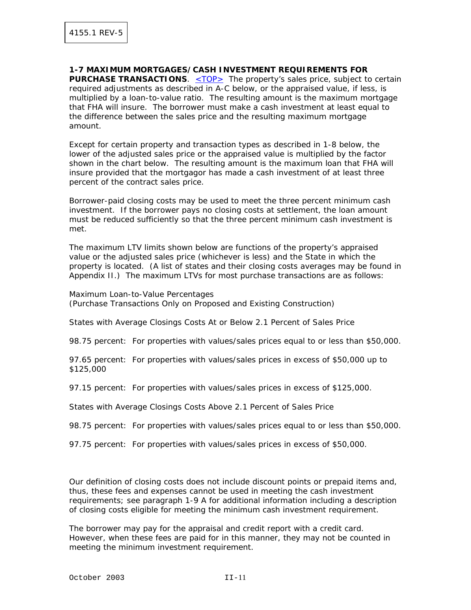**1-7 MAXIMUM MORTGAGES/CASH INVESTMENT REQUIREMENTS FOR PURCHASE TRANSACTIONS.** <TOP> The property's sales price, subject to certain required adjustments as described in A-C below, or the appraised value, if less, is multiplied by a loan-to-value ratio. The resulting amount is the maximum mortgage that FHA will insure. The borrower must make a cash investment at least equal to the difference between the sales price and the resulting maximum mortgage amount.

Except for certain property and transaction types as described in 1-8 below, the lower of the adjusted sales price or the appraised value is multiplied by the factor shown in the chart below. The resulting amount is the maximum loan that FHA will insure provided that the mortgagor has made a cash investment of at least three percent of the contract sales price.

Borrower-paid closing costs may be used to meet the three percent minimum cash investment. If the borrower pays no closing costs at settlement, the loan amount must be reduced sufficiently so that the three percent minimum cash investment is met.

The maximum LTV limits shown below are functions of the property's appraised value or the adjusted sales price (whichever is less) and the State in which the property is located. (A list of states and their closing costs averages may be found in Appendix II.) The maximum LTVs for most purchase transactions are as follows:

Maximum Loan-to-Value Percentages (Purchase Transactions Only on Proposed and Existing Construction)

States with Average Closings Costs At or Below 2.1 Percent of Sales Price

98.75 percent: For properties with values/sales prices equal to or less than \$50,000.

97.65 percent: For properties with values/sales prices in excess of \$50,000 up to \$125,000

97.15 percent: For properties with values/sales prices in excess of \$125,000.

States with Average Closings Costs Above 2.1 Percent of Sales Price

98.75 percent: For properties with values/sales prices equal to or less than \$50,000.

97.75 percent: For properties with values/sales prices in excess of \$50,000.

Our definition of closing costs does not include discount points or prepaid items and, thus, these fees and expenses cannot be used in meeting the cash investment requirements; see paragraph 1-9 A for additional information including a description of closing costs eligible for meeting the minimum cash investment requirement.

The borrower may pay for the appraisal and credit report with a credit card. However, when these fees are paid for in this manner, they may not be counted in meeting the minimum investment requirement.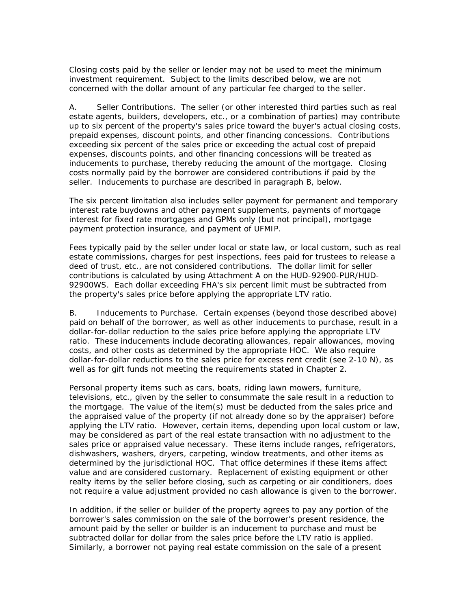Closing costs paid by the seller or lender may not be used to meet the minimum investment requirement. Subject to the limits described below, we are not concerned with the dollar amount of any particular fee charged to the seller.

A. Seller Contributions. The seller (or other interested third parties such as real estate agents, builders, developers, etc., or a combination of parties) may contribute up to six percent of the property's sales price toward the buyer's actual closing costs, prepaid expenses, discount points, and other financing concessions. Contributions exceeding six percent of the sales price or exceeding the actual cost of prepaid expenses, discounts points, and other financing concessions will be treated as inducements to purchase, thereby reducing the amount of the mortgage. Closing costs normally paid by the borrower are considered contributions if paid by the seller. Inducements to purchase are described in paragraph B, below.

The six percent limitation also includes seller payment for permanent and temporary interest rate buydowns and other payment supplements, payments of mortgage interest for fixed rate mortgages and GPMs only (but not principal), mortgage payment protection insurance, and payment of UFMIP.

Fees typically paid by the seller under local or state law, or local custom, such as real estate commissions, charges for pest inspections, fees paid for trustees to release a deed of trust, etc., are not considered contributions. The dollar limit for seller contributions is calculated by using Attachment A on the HUD-92900-PUR/HUD-92900WS. Each dollar exceeding FHA's six percent limit must be subtracted from the property's sales price before applying the appropriate LTV ratio.

B. Inducements to Purchase. Certain expenses (beyond those described above) paid on behalf of the borrower, as well as other inducements to purchase, result in a dollar-for-dollar reduction to the sales price before applying the appropriate LTV ratio. These inducements include decorating allowances, repair allowances, moving costs, and other costs as determined by the appropriate HOC. We also require dollar-for-dollar reductions to the sales price for excess rent credit (see 2-10 N), as well as for gift funds not meeting the requirements stated in Chapter 2.

Personal property items such as cars, boats, riding lawn mowers, furniture, televisions, etc., given by the seller to consummate the sale result in a reduction to the mortgage. The value of the item(s) must be deducted from the sales price and the appraised value of the property (if not already done so by the appraiser) before applying the LTV ratio. However, certain items, depending upon local custom or law, may be considered as part of the real estate transaction with no adjustment to the sales price or appraised value necessary. These items include ranges, refrigerators, dishwashers, washers, dryers, carpeting, window treatments, and other items as determined by the jurisdictional HOC. That office determines if these items affect value and are considered customary. Replacement of existing equipment or other realty items by the seller before closing, such as carpeting or air conditioners, does not require a value adjustment provided no cash allowance is given to the borrower.

In addition, if the seller or builder of the property agrees to pay any portion of the borrower's sales commission on the sale of the borrower's present residence, the amount paid by the seller or builder is an inducement to purchase and must be subtracted dollar for dollar from the sales price before the LTV ratio is applied. Similarly, a borrower not paying real estate commission on the sale of a present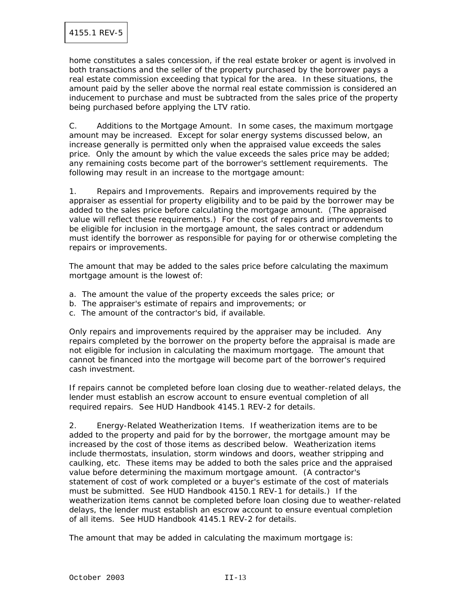home constitutes a sales concession, if the real estate broker or agent is involved in both transactions and the seller of the property purchased by the borrower pays a real estate commission exceeding that typical for the area. In these situations, the amount paid by the seller above the normal real estate commission is considered an inducement to purchase and must be subtracted from the sales price of the property being purchased before applying the LTV ratio.

C. Additions to the Mortgage Amount. In some cases, the maximum mortgage amount may be increased. Except for solar energy systems discussed below, an increase generally is permitted only when the appraised value exceeds the sales price. Only the amount by which the value exceeds the sales price may be added; any remaining costs become part of the borrower's settlement requirements. The following may result in an increase to the mortgage amount:

1. Repairs and Improvements. Repairs and improvements required by the appraiser as essential for property eligibility and to be paid by the borrower may be added to the sales price before calculating the mortgage amount. (The appraised value will reflect these requirements.) For the cost of repairs and improvements to be eligible for inclusion in the mortgage amount, the sales contract or addendum must identify the borrower as responsible for paying for or otherwise completing the repairs or improvements.

The amount that may be added to the sales price before calculating the maximum mortgage amount is the lowest of:

- a. The amount the value of the property exceeds the sales price; or
- b. The appraiser's estimate of repairs and improvements; or
- c. The amount of the contractor's bid, if available.

Only repairs and improvements required by the appraiser may be included. Any repairs completed by the borrower on the property before the appraisal is made are not eligible for inclusion in calculating the maximum mortgage. The amount that cannot be financed into the mortgage will become part of the borrower's required cash investment.

If repairs cannot be completed before loan closing due to weather-related delays, the lender must establish an escrow account to ensure eventual completion of all required repairs. See HUD Handbook 4145.1 REV-2 for details.

2. Energy-Related Weatherization Items. If weatherization items are to be added to the property and paid for by the borrower, the mortgage amount may be increased by the cost of those items as described below. Weatherization items include thermostats, insulation, storm windows and doors, weather stripping and caulking, etc. These items may be added to both the sales price and the appraised value before determining the maximum mortgage amount. (A contractor's statement of cost of work completed or a buyer's estimate of the cost of materials must be submitted. See HUD Handbook 4150.1 REV-1 for details.) If the weatherization items cannot be completed before loan closing due to weather-related delays, the lender must establish an escrow account to ensure eventual completion of all items. See HUD Handbook 4145.1 REV-2 for details.

The amount that may be added in calculating the maximum mortgage is: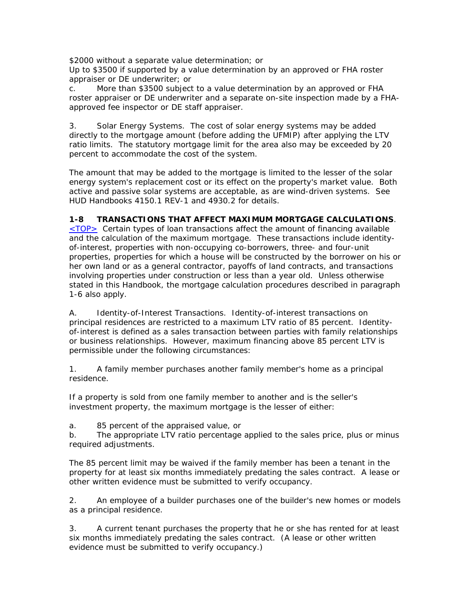\$2000 without a separate value determination; or

Up to \$3500 if supported by a value determination by an approved or FHA roster appraiser or DE underwriter; or

c. More than \$3500 subject to a value determination by an approved or FHA roster appraiser or DE underwriter and a separate on-site inspection made by a FHAapproved fee inspector or DE staff appraiser.

3. Solar Energy Systems. The cost of solar energy systems may be added directly to the mortgage amount (before adding the UFMIP) after applying the LTV ratio limits. The statutory mortgage limit for the area also may be exceeded by 20 percent to accommodate the cost of the system.

The amount that may be added to the mortgage is limited to the lesser of the solar energy system's replacement cost or its effect on the property's market value. Both active and passive solar systems are acceptable, as are wind-driven systems. See HUD Handbooks 4150.1 REV-1 and 4930.2 for details.

#### **1-8 TRANSACTIONS THAT AFFECT MAXIMUM MORTGAGE CALCULATIONS**.

 $\leq$ TOP $>$  Certain types of loan transactions affect the amount of financing available and the calculation of the maximum mortgage. These transactions include identityof-interest, properties with non-occupying co-borrowers, three- and four-unit properties, properties for which a house will be constructed by the borrower on his or her own land or as a general contractor, payoffs of land contracts, and transactions involving properties under construction or less than a year old. Unless otherwise stated in this Handbook, the mortgage calculation procedures described in paragraph 1-6 also apply.

A. Identity-of-Interest Transactions. Identity-of-interest transactions on principal residences are restricted to a maximum LTV ratio of 85 percent. Identityof-interest is defined as a sales transaction between parties with family relationships or business relationships. However, maximum financing above 85 percent LTV is permissible under the following circumstances:

1. A family member purchases another family member's home as a principal residence.

If a property is sold from one family member to another and is the seller's investment property, the maximum mortgage is the lesser of either:

a. 85 percent of the appraised value, or

b. The appropriate LTV ratio percentage applied to the sales price, plus or minus required adjustments.

The 85 percent limit may be waived if the family member has been a tenant in the property for at least six months immediately predating the sales contract. A lease or other written evidence must be submitted to verify occupancy.

2. An employee of a builder purchases one of the builder's new homes or models as a principal residence.

3. A current tenant purchases the property that he or she has rented for at least six months immediately predating the sales contract. (A lease or other written evidence must be submitted to verify occupancy.)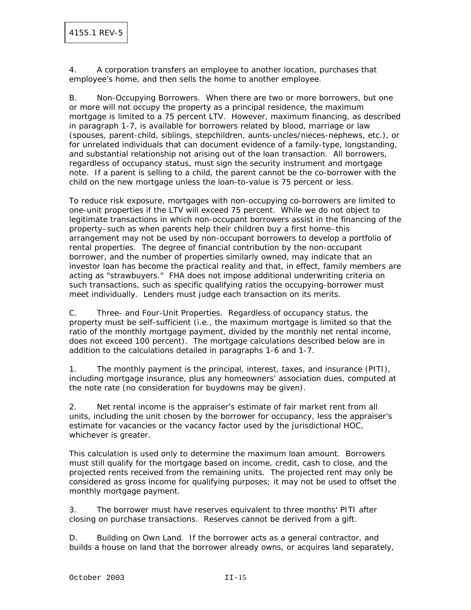4. A corporation transfers an employee to another location, purchases that employee's home, and then sells the home to another employee.

B. Non-Occupying Borrowers. When there are two or more borrowers, but one or more will not occupy the property as a principal residence, the maximum mortgage is limited to a 75 percent LTV. However, maximum financing, as described in paragraph 1-7, is available for borrowers related by blood, marriage or law (spouses, parent-child, siblings, stepchildren, aunts-uncles/nieces-nephews, etc.), or for unrelated individuals that can document evidence of a family-type, longstanding, and substantial relationship not arising out of the loan transaction. All borrowers, regardless of occupancy status, must sign the security instrument and mortgage note. If a parent is selling to a child, the parent cannot be the co-borrower with the child on the new mortgage unless the loan-to-value is 75 percent or less.

To reduce risk exposure, mortgages with non-occupying co-borrowers are limited to one-unit properties if the LTV will exceed 75 percent. While we do not object to legitimate transactions in which non-occupant borrowers assist in the financing of the property–such as when parents help their children buy a first home–this arrangement may not be used by non-occupant borrowers to develop a portfolio of rental properties. The degree of financial contribution by the non-occupant borrower, and the number of properties similarly owned, may indicate that an investor loan has become the practical reality and that, in effect, family members are acting as "strawbuyers." FHA does not impose additional underwriting criteria on such transactions, such as specific qualifying ratios the occupying-borrower must meet individually. Lenders must judge each transaction on its merits.

C. Three- and Four-Unit Properties. Regardless of occupancy status, the property must be self-sufficient (i.e., the maximum mortgage is limited so that the ratio of the monthly mortgage payment, divided by the monthly net rental income, does not exceed 100 percent). The mortgage calculations described below are in addition to the calculations detailed in paragraphs 1-6 and 1-7.

1. The monthly payment is the principal, interest, taxes, and insurance (PITI), including mortgage insurance, plus any homeowners' association dues, computed at the note rate (no consideration for buydowns may be given).

2. Net rental income is the appraiser's estimate of fair market rent from all units, including the unit chosen by the borrower for occupancy, less the appraiser's estimate for vacancies or the vacancy factor used by the jurisdictional HOC, whichever is greater.

This calculation is used only to determine the maximum loan amount. Borrowers must still qualify for the mortgage based on income, credit, cash to close, and the projected rents received from the remaining units. The projected rent may only be considered as gross income for qualifying purposes; it may not be used to offset the monthly mortgage payment.

3. The borrower must have reserves equivalent to three months' PITI after closing on purchase transactions. Reserves cannot be derived from a gift.

D. Building on Own Land. If the borrower acts as a general contractor, and builds a house on land that the borrower already owns, or acquires land separately,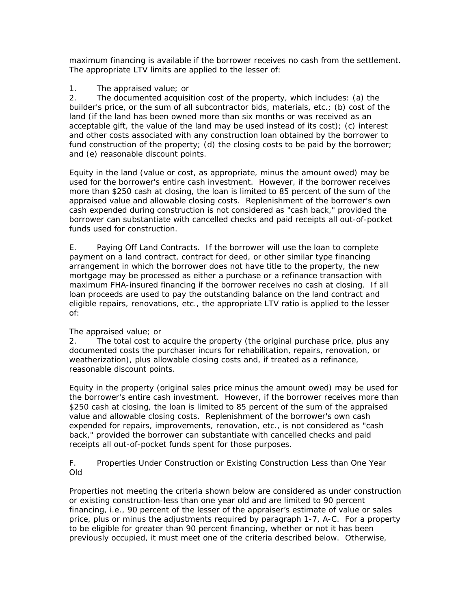maximum financing is available if the borrower receives no cash from the settlement. The appropriate LTV limits are applied to the lesser of:

### 1. The appraised value; or

2. The documented acquisition cost of the property, which includes: (a) the builder's price, or the sum of all subcontractor bids, materials, etc.; (b) cost of the land (if the land has been owned more than six months or was received as an acceptable gift, the value of the land may be used instead of its cost); (c) interest and other costs associated with any construction loan obtained by the borrower to fund construction of the property; (d) the closing costs to be paid by the borrower; and (e) reasonable discount points.

Equity in the land (value or cost, as appropriate, minus the amount owed) may be used for the borrower's entire cash investment. However, if the borrower receives more than \$250 cash at closing, the loan is limited to 85 percent of the sum of the appraised value and allowable closing costs. Replenishment of the borrower's own cash expended during construction is not considered as "cash back," provided the borrower can substantiate with cancelled checks and paid receipts all out-of-pocket funds used for construction.

E. Paying Off Land Contracts. If the borrower will use the loan to complete payment on a land contract, contract for deed, or other similar type financing arrangement in which the borrower does not have title to the property, the new mortgage may be processed as either a purchase or a refinance transaction with maximum FHA-insured financing if the borrower receives no cash at closing. If all loan proceeds are used to pay the outstanding balance on the land contract and eligible repairs, renovations, etc., the appropriate LTV ratio is applied to the lesser of:

#### The appraised value; or

2. The total cost to acquire the property (the original purchase price, plus any documented costs the purchaser incurs for rehabilitation, repairs, renovation, or weatherization), plus allowable closing costs and, if treated as a refinance, reasonable discount points.

Equity in the property (original sales price minus the amount owed) may be used for the borrower's entire cash investment. However, if the borrower receives more than \$250 cash at closing, the loan is limited to 85 percent of the sum of the appraised value and allowable closing costs. Replenishment of the borrower's own cash expended for repairs, improvements, renovation, etc., is not considered as "cash back," provided the borrower can substantiate with cancelled checks and paid receipts all out-of-pocket funds spent for those purposes.

F. Properties Under Construction or Existing Construction Less than One Year Old

Properties not meeting the criteria shown below are considered as under construction or existing construction-less than one year old and are limited to 90 percent financing, i.e., 90 percent of the lesser of the appraiser's estimate of value or sales price, plus or minus the adjustments required by paragraph 1-7, A-C. For a property to be eligible for greater than 90 percent financing, whether or not it has been previously occupied, it must meet one of the criteria described below. Otherwise,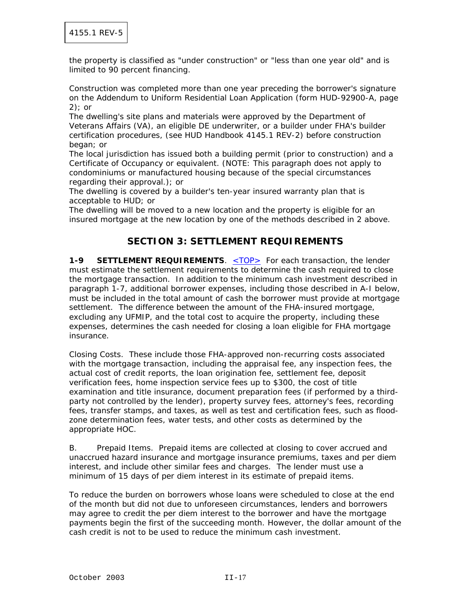the property is classified as "under construction" or "less than one year old" and is limited to 90 percent financing.

Construction was completed more than one year preceding the borrower's signature on the Addendum to Uniform Residential Loan Application (form HUD-92900-A, page  $2$ ): or

The dwelling's site plans and materials were approved by the Department of Veterans Affairs (VA), an eligible DE underwriter, or a builder under FHA's builder certification procedures, (see HUD Handbook 4145.1 REV-2) before construction began; or

The local jurisdiction has issued both a building permit (prior to construction) and a Certificate of Occupancy or equivalent. (NOTE: This paragraph does not apply to condominiums or manufactured housing because of the special circumstances regarding their approval.); or

The dwelling is covered by a builder's ten-year insured warranty plan that is acceptable to HUD; or

The dwelling will be moved to a new location and the property is eligible for an insured mortgage at the new location by one of the methods described in 2 above.

## **SECTION 3: SETTLEMENT REQUIREMENTS**

**1-9 SETTLEMENT REQUIREMENTS**. <TOP> For each transaction, the lender must estimate the settlement requirements to determine the cash required to close the mortgage transaction. In addition to the minimum cash investment described in paragraph 1-7, additional borrower expenses, including those described in A-I below, must be included in the total amount of cash the borrower must provide at mortgage settlement. The difference between the amount of the FHA-insured mortgage, excluding any UFMIP, and the total cost to acquire the property, including these expenses, determines the cash needed for closing a loan eligible for FHA mortgage insurance.

Closing Costs. These include those FHA-approved non-recurring costs associated with the mortgage transaction, including the appraisal fee, any inspection fees, the actual cost of credit reports, the loan origination fee, settlement fee, deposit verification fees, home inspection service fees up to \$300, the cost of title examination and title insurance, document preparation fees (if performed by a thirdparty not controlled by the lender), property survey fees, attorney's fees, recording fees, transfer stamps, and taxes, as well as test and certification fees, such as floodzone determination fees, water tests, and other costs as determined by the appropriate HOC.

B. Prepaid Items. Prepaid items are collected at closing to cover accrued and unaccrued hazard insurance and mortgage insurance premiums, taxes and per diem interest, and include other similar fees and charges. The lender must use a minimum of 15 days of per diem interest in its estimate of prepaid items.

To reduce the burden on borrowers whose loans were scheduled to close at the end of the month but did not due to unforeseen circumstances, lenders and borrowers may agree to credit the per diem interest to the borrower and have the mortgage payments begin the first of the succeeding month. However, the dollar amount of the cash credit is not to be used to reduce the minimum cash investment.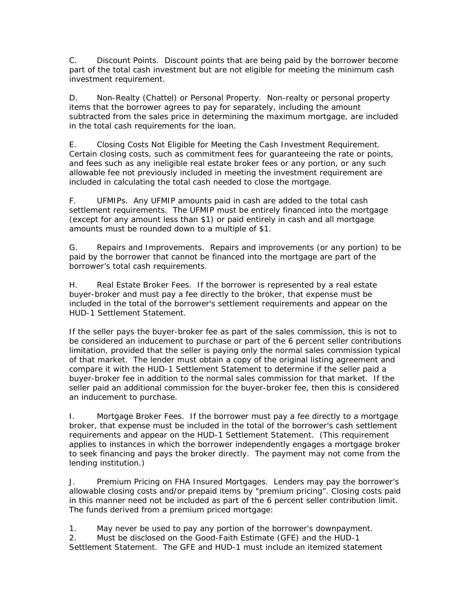C. Discount Points. Discount points that are being paid by the borrower become part of the total cash investment but are not eligible for meeting the minimum cash investment requirement.

D. Non-Realty (Chattel) or Personal Property. Non-realty or personal property items that the borrower agrees to pay for separately, including the amount subtracted from the sales price in determining the maximum mortgage, are included in the total cash requirements for the loan.

E. Closing Costs Not Eligible for Meeting the Cash Investment Requirement. Certain closing costs, such as commitment fees for guaranteeing the rate or points, and fees such as any ineligible real estate broker fees or any portion, or any such allowable fee not previously included in meeting the investment requirement are included in calculating the total cash needed to close the mortgage.

F. UFMIPs. Any UFMIP amounts paid in cash are added to the total cash settlement requirements. The UFMIP must be entirely financed into the mortgage (except for any amount less than \$1) or paid entirely in cash and all mortgage amounts must be rounded down to a multiple of \$1.

G. Repairs and Improvements. Repairs and improvements (or any portion) to be paid by the borrower that cannot be financed into the mortgage are part of the borrower's total cash requirements.

H. Real Estate Broker Fees. If the borrower is represented by a real estate buyer-broker and must pay a fee directly to the broker, that expense must be included in the total of the borrower's settlement requirements and appear on the HUD-1 Settlement Statement.

If the seller pays the buyer-broker fee as part of the sales commission, this is not to be considered an inducement to purchase or part of the 6 percent seller contributions limitation, provided that the seller is paying only the normal sales commission typical of that market. The lender must obtain a copy of the original listing agreement and compare it with the HUD-1 Settlement Statement to determine if the seller paid a buyer-broker fee in addition to the normal sales commission for that market. If the seller paid an additional commission for the buyer-broker fee, then this is considered an inducement to purchase.

I. Mortgage Broker Fees. If the borrower must pay a fee directly to a mortgage broker, that expense must be included in the total of the borrower's cash settlement requirements and appear on the HUD-1 Settlement Statement. (This requirement applies to instances in which the borrower independently engages a mortgage broker to seek financing and pays the broker directly. The payment may not come from the lending institution.)

J. Premium Pricing on FHA Insured Mortgages. Lenders may pay the borrower's allowable closing costs and/or prepaid items by "premium pricing". Closing costs paid in this manner need not be included as part of the 6 percent seller contribution limit. The funds derived from a premium priced mortgage:

1. May never be used to pay any portion of the borrower's downpayment.

2. Must be disclosed on the Good-Faith Estimate (GFE) and the HUD-1 Settlement Statement. The GFE and HUD-1 must include an itemized statement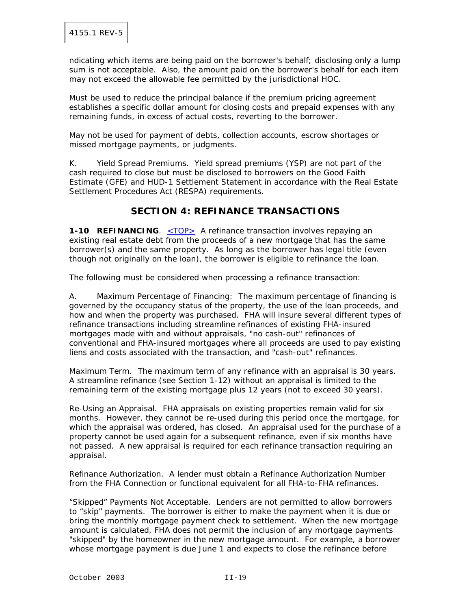ndicating which items are being paid on the borrower's behalf; disclosing only a lump sum is not acceptable. Also, the amount paid on the borrower's behalf for each item may not exceed the allowable fee permitted by the jurisdictional HOC.

Must be used to reduce the principal balance if the premium pricing agreement establishes a specific dollar amount for closing costs and prepaid expenses with any remaining funds, in excess of actual costs, reverting to the borrower.

May not be used for payment of debts, collection accounts, escrow shortages or missed mortgage payments, or judgments.

K. Yield Spread Premiums. Yield spread premiums (YSP) are not part of the cash required to close but must be disclosed to borrowers on the Good Faith Estimate (GFE) and HUD-1 Settlement Statement in accordance with the Real Estate Settlement Procedures Act (RESPA) requirements.

# **SECTION 4: REFINANCE TRANSACTIONS**

**1-10 REFINANCING.** <TOP> A refinance transaction involves repaying an existing real estate debt from the proceeds of a new mortgage that has the same borrower(s) and the same property. As long as the borrower has legal title (even though not originally on the loan), the borrower is eligible to refinance the loan.

The following must be considered when processing a refinance transaction:

A. Maximum Percentage of Financing: The maximum percentage of financing is governed by the occupancy status of the property, the use of the loan proceeds, and how and when the property was purchased. FHA will insure several different types of refinance transactions including streamline refinances of existing FHA-insured mortgages made with and without appraisals, "no cash-out" refinances of conventional and FHA-insured mortgages where all proceeds are used to pay existing liens and costs associated with the transaction, and "cash-out" refinances.

Maximum Term. The maximum term of any refinance with an appraisal is 30 years. A streamline refinance (see Section 1-12) without an appraisal is limited to the remaining term of the existing mortgage plus 12 years (not to exceed 30 years).

Re-Using an Appraisal. FHA appraisals on existing properties remain valid for six months. However, they cannot be re-used during this period once the mortgage, for which the appraisal was ordered, has closed. An appraisal used for the purchase of a property cannot be used again for a subsequent refinance, even if six months have not passed. A new appraisal is required for each refinance transaction requiring an appraisal.

Refinance Authorization. A lender must obtain a Refinance Authorization Number from the FHA Connection or functional equivalent for all FHA-to-FHA refinances.

"Skipped" Payments Not Acceptable. Lenders are not permitted to allow borrowers to "skip" payments. The borrower is either to make the payment when it is due or bring the monthly mortgage payment check to settlement. When the new mortgage amount is calculated, FHA does not permit the inclusion of any mortgage payments "skipped" by the homeowner in the new mortgage amount. For example, a borrower whose mortgage payment is due June 1 and expects to close the refinance before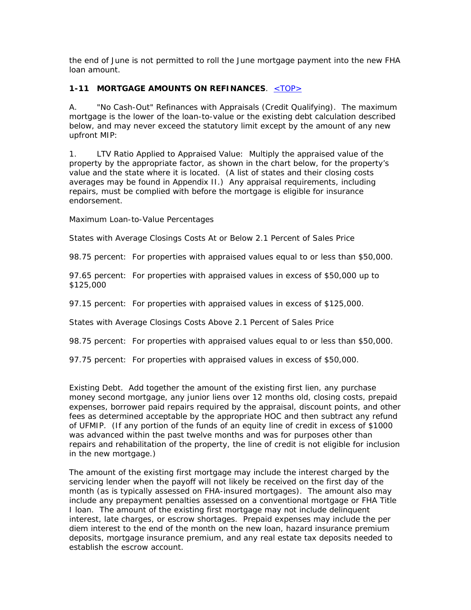the end of June is not permitted to roll the June mortgage payment into the new FHA loan amount.

### **1-11 MORTGAGE AMOUNTS ON REFINANCES. <TOP>**

A. "No Cash-Out" Refinances with Appraisals (Credit Qualifying). The maximum mortgage is the lower of the loan-to-value or the existing debt calculation described below, and may never exceed the statutory limit except by the amount of any new upfront MIP:

1. LTV Ratio Applied to Appraised Value: Multiply the appraised value of the property by the appropriate factor, as shown in the chart below, for the property's value and the state where it is located. (A list of states and their closing costs averages may be found in Appendix II.) Any appraisal requirements, including repairs, must be complied with before the mortgage is eligible for insurance endorsement.

Maximum Loan-to-Value Percentages

States with Average Closings Costs At or Below 2.1 Percent of Sales Price

98.75 percent: For properties with appraised values equal to or less than \$50,000.

97.65 percent: For properties with appraised values in excess of \$50,000 up to \$125,000

97.15 percent: For properties with appraised values in excess of \$125,000.

States with Average Closings Costs Above 2.1 Percent of Sales Price

98.75 percent: For properties with appraised values equal to or less than \$50,000.

97.75 percent: For properties with appraised values in excess of \$50,000.

Existing Debt. Add together the amount of the existing first lien, any purchase money second mortgage, any junior liens over 12 months old, closing costs, prepaid expenses, borrower paid repairs required by the appraisal, discount points, and other fees as determined acceptable by the appropriate HOC and then subtract any refund of UFMIP. (If any portion of the funds of an equity line of credit in excess of \$1000 was advanced within the past twelve months and was for purposes other than repairs and rehabilitation of the property, the line of credit is not eligible for inclusion in the new mortgage.)

The amount of the existing first mortgage may include the interest charged by the servicing lender when the payoff will not likely be received on the first day of the month (as is typically assessed on FHA-insured mortgages). The amount also may include any prepayment penalties assessed on a conventional mortgage or FHA Title I loan. The amount of the existing first mortgage may not include delinquent interest, late charges, or escrow shortages. Prepaid expenses may include the per diem interest to the end of the month on the new loan, hazard insurance premium deposits, mortgage insurance premium, and any real estate tax deposits needed to establish the escrow account.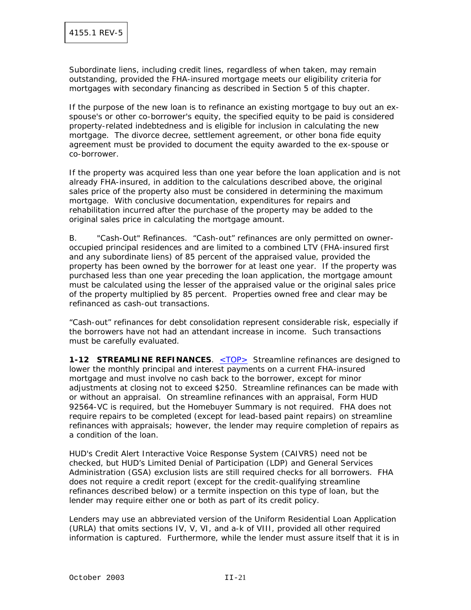Subordinate liens, including credit lines, regardless of when taken, may remain outstanding, provided the FHA-insured mortgage meets our eligibility criteria for mortgages with secondary financing as described in Section 5 of this chapter.

If the purpose of the new loan is to refinance an existing mortgage to buy out an exspouse's or other co-borrower's equity, the specified equity to be paid is considered property-related indebtedness and is eligible for inclusion in calculating the new mortgage. The divorce decree, settlement agreement, or other bona fide equity agreement must be provided to document the equity awarded to the ex-spouse or co-borrower.

If the property was acquired less than one year before the loan application and is not already FHA-insured, in addition to the calculations described above, the original sales price of the property also must be considered in determining the maximum mortgage. With conclusive documentation, expenditures for repairs and rehabilitation incurred after the purchase of the property may be added to the original sales price in calculating the mortgage amount.

B. "Cash-Out" Refinances. "Cash-out" refinances are only permitted on owneroccupied principal residences and are limited to a combined LTV (FHA-insured first and any subordinate liens) of 85 percent of the appraised value, provided the property has been owned by the borrower for at least one year. If the property was purchased less than one year preceding the loan application, the mortgage amount must be calculated using the lesser of the appraised value or the original sales price of the property multiplied by 85 percent. Properties owned free and clear may be refinanced as cash-out transactions.

"Cash-out" refinances for debt consolidation represent considerable risk, especially if the borrowers have not had an attendant increase in income. Such transactions must be carefully evaluated.

**1-12 STREAMLINE REFINANCES.** <TOP> Streamline refinances are designed to lower the monthly principal and interest payments on a current FHA-insured mortgage and must involve no cash back to the borrower, except for minor adjustments at closing not to exceed \$250. Streamline refinances can be made with or without an appraisal. On streamline refinances with an appraisal, Form HUD 92564-VC is required, but the Homebuyer Summary is not required. FHA does not require repairs to be completed (except for lead-based paint repairs) on streamline refinances with appraisals; however, the lender may require completion of repairs as a condition of the loan.

HUD's Credit Alert Interactive Voice Response System (CAIVRS) need not be checked, but HUD's Limited Denial of Participation (LDP) and General Services Administration (GSA) exclusion lists are still required checks for all borrowers. FHA does not require a credit report (except for the credit-qualifying streamline refinances described below) or a termite inspection on this type of loan, but the lender may require either one or both as part of its credit policy.

Lenders may use an abbreviated version of the Uniform Residential Loan Application (URLA) that omits sections IV, V, VI, and a-k of VIII, provided all other required information is captured. Furthermore, while the lender must assure itself that it is in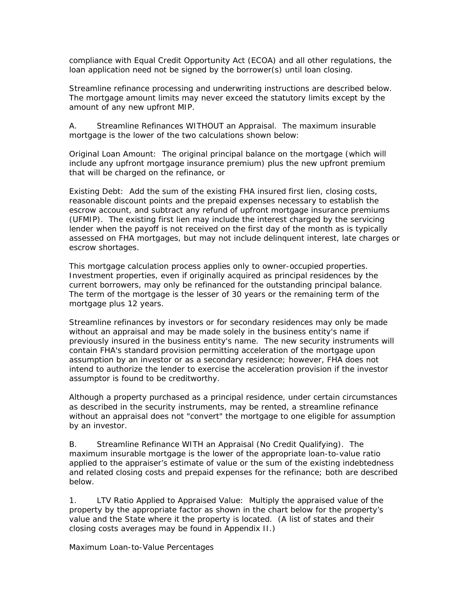compliance with Equal Credit Opportunity Act (ECOA) and all other regulations, the loan application need not be signed by the borrower(s) until loan closing.

Streamline refinance processing and underwriting instructions are described below. The mortgage amount limits may never exceed the statutory limits except by the amount of any new upfront MIP.

A. Streamline Refinances WITHOUT an Appraisal. The maximum insurable mortgage is the lower of the two calculations shown below:

Original Loan Amount: The original principal balance on the mortgage (which will include any upfront mortgage insurance premium) plus the new upfront premium that will be charged on the refinance, or

Existing Debt: Add the sum of the existing FHA insured first lien, closing costs, reasonable discount points and the prepaid expenses necessary to establish the escrow account, and subtract any refund of upfront mortgage insurance premiums (UFMIP). The existing first lien may include the interest charged by the servicing lender when the payoff is not received on the first day of the month as is typically assessed on FHA mortgages, but may not include delinquent interest, late charges or escrow shortages.

This mortgage calculation process applies only to owner-occupied properties. Investment properties, even if originally acquired as principal residences by the current borrowers, may only be refinanced for the outstanding principal balance. The term of the mortgage is the lesser of 30 years or the remaining term of the mortgage plus 12 years.

Streamline refinances by investors or for secondary residences may only be made without an appraisal and may be made solely in the business entity's name if previously insured in the business entity's name. The new security instruments will contain FHA's standard provision permitting acceleration of the mortgage upon assumption by an investor or as a secondary residence; however, FHA does not intend to authorize the lender to exercise the acceleration provision if the investor assumptor is found to be creditworthy.

Although a property purchased as a principal residence, under certain circumstances as described in the security instruments, may be rented, a streamline refinance without an appraisal does not "convert" the mortgage to one eligible for assumption by an investor.

B. Streamline Refinance WITH an Appraisal (No Credit Qualifying). The maximum insurable mortgage is the lower of the appropriate loan-to-value ratio applied to the appraiser's estimate of value or the sum of the existing indebtedness and related closing costs and prepaid expenses for the refinance; both are described below.

1. LTV Ratio Applied to Appraised Value: Multiply the appraised value of the property by the appropriate factor as shown in the chart below for the property's value and the State where it the property is located. (A list of states and their closing costs averages may be found in Appendix II.)

Maximum Loan-to-Value Percentages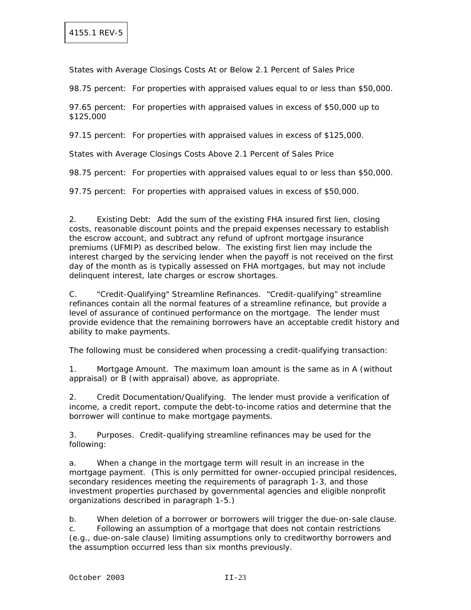States with Average Closings Costs At or Below 2.1 Percent of Sales Price

98.75 percent: For properties with appraised values equal to or less than \$50,000.

97.65 percent: For properties with appraised values in excess of \$50,000 up to \$125,000

97.15 percent: For properties with appraised values in excess of \$125,000.

States with Average Closings Costs Above 2.1 Percent of Sales Price

98.75 percent: For properties with appraised values equal to or less than \$50,000.

97.75 percent: For properties with appraised values in excess of \$50,000.

2. Existing Debt: Add the sum of the existing FHA insured first lien, closing costs, reasonable discount points and the prepaid expenses necessary to establish the escrow account, and subtract any refund of upfront mortgage insurance premiums (UFMIP) as described below. The existing first lien may include the interest charged by the servicing lender when the payoff is not received on the first day of the month as is typically assessed on FHA mortgages, but may not include delinquent interest, late charges or escrow shortages.

C. "Credit-Qualifying" Streamline Refinances. "Credit-qualifying" streamline refinances contain all the normal features of a streamline refinance, but provide a level of assurance of continued performance on the mortgage. The lender must provide evidence that the remaining borrowers have an acceptable credit history and ability to make payments.

The following must be considered when processing a credit-qualifying transaction:

1. Mortgage Amount. The maximum loan amount is the same as in A (without appraisal) or B (with appraisal) above, as appropriate.

2. Credit Documentation/Qualifying. The lender must provide a verification of income, a credit report, compute the debt-to-income ratios and determine that the borrower will continue to make mortgage payments.

3. Purposes. Credit-qualifying streamline refinances may be used for the following:

a. When a change in the mortgage term will result in an increase in the mortgage payment. (This is only permitted for owner-occupied principal residences, secondary residences meeting the requirements of paragraph 1-3, and those investment properties purchased by governmental agencies and eligible nonprofit organizations described in paragraph 1-5.)

b. When deletion of a borrower or borrowers will trigger the due-on-sale clause.

c. Following an assumption of a mortgage that does not contain restrictions (e.g., due-on-sale clause) limiting assumptions only to creditworthy borrowers and the assumption occurred less than six months previously.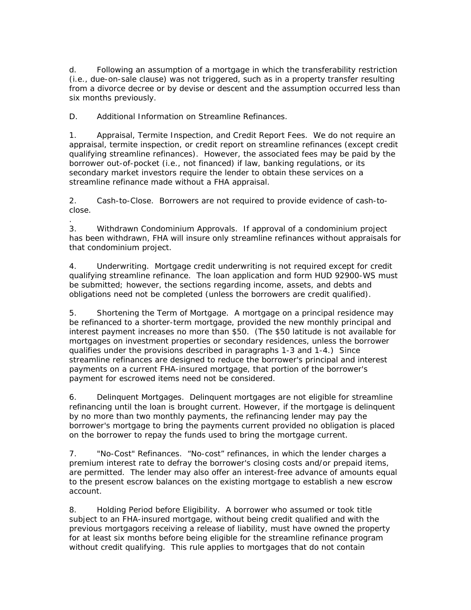d. Following an assumption of a mortgage in which the transferability restriction (i.e., due-on-sale clause) was not triggered, such as in a property transfer resulting from a divorce decree or by devise or descent and the assumption occurred less than six months previously.

D. Additional Information on Streamline Refinances.

1. Appraisal, Termite Inspection, and Credit Report Fees. We do not require an appraisal, termite inspection, or credit report on streamline refinances (except credit qualifying streamline refinances). However, the associated fees may be paid by the borrower out-of-pocket (i.e., not financed) if law, banking regulations, or its secondary market investors require the lender to obtain these services on a streamline refinance made without a FHA appraisal.

2. Cash-to-Close. Borrowers are not required to provide evidence of cash-toclose.

. 3. Withdrawn Condominium Approvals. If approval of a condominium project has been withdrawn, FHA will insure only streamline refinances without appraisals for that condominium project.

4. Underwriting. Mortgage credit underwriting is not required except for credit qualifying streamline refinance. The loan application and form HUD 92900-WS must be submitted; however, the sections regarding income, assets, and debts and obligations need not be completed (unless the borrowers are credit qualified).

5. Shortening the Term of Mortgage. A mortgage on a principal residence may be refinanced to a shorter-term mortgage, provided the new monthly principal and interest payment increases no more than \$50. (The \$50 latitude is not available for mortgages on investment properties or secondary residences, unless the borrower qualifies under the provisions described in paragraphs 1-3 and 1-4.) Since streamline refinances are designed to reduce the borrower's principal and interest payments on a current FHA-insured mortgage, that portion of the borrower's payment for escrowed items need not be considered.

6. Delinquent Mortgages. Delinquent mortgages are not eligible for streamline refinancing until the loan is brought current. However, if the mortgage is delinquent by no more than two monthly payments, the refinancing lender may pay the borrower's mortgage to bring the payments current provided no obligation is placed on the borrower to repay the funds used to bring the mortgage current.

7. "No-Cost" Refinances. "No-cost" refinances, in which the lender charges a premium interest rate to defray the borrower's closing costs and/or prepaid items, are permitted. The lender may also offer an interest-free advance of amounts equal to the present escrow balances on the existing mortgage to establish a new escrow account.

8. Holding Period before Eligibility. A borrower who assumed or took title subject to an FHA-insured mortgage, without being credit qualified and with the previous mortgagors receiving a release of liability, must have owned the property for at least six months before being eligible for the streamline refinance program without credit qualifying. This rule applies to mortgages that do not contain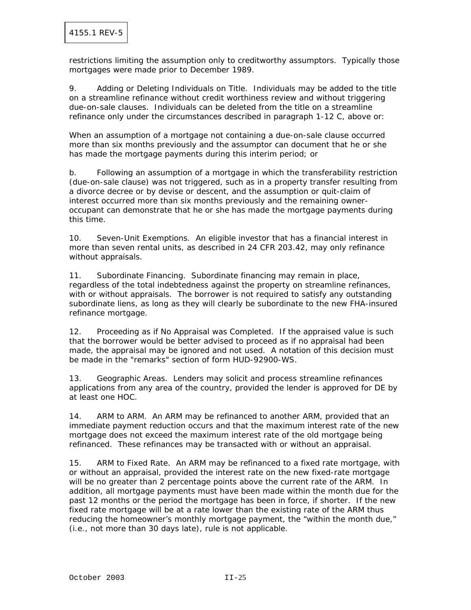restrictions limiting the assumption only to creditworthy assumptors. Typically those mortgages were made prior to December 1989.

9. Adding or Deleting Individuals on Title. Individuals may be added to the title on a streamline refinance without credit worthiness review and without triggering due-on-sale clauses. Individuals can be deleted from the title on a streamline refinance only under the circumstances described in paragraph 1-12 C, above or:

When an assumption of a mortgage not containing a due-on-sale clause occurred more than six months previously and the assumptor can document that he or she has made the mortgage payments during this interim period; or

b. Following an assumption of a mortgage in which the transferability restriction (due-on-sale clause) was not triggered, such as in a property transfer resulting from a divorce decree or by devise or descent, and the assumption or quit-claim of interest occurred more than six months previously and the remaining owneroccupant can demonstrate that he or she has made the mortgage payments during this time.

10. Seven-Unit Exemptions. An eligible investor that has a financial interest in more than seven rental units, as described in 24 CFR 203.42, may only refinance without appraisals.

11. Subordinate Financing. Subordinate financing may remain in place, regardless of the total indebtedness against the property on streamline refinances, with or without appraisals. The borrower is not required to satisfy any outstanding subordinate liens, as long as they will clearly be subordinate to the new FHA-insured refinance mortgage.

12. Proceeding as if No Appraisal was Completed. If the appraised value is such that the borrower would be better advised to proceed as if no appraisal had been made, the appraisal may be ignored and not used. A notation of this decision must be made in the "remarks" section of form HUD-92900-WS.

13. Geographic Areas. Lenders may solicit and process streamline refinances applications from any area of the country, provided the lender is approved for DE by at least one HOC.

14. ARM to ARM. An ARM may be refinanced to another ARM, provided that an immediate payment reduction occurs and that the maximum interest rate of the new mortgage does not exceed the maximum interest rate of the old mortgage being refinanced. These refinances may be transacted with or without an appraisal.

15. ARM to Fixed Rate. An ARM may be refinanced to a fixed rate mortgage, with or without an appraisal, provided the interest rate on the new fixed-rate mortgage will be no greater than 2 percentage points above the current rate of the ARM. In addition, all mortgage payments must have been made within the month due for the past 12 months or the period the mortgage has been in force, if shorter. If the new fixed rate mortgage will be at a rate lower than the existing rate of the ARM thus reducing the homeowner's monthly mortgage payment, the "within the month due," (i.e., not more than 30 days late), rule is not applicable.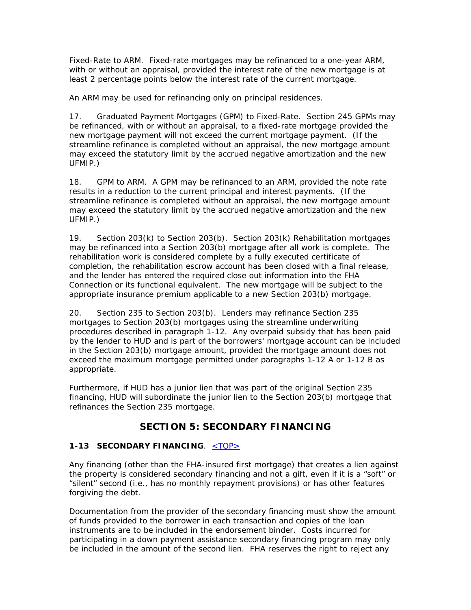Fixed-Rate to ARM. Fixed-rate mortgages may be refinanced to a one-year ARM, with or without an appraisal, provided the interest rate of the new mortgage is at least 2 percentage points below the interest rate of the current mortgage.

An ARM may be used for refinancing only on principal residences.

17. Graduated Payment Mortgages (GPM) to Fixed-Rate. Section 245 GPMs may be refinanced, with or without an appraisal, to a fixed-rate mortgage provided the new mortgage payment will not exceed the current mortgage payment. (If the streamline refinance is completed without an appraisal, the new mortgage amount may exceed the statutory limit by the accrued negative amortization and the new UFMIP.)

18. GPM to ARM. A GPM may be refinanced to an ARM, provided the note rate results in a reduction to the current principal and interest payments. (If the streamline refinance is completed without an appraisal, the new mortgage amount may exceed the statutory limit by the accrued negative amortization and the new UFMIP.)

19. Section 203(k) to Section 203(b). Section 203(k) Rehabilitation mortgages may be refinanced into a Section 203(b) mortgage after all work is complete. The rehabilitation work is considered complete by a fully executed certificate of completion, the rehabilitation escrow account has been closed with a final release, and the lender has entered the required close out information into the FHA Connection or its functional equivalent. The new mortgage will be subject to the appropriate insurance premium applicable to a new Section 203(b) mortgage.

20. Section 235 to Section 203(b). Lenders may refinance Section 235 mortgages to Section 203(b) mortgages using the streamline underwriting procedures described in paragraph 1-12. Any overpaid subsidy that has been paid by the lender to HUD and is part of the borrowers' mortgage account can be included in the Section 203(b) mortgage amount, provided the mortgage amount does not exceed the maximum mortgage permitted under paragraphs 1-12 A or 1-12 B as appropriate.

Furthermore, if HUD has a junior lien that was part of the original Section 235 financing, HUD will subordinate the junior lien to the Section 203(b) mortgage that refinances the Section 235 mortgage.

# **SECTION 5: SECONDARY FINANCING**

### **1-13 SECONDARY FINANCING**. <TOP>

Any financing (other than the FHA-insured first mortgage) that creates a lien against the property is considered secondary financing and not a gift, even if it is a "soft" or "silent" second (i.e., has no monthly repayment provisions) or has other features forgiving the debt.

Documentation from the provider of the secondary financing must show the amount of funds provided to the borrower in each transaction and copies of the loan instruments are to be included in the endorsement binder. Costs incurred for participating in a down payment assistance secondary financing program may only be included in the amount of the second lien. FHA reserves the right to reject any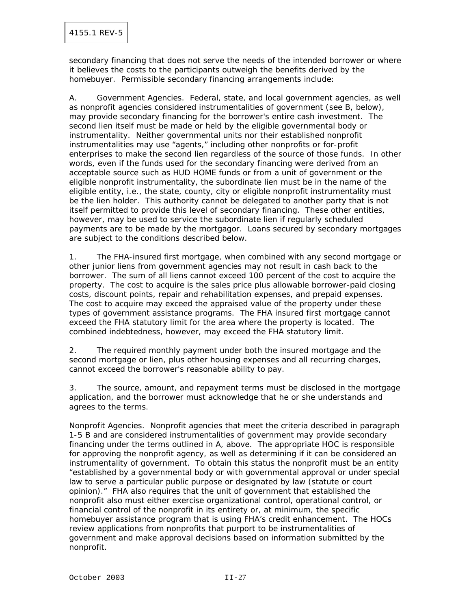secondary financing that does not serve the needs of the intended borrower or where it believes the costs to the participants outweigh the benefits derived by the homebuyer. Permissible secondary financing arrangements include:

A. Government Agencies. Federal, state, and local government agencies, as well as nonprofit agencies considered instrumentalities of government (see B, below), may provide secondary financing for the borrower's entire cash investment. The second lien itself must be made or held by the eligible governmental body or instrumentality. Neither governmental units nor their established nonprofit instrumentalities may use "agents," including other nonprofits or for-profit enterprises to make the second lien regardless of the source of those funds. In other words, even if the funds used for the secondary financing were derived from an acceptable source such as HUD HOME funds or from a unit of government or the eligible nonprofit instrumentality, the subordinate lien must be in the name of the eligible entity, i.e., the state, county, city or eligible nonprofit instrumentality must be the lien holder. This authority cannot be delegated to another party that is not itself permitted to provide this level of secondary financing. These other entities, however, may be used to service the subordinate lien if regularly scheduled payments are to be made by the mortgagor. Loans secured by secondary mortgages are subject to the conditions described below.

1. The FHA-insured first mortgage, when combined with any second mortgage or other junior liens from government agencies may not result in cash back to the borrower. The sum of all liens cannot exceed 100 percent of the cost to acquire the property. The cost to acquire is the sales price plus allowable borrower-paid closing costs, discount points, repair and rehabilitation expenses, and prepaid expenses. The cost to acquire may exceed the appraised value of the property under these types of government assistance programs. The FHA insured first mortgage cannot exceed the FHA statutory limit for the area where the property is located. The combined indebtedness, however, may exceed the FHA statutory limit.

2. The required monthly payment under both the insured mortgage and the second mortgage or lien, plus other housing expenses and all recurring charges, cannot exceed the borrower's reasonable ability to pay.

3. The source, amount, and repayment terms must be disclosed in the mortgage application, and the borrower must acknowledge that he or she understands and agrees to the terms.

Nonprofit Agencies. Nonprofit agencies that meet the criteria described in paragraph 1-5 B and are considered instrumentalities of government may provide secondary financing under the terms outlined in A, above. The appropriate HOC is responsible for approving the nonprofit agency, as well as determining if it can be considered an instrumentality of government. To obtain this status the nonprofit must be an entity "established by a governmental body or with governmental approval or under special law to serve a particular public purpose or designated by law (statute or court opinion)." FHA also requires that the unit of government that established the nonprofit also must either exercise organizational control, operational control, or financial control of the nonprofit in its entirety or, at minimum, the specific homebuyer assistance program that is using FHA's credit enhancement. The HOCs review applications from nonprofits that purport to be instrumentalities of government and make approval decisions based on information submitted by the nonprofit.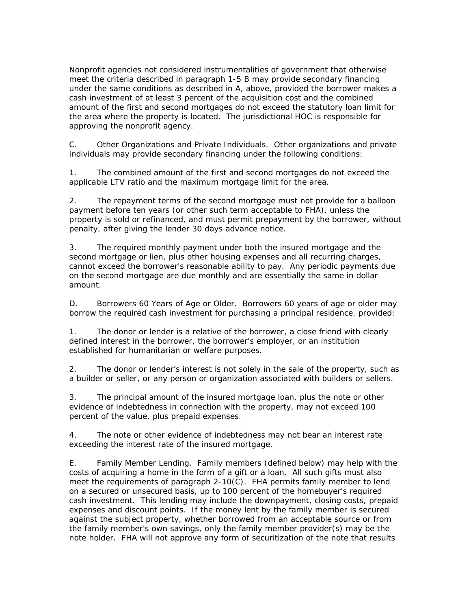Nonprofit agencies not considered instrumentalities of government that otherwise meet the criteria described in paragraph 1-5 B may provide secondary financing under the same conditions as described in A, above, provided the borrower makes a cash investment of at least 3 percent of the acquisition cost and the combined amount of the first and second mortgages do not exceed the statutory loan limit for the area where the property is located. The jurisdictional HOC is responsible for approving the nonprofit agency.

C. Other Organizations and Private Individuals. Other organizations and private individuals may provide secondary financing under the following conditions:

1. The combined amount of the first and second mortgages do not exceed the applicable LTV ratio and the maximum mortgage limit for the area.

2. The repayment terms of the second mortgage must not provide for a balloon payment before ten years (or other such term acceptable to FHA), unless the property is sold or refinanced, and must permit prepayment by the borrower, without penalty, after giving the lender 30 days advance notice.

3. The required monthly payment under both the insured mortgage and the second mortgage or lien, plus other housing expenses and all recurring charges, cannot exceed the borrower's reasonable ability to pay. Any periodic payments due on the second mortgage are due monthly and are essentially the same in dollar amount.

D. Borrowers 60 Years of Age or Older. Borrowers 60 years of age or older may borrow the required cash investment for purchasing a principal residence, provided:

1. The donor or lender is a relative of the borrower, a close friend with clearly defined interest in the borrower, the borrower's employer, or an institution established for humanitarian or welfare purposes.

2. The donor or lender's interest is not solely in the sale of the property, such as a builder or seller, or any person or organization associated with builders or sellers.

3. The principal amount of the insured mortgage loan, plus the note or other evidence of indebtedness in connection with the property, may not exceed 100 percent of the value, plus prepaid expenses.

4. The note or other evidence of indebtedness may not bear an interest rate exceeding the interest rate of the insured mortgage.

E. Family Member Lending. Family members (defined below) may help with the costs of acquiring a home in the form of a gift or a loan. All such gifts must also meet the requirements of paragraph 2-10(C). FHA permits family member to lend on a secured or unsecured basis, up to 100 percent of the homebuyer's required cash investment. This lending may include the downpayment, closing costs, prepaid expenses and discount points. If the money lent by the family member is secured against the subject property, whether borrowed from an acceptable source or from the family member's own savings, only the family member provider(s) may be the note holder. FHA will not approve any form of securitization of the note that results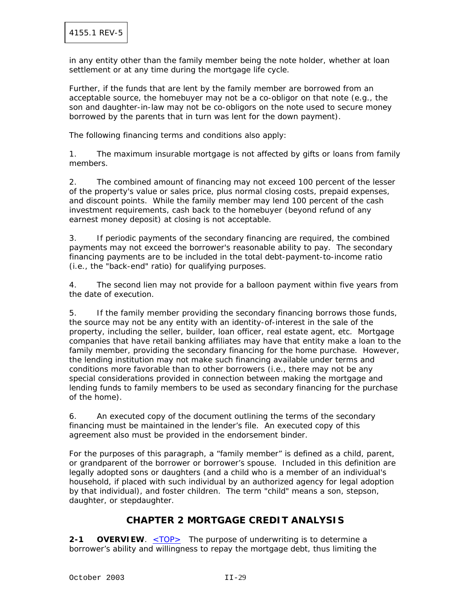in any entity other than the family member being the note holder, whether at loan settlement or at any time during the mortgage life cycle.

Further, if the funds that are lent by the family member are borrowed from an acceptable source, the homebuyer may not be a co-obligor on that note (e.g., the son and daughter-in-law may not be co-obligors on the note used to secure money borrowed by the parents that in turn was lent for the down payment).

The following financing terms and conditions also apply:

1. The maximum insurable mortgage is not affected by gifts or loans from family members.

2. The combined amount of financing may not exceed 100 percent of the lesser of the property's value or sales price, plus normal closing costs, prepaid expenses, and discount points. While the family member may lend 100 percent of the cash investment requirements, cash back to the homebuyer (beyond refund of any earnest money deposit) at closing is not acceptable.

3. If periodic payments of the secondary financing are required, the combined payments may not exceed the borrower's reasonable ability to pay. The secondary financing payments are to be included in the total debt-payment-to-income ratio (i.e., the "back-end" ratio) for qualifying purposes.

4. The second lien may not provide for a balloon payment within five years from the date of execution.

5. If the family member providing the secondary financing borrows those funds, the source may not be any entity with an identity-of-interest in the sale of the property, including the seller, builder, loan officer, real estate agent, etc. Mortgage companies that have retail banking affiliates may have that entity make a loan to the family member, providing the secondary financing for the home purchase. However, the lending institution may not make such financing available under terms and conditions more favorable than to other borrowers (i.e., there may not be any special considerations provided in connection between making the mortgage and lending funds to family members to be used as secondary financing for the purchase of the home).

6. An executed copy of the document outlining the terms of the secondary financing must be maintained in the lender's file. An executed copy of this agreement also must be provided in the endorsement binder.

For the purposes of this paragraph, a "family member" is defined as a child, parent, or grandparent of the borrower or borrower's spouse. Included in this definition are legally adopted sons or daughters (and a child who is a member of an individual's household, if placed with such individual by an authorized agency for legal adoption by that individual), and foster children. The term "child" means a son, stepson, daughter, or stepdaughter.

## **CHAPTER 2 MORTGAGE CREDIT ANALYSIS**

**2-1 OVERVIEW.**  $\leq$ TOP $\geq$  The purpose of underwriting is to determine a borrower's ability and willingness to repay the mortgage debt, thus limiting the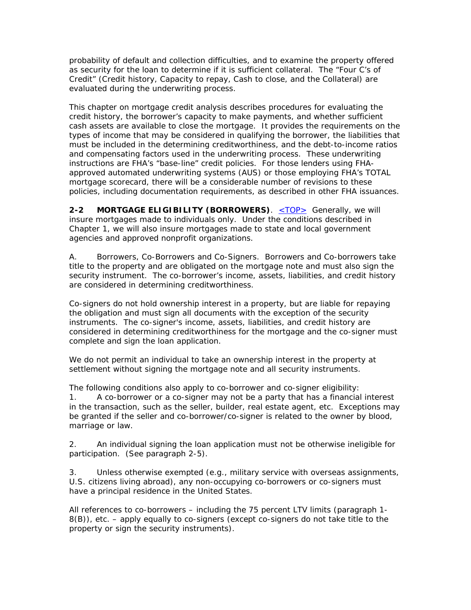probability of default and collection difficulties, and to examine the property offered as security for the loan to determine if it is sufficient collateral. The "Four C's of Credit" (Credit history, Capacity to repay, Cash to close, and the Collateral) are evaluated during the underwriting process.

This chapter on mortgage credit analysis describes procedures for evaluating the credit history, the borrower's capacity to make payments, and whether sufficient cash assets are available to close the mortgage. It provides the requirements on the types of income that may be considered in qualifying the borrower, the liabilities that must be included in the determining creditworthiness, and the debt-to-income ratios and compensating factors used in the underwriting process. These underwriting instructions are FHA's "base-line" credit policies. For those lenders using FHAapproved automated underwriting systems (AUS) or those employing FHA's TOTAL mortgage scorecard, there will be a considerable number of revisions to these policies, including documentation requirements, as described in other FHA issuances.

**2-2 MORTGAGE ELIGIBILITY (BORROWERS)**. <**TOP>** Generally, we will insure mortgages made to individuals only. Under the conditions described in Chapter 1, we will also insure mortgages made to state and local government agencies and approved nonprofit organizations.

A. Borrowers, Co-Borrowers and Co-Signers. Borrowers and Co-borrowers take title to the property and are obligated on the mortgage note and must also sign the security instrument. The co-borrower's income, assets, liabilities, and credit history are considered in determining creditworthiness.

Co-signers do not hold ownership interest in a property, but are liable for repaying the obligation and must sign all documents with the exception of the security instruments. The co-signer's income, assets, liabilities, and credit history are considered in determining creditworthiness for the mortgage and the co-signer must complete and sign the loan application.

We do not permit an individual to take an ownership interest in the property at settlement without signing the mortgage note and all security instruments.

The following conditions also apply to co-borrower and co-signer eligibility:

1. A co-borrower or a co-signer may not be a party that has a financial interest in the transaction, such as the seller, builder, real estate agent, etc. Exceptions may be granted if the seller and co-borrower/co-signer is related to the owner by blood, marriage or law.

2. An individual signing the loan application must not be otherwise ineligible for participation. (See paragraph 2-5).

3. Unless otherwise exempted (e.g., military service with overseas assignments, U.S. citizens living abroad), any non-occupying co-borrowers or co-signers must have a principal residence in the United States.

All references to co-borrowers – including the 75 percent LTV limits (paragraph 1- 8(B)), etc. – apply equally to co-signers (except co-signers do not take title to the property or sign the security instruments).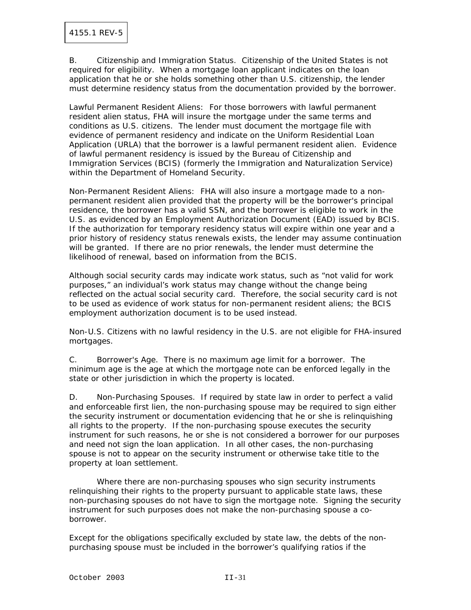B. Citizenship and Immigration Status. Citizenship of the United States is not required for eligibility. When a mortgage loan applicant indicates on the loan application that he or she holds something other than U.S. citizenship, the lender must determine residency status from the documentation provided by the borrower.

Lawful Permanent Resident Aliens: For those borrowers with lawful permanent resident alien status, FHA will insure the mortgage under the same terms and conditions as U.S. citizens. The lender must document the mortgage file with evidence of permanent residency and indicate on the Uniform Residential Loan Application (URLA) that the borrower is a lawful permanent resident alien. Evidence of lawful permanent residency is issued by the Bureau of Citizenship and Immigration Services (BCIS) (formerly the Immigration and Naturalization Service) within the Department of Homeland Security.

Non-Permanent Resident Aliens: FHA will also insure a mortgage made to a nonpermanent resident alien provided that the property will be the borrower's principal residence, the borrower has a valid SSN, and the borrower is eligible to work in the U.S. as evidenced by an Employment Authorization Document (EAD) issued by BCIS. If the authorization for temporary residency status will expire within one year and a prior history of residency status renewals exists, the lender may assume continuation will be granted. If there are no prior renewals, the lender must determine the likelihood of renewal, based on information from the BCIS.

Although social security cards may indicate work status, such as "not valid for work purposes," an individual's work status may change without the change being reflected on the actual social security card. Therefore, the social security card is not to be used as evidence of work status for non-permanent resident aliens; the BCIS employment authorization document is to be used instead.

Non-U.S. Citizens with no lawful residency in the U.S. are not eligible for FHA-insured mortgages.

C. Borrower's Age. There is no maximum age limit for a borrower. The minimum age is the age at which the mortgage note can be enforced legally in the state or other jurisdiction in which the property is located.

D. Non-Purchasing Spouses. If required by state law in order to perfect a valid and enforceable first lien, the non-purchasing spouse may be required to sign either the security instrument or documentation evidencing that he or she is relinquishing all rights to the property. If the non-purchasing spouse executes the security instrument for such reasons, he or she is not considered a borrower for our purposes and need not sign the loan application. In all other cases, the non-purchasing spouse is not to appear on the security instrument or otherwise take title to the property at loan settlement.

 Where there are non-purchasing spouses who sign security instruments relinquishing their rights to the property pursuant to applicable state laws, these non-purchasing spouses do not have to sign the mortgage note. Signing the security instrument for such purposes does not make the non-purchasing spouse a coborrower.

Except for the obligations specifically excluded by state law, the debts of the nonpurchasing spouse must be included in the borrower's qualifying ratios if the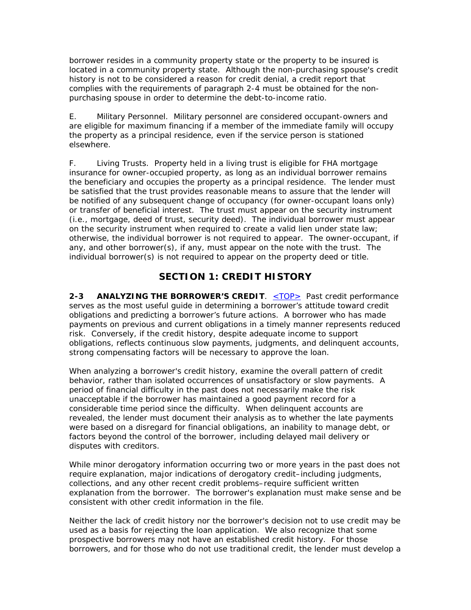borrower resides in a community property state or the property to be insured is located in a community property state. Although the non-purchasing spouse's credit history is not to be considered a reason for credit denial, a credit report that complies with the requirements of paragraph 2-4 must be obtained for the nonpurchasing spouse in order to determine the debt-to-income ratio.

E. Military Personnel. Military personnel are considered occupant-owners and are eligible for maximum financing if a member of the immediate family will occupy the property as a principal residence, even if the service person is stationed elsewhere.

F. Living Trusts. Property held in a living trust is eligible for FHA mortgage insurance for owner-occupied property, as long as an individual borrower remains the beneficiary and occupies the property as a principal residence. The lender must be satisfied that the trust provides reasonable means to assure that the lender will be notified of any subsequent change of occupancy (for owner-occupant loans only) or transfer of beneficial interest. The trust must appear on the security instrument (i.e., mortgage, deed of trust, security deed). The individual borrower must appear on the security instrument when required to create a valid lien under state law; otherwise, the individual borrower is not required to appear. The owner-occupant, if any, and other borrower(s), if any, must appear on the note with the trust. The individual borrower(s) is not required to appear on the property deed or title.

# **SECTION 1: CREDIT HISTORY**

**2-3 ANALYZING THE BORROWER'S CREDIT**. <TOP> Past credit performance serves as the most useful guide in determining a borrower's attitude toward credit obligations and predicting a borrower's future actions. A borrower who has made payments on previous and current obligations in a timely manner represents reduced risk. Conversely, if the credit history, despite adequate income to support obligations, reflects continuous slow payments, judgments, and delinquent accounts, strong compensating factors will be necessary to approve the loan.

When analyzing a borrower's credit history, examine the overall pattern of credit behavior, rather than isolated occurrences of unsatisfactory or slow payments. A period of financial difficulty in the past does not necessarily make the risk unacceptable if the borrower has maintained a good payment record for a considerable time period since the difficulty. When delinquent accounts are revealed, the lender must document their analysis as to whether the late payments were based on a disregard for financial obligations, an inability to manage debt, or factors beyond the control of the borrower, including delayed mail delivery or disputes with creditors.

While minor derogatory information occurring two or more years in the past does not require explanation, major indications of derogatory credit–including judgments, collections, and any other recent credit problems–require sufficient written explanation from the borrower. The borrower's explanation must make sense and be consistent with other credit information in the file.

Neither the lack of credit history nor the borrower's decision not to use credit may be used as a basis for rejecting the loan application. We also recognize that some prospective borrowers may not have an established credit history. For those borrowers, and for those who do not use traditional credit, the lender must develop a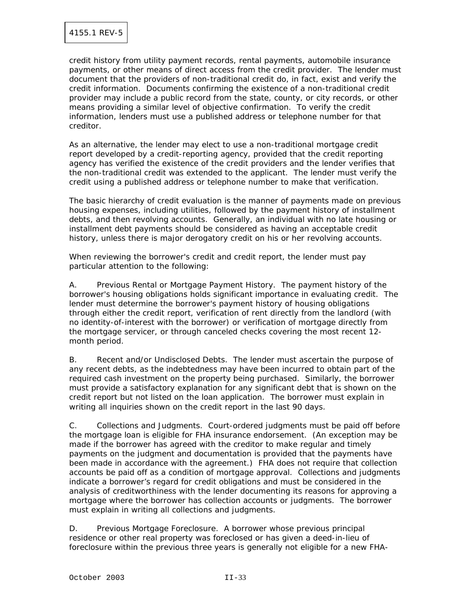credit history from utility payment records, rental payments, automobile insurance payments, or other means of direct access from the credit provider. The lender must document that the providers of non-traditional credit do, in fact, exist and verify the credit information. Documents confirming the existence of a non-traditional credit provider may include a public record from the state, county, or city records, or other means providing a similar level of objective confirmation. To verify the credit information, lenders must use a published address or telephone number for that creditor.

As an alternative, the lender may elect to use a non-traditional mortgage credit report developed by a credit-reporting agency, provided that the credit reporting agency has verified the existence of the credit providers and the lender verifies that the non-traditional credit was extended to the applicant. The lender must verify the credit using a published address or telephone number to make that verification.

The basic hierarchy of credit evaluation is the manner of payments made on previous housing expenses, including utilities, followed by the payment history of installment debts, and then revolving accounts. Generally, an individual with no late housing or installment debt payments should be considered as having an acceptable credit history, unless there is major derogatory credit on his or her revolving accounts.

When reviewing the borrower's credit and credit report, the lender must pay particular attention to the following:

A. Previous Rental or Mortgage Payment History. The payment history of the borrower's housing obligations holds significant importance in evaluating credit. The lender must determine the borrower's payment history of housing obligations through either the credit report, verification of rent directly from the landlord (with no identity-of-interest with the borrower) or verification of mortgage directly from the mortgage servicer, or through canceled checks covering the most recent 12 month period.

B. Recent and/or Undisclosed Debts. The lender must ascertain the purpose of any recent debts, as the indebtedness may have been incurred to obtain part of the required cash investment on the property being purchased. Similarly, the borrower must provide a satisfactory explanation for any significant debt that is shown on the credit report but not listed on the loan application. The borrower must explain in writing all inquiries shown on the credit report in the last 90 days.

C. Collections and Judgments. Court-ordered judgments must be paid off before the mortgage loan is eligible for FHA insurance endorsement. (An exception may be made if the borrower has agreed with the creditor to make regular and timely payments on the judgment and documentation is provided that the payments have been made in accordance with the agreement.) FHA does not require that collection accounts be paid off as a condition of mortgage approval. Collections and judgments indicate a borrower's regard for credit obligations and must be considered in the analysis of creditworthiness with the lender documenting its reasons for approving a mortgage where the borrower has collection accounts or judgments. The borrower must explain in writing all collections and judgments.

D. Previous Mortgage Foreclosure. A borrower whose previous principal residence or other real property was foreclosed or has given a deed-in-lieu of foreclosure within the previous three years is generally not eligible for a new FHA-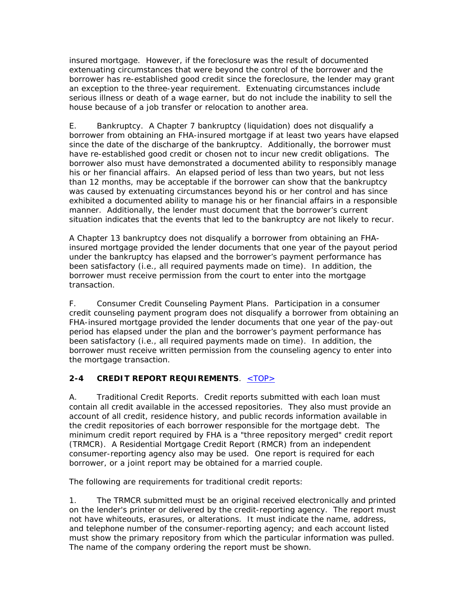insured mortgage. However, if the foreclosure was the result of documented extenuating circumstances that were beyond the control of the borrower and the borrower has re-established good credit since the foreclosure, the lender may grant an exception to the three-year requirement. Extenuating circumstances include serious illness or death of a wage earner, but do not include the inability to sell the house because of a job transfer or relocation to another area.

E. Bankruptcy. A Chapter 7 bankruptcy (liquidation) does not disqualify a borrower from obtaining an FHA-insured mortgage if at least two years have elapsed since the date of the discharge of the bankruptcy. Additionally, the borrower must have re-established good credit or chosen not to incur new credit obligations. The borrower also must have demonstrated a documented ability to responsibly manage his or her financial affairs. An elapsed period of less than two years, but not less than 12 months, may be acceptable if the borrower can show that the bankruptcy was caused by extenuating circumstances beyond his or her control and has since exhibited a documented ability to manage his or her financial affairs in a responsible manner. Additionally, the lender must document that the borrower's current situation indicates that the events that led to the bankruptcy are not likely to recur.

A Chapter 13 bankruptcy does not disqualify a borrower from obtaining an FHAinsured mortgage provided the lender documents that one year of the payout period under the bankruptcy has elapsed and the borrower's payment performance has been satisfactory (i.e., all required payments made on time). In addition, the borrower must receive permission from the court to enter into the mortgage transaction.

F. Consumer Credit Counseling Payment Plans. Participation in a consumer credit counseling payment program does not disqualify a borrower from obtaining an FHA-insured mortgage provided the lender documents that one year of the pay-out period has elapsed under the plan and the borrower's payment performance has been satisfactory (i.e., all required payments made on time). In addition, the borrower must receive written permission from the counseling agency to enter into the mortgage transaction.

### **2-4 CREDIT REPORT REQUIREMENTS**. <TOP>

A. Traditional Credit Reports. Credit reports submitted with each loan must contain all credit available in the accessed repositories. They also must provide an account of all credit, residence history, and public records information available in the credit repositories of each borrower responsible for the mortgage debt. The minimum credit report required by FHA is a "three repository merged" credit report (TRMCR). A Residential Mortgage Credit Report (RMCR) from an independent consumer-reporting agency also may be used. One report is required for each borrower, or a joint report may be obtained for a married couple.

The following are requirements for traditional credit reports:

1. The TRMCR submitted must be an original received electronically and printed on the lender's printer or delivered by the credit-reporting agency. The report must not have whiteouts, erasures, or alterations. It must indicate the name, address, and telephone number of the consumer-reporting agency; and each account listed must show the primary repository from which the particular information was pulled. The name of the company ordering the report must be shown.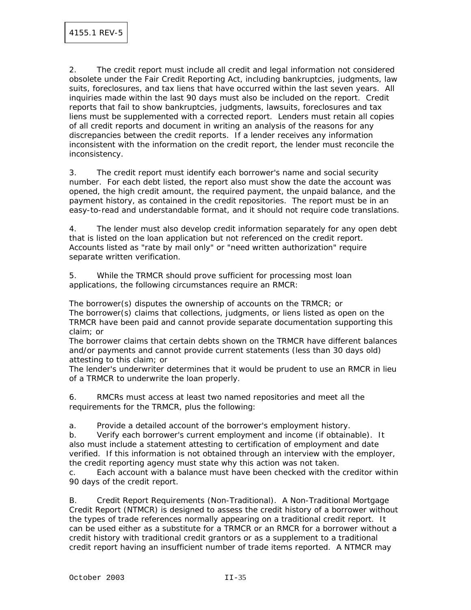2. The credit report must include all credit and legal information not considered obsolete under the Fair Credit Reporting Act, including bankruptcies, judgments, law suits, foreclosures, and tax liens that have occurred within the last seven years. All inquiries made within the last 90 days must also be included on the report. Credit reports that fail to show bankruptcies, judgments, lawsuits, foreclosures and tax liens must be supplemented with a corrected report. Lenders must retain all copies of all credit reports and document in writing an analysis of the reasons for any discrepancies between the credit reports. If a lender receives any information inconsistent with the information on the credit report, the lender must reconcile the inconsistency.

3. The credit report must identify each borrower's name and social security number. For each debt listed, the report also must show the date the account was opened, the high credit amount, the required payment, the unpaid balance, and the payment history, as contained in the credit repositories. The report must be in an easy-to-read and understandable format, and it should not require code translations.

4. The lender must also develop credit information separately for any open debt that is listed on the loan application but not referenced on the credit report. Accounts listed as "rate by mail only" or "need written authorization" require separate written verification.

5. While the TRMCR should prove sufficient for processing most loan applications, the following circumstances require an RMCR:

The borrower(s) disputes the ownership of accounts on the TRMCR; or The borrower(s) claims that collections, judgments, or liens listed as open on the TRMCR have been paid and cannot provide separate documentation supporting this claim; or

The borrower claims that certain debts shown on the TRMCR have different balances and/or payments and cannot provide current statements (less than 30 days old) attesting to this claim; or

The lender's underwriter determines that it would be prudent to use an RMCR in lieu of a TRMCR to underwrite the loan properly.

6. RMCRs must access at least two named repositories and meet all the requirements for the TRMCR, plus the following:

a. Provide a detailed account of the borrower's employment history.

b. Verify each borrower's current employment and income (if obtainable). It also must include a statement attesting to certification of employment and date verified. If this information is not obtained through an interview with the employer, the credit reporting agency must state why this action was not taken.

c. Each account with a balance must have been checked with the creditor within 90 days of the credit report.

B. Credit Report Requirements (Non-Traditional). A Non-Traditional Mortgage Credit Report (NTMCR) is designed to assess the credit history of a borrower without the types of trade references normally appearing on a traditional credit report. It can be used either as a substitute for a TRMCR or an RMCR for a borrower without a credit history with traditional credit grantors or as a supplement to a traditional credit report having an insufficient number of trade items reported. A NTMCR may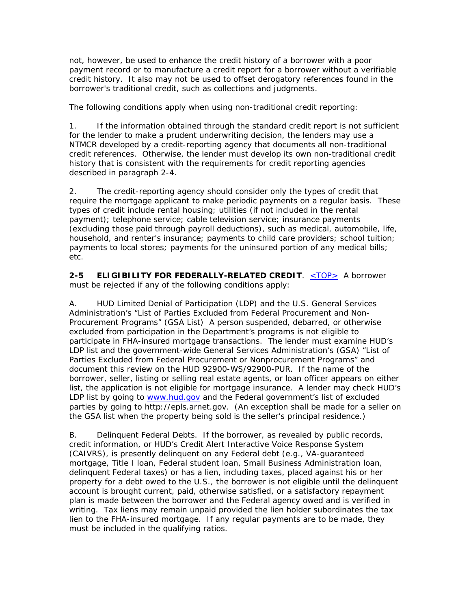not, however, be used to enhance the credit history of a borrower with a poor payment record or to manufacture a credit report for a borrower without a verifiable credit history. It also may not be used to offset derogatory references found in the borrower's traditional credit, such as collections and judgments.

The following conditions apply when using non-traditional credit reporting:

1. If the information obtained through the standard credit report is not sufficient for the lender to make a prudent underwriting decision, the lenders may use a NTMCR developed by a credit-reporting agency that documents all non-traditional credit references. Otherwise, the lender must develop its own non-traditional credit history that is consistent with the requirements for credit reporting agencies described in paragraph 2-4.

2. The credit-reporting agency should consider only the types of credit that require the mortgage applicant to make periodic payments on a regular basis. These types of credit include rental housing; utilities (if not included in the rental payment); telephone service; cable television service; insurance payments (excluding those paid through payroll deductions), such as medical, automobile, life, household, and renter's insurance; payments to child care providers; school tuition; payments to local stores; payments for the uninsured portion of any medical bills; etc.

**2-5 ELIGIBILITY FOR FEDERALLY-RELATED CREDIT**. <TOP> A borrower must be rejected if any of the following conditions apply:

A. HUD Limited Denial of Participation (LDP) and the U.S. General Services Administration's "List of Parties Excluded from Federal Procurement and Non-Procurement Programs" (GSA List) A person suspended, debarred, or otherwise excluded from participation in the Department's programs is not eligible to participate in FHA-insured mortgage transactions. The lender must examine HUD's LDP list and the government-wide General Services Administration's (GSA) "List of Parties Excluded from Federal Procurement or Nonprocurement Programs" and document this review on the HUD 92900-WS/92900-PUR. If the name of the borrower, seller, listing or selling real estate agents, or loan officer appears on either list, the application is not eligible for mortgage insurance. A lender may check HUD's LDP list by going to www.hud.gov and the Federal government's list of excluded parties by going to http://epls.arnet.gov. (An exception shall be made for a seller on the GSA list when the property being sold is the seller's principal residence.)

B. Delinquent Federal Debts. If the borrower, as revealed by public records, credit information, or HUD's Credit Alert Interactive Voice Response System (CAIVRS), is presently delinquent on any Federal debt (e.g., VA-guaranteed mortgage, Title I loan, Federal student loan, Small Business Administration loan, delinquent Federal taxes) or has a lien, including taxes, placed against his or her property for a debt owed to the U.S., the borrower is not eligible until the delinquent account is brought current, paid, otherwise satisfied, or a satisfactory repayment plan is made between the borrower and the Federal agency owed and is verified in writing. Tax liens may remain unpaid provided the lien holder subordinates the tax lien to the FHA-insured mortgage. If any regular payments are to be made, they must be included in the qualifying ratios.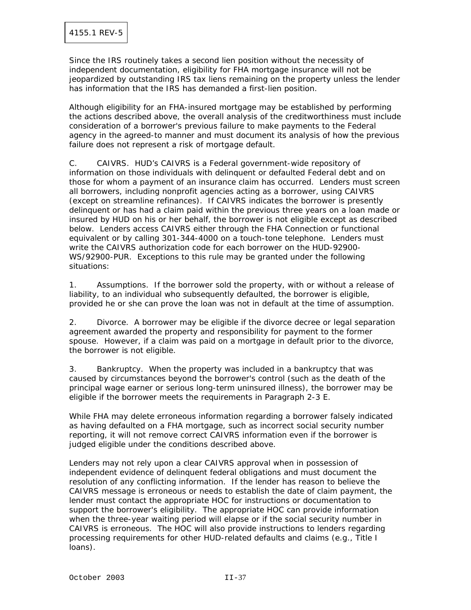Since the IRS routinely takes a second lien position without the necessity of independent documentation, eligibility for FHA mortgage insurance will not be jeopardized by outstanding IRS tax liens remaining on the property unless the lender has information that the IRS has demanded a first-lien position.

Although eligibility for an FHA-insured mortgage may be established by performing the actions described above, the overall analysis of the creditworthiness must include consideration of a borrower's previous failure to make payments to the Federal agency in the agreed-to manner and must document its analysis of how the previous failure does not represent a risk of mortgage default.

C. CAIVRS. HUD's CAIVRS is a Federal government-wide repository of information on those individuals with delinquent or defaulted Federal debt and on those for whom a payment of an insurance claim has occurred. Lenders must screen all borrowers, including nonprofit agencies acting as a borrower, using CAIVRS (except on streamline refinances). If CAIVRS indicates the borrower is presently delinquent or has had a claim paid within the previous three years on a loan made or insured by HUD on his or her behalf, the borrower is not eligible except as described below. Lenders access CAIVRS either through the FHA Connection or functional equivalent or by calling 301-344-4000 on a touch-tone telephone. Lenders must write the CAIVRS authorization code for each borrower on the HUD-92900- WS/92900-PUR. Exceptions to this rule may be granted under the following situations:

1. Assumptions. If the borrower sold the property, with or without a release of liability, to an individual who subsequently defaulted, the borrower is eligible, provided he or she can prove the loan was not in default at the time of assumption.

2. Divorce. A borrower may be eligible if the divorce decree or legal separation agreement awarded the property and responsibility for payment to the former spouse. However, if a claim was paid on a mortgage in default prior to the divorce, the borrower is not eligible.

3. Bankruptcy. When the property was included in a bankruptcy that was caused by circumstances beyond the borrower's control (such as the death of the principal wage earner or serious long-term uninsured illness), the borrower may be eligible if the borrower meets the requirements in Paragraph 2-3 E.

While FHA may delete erroneous information regarding a borrower falsely indicated as having defaulted on a FHA mortgage, such as incorrect social security number reporting, it will not remove correct CAIVRS information even if the borrower is judged eligible under the conditions described above.

Lenders may not rely upon a clear CAIVRS approval when in possession of independent evidence of delinquent federal obligations and must document the resolution of any conflicting information. If the lender has reason to believe the CAIVRS message is erroneous or needs to establish the date of claim payment, the lender must contact the appropriate HOC for instructions or documentation to support the borrower's eligibility. The appropriate HOC can provide information when the three-year waiting period will elapse or if the social security number in CAIVRS is erroneous. The HOC will also provide instructions to lenders regarding processing requirements for other HUD-related defaults and claims (e.g., Title I loans).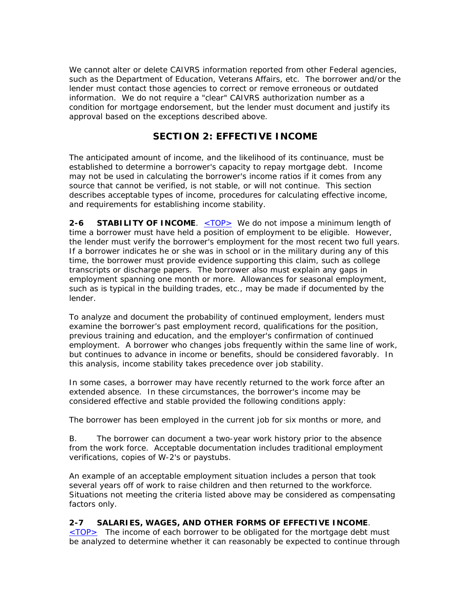We cannot alter or delete CAIVRS information reported from other Federal agencies, such as the Department of Education, Veterans Affairs, etc. The borrower and/or the lender must contact those agencies to correct or remove erroneous or outdated information. We do not require a "clear" CAIVRS authorization number as a condition for mortgage endorsement, but the lender must document and justify its approval based on the exceptions described above.

# **SECTION 2: EFFECTIVE INCOME**

The anticipated amount of income, and the likelihood of its continuance, must be established to determine a borrower's capacity to repay mortgage debt. Income may not be used in calculating the borrower's income ratios if it comes from any source that cannot be verified, is not stable, or will not continue. This section describes acceptable types of income, procedures for calculating effective income, and requirements for establishing income stability.

**2-6 STABILITY OF INCOME.** <TOP> We do not impose a minimum length of time a borrower must have held a position of employment to be eligible. However, the lender must verify the borrower's employment for the most recent two full years. If a borrower indicates he or she was in school or in the military during any of this time, the borrower must provide evidence supporting this claim, such as college transcripts or discharge papers. The borrower also must explain any gaps in employment spanning one month or more. Allowances for seasonal employment, such as is typical in the building trades, etc., may be made if documented by the lender.

To analyze and document the probability of continued employment, lenders must examine the borrower's past employment record, qualifications for the position, previous training and education, and the employer's confirmation of continued employment. A borrower who changes jobs frequently within the same line of work, but continues to advance in income or benefits, should be considered favorably. In this analysis, income stability takes precedence over job stability.

In some cases, a borrower may have recently returned to the work force after an extended absence. In these circumstances, the borrower's income may be considered effective and stable provided the following conditions apply:

The borrower has been employed in the current job for six months or more, and

B. The borrower can document a two-year work history prior to the absence from the work force. Acceptable documentation includes traditional employment verifications, copies of W-2's or paystubs.

An example of an acceptable employment situation includes a person that took several years off of work to raise children and then returned to the workforce. Situations not meeting the criteria listed above may be considered as compensating factors only.

#### **2-7 SALARIES, WAGES, AND OTHER FORMS OF EFFECTIVE INCOME**.

<TOP> The income of each borrower to be obligated for the mortgage debt must be analyzed to determine whether it can reasonably be expected to continue through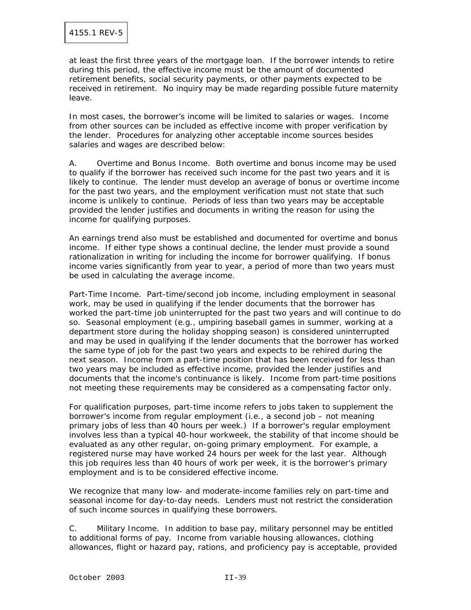at least the first three years of the mortgage loan. If the borrower intends to retire during this period, the effective income must be the amount of documented retirement benefits, social security payments, or other payments expected to be received in retirement. No inquiry may be made regarding possible future maternity leave.

In most cases, the borrower's income will be limited to salaries or wages. Income from other sources can be included as effective income with proper verification by the lender. Procedures for analyzing other acceptable income sources besides salaries and wages are described below:

A. Overtime and Bonus Income. Both overtime and bonus income may be used to qualify if the borrower has received such income for the past two years and it is likely to continue. The lender must develop an average of bonus or overtime income for the past two years, and the employment verification must not state that such income is unlikely to continue. Periods of less than two years may be acceptable provided the lender justifies and documents in writing the reason for using the income for qualifying purposes.

An earnings trend also must be established and documented for overtime and bonus income. If either type shows a continual decline, the lender must provide a sound rationalization in writing for including the income for borrower qualifying. If bonus income varies significantly from year to year, a period of more than two years must be used in calculating the average income.

Part-Time Income. Part-time/second job income, including employment in seasonal work, may be used in qualifying if the lender documents that the borrower has worked the part-time job uninterrupted for the past two years and will continue to do so. Seasonal employment (e.g., umpiring baseball games in summer, working at a department store during the holiday shopping season) is considered uninterrupted and may be used in qualifying if the lender documents that the borrower has worked the same type of job for the past two years and expects to be rehired during the next season. Income from a part-time position that has been received for less than two years may be included as effective income, provided the lender justifies and documents that the income's continuance is likely. Income from part-time positions not meeting these requirements may be considered as a compensating factor only.

For qualification purposes, part-time income refers to jobs taken to supplement the borrower's income from regular employment (i.e., a second job – not meaning primary jobs of less than 40 hours per week.) If a borrower's regular employment involves less than a typical 40-hour workweek, the stability of that income should be evaluated as any other regular, on-going primary employment. For example, a registered nurse may have worked 24 hours per week for the last year. Although this job requires less than 40 hours of work per week, it is the borrower's primary employment and is to be considered effective income.

We recognize that many low- and moderate-income families rely on part-time and seasonal income for day-to-day needs. Lenders must not restrict the consideration of such income sources in qualifying these borrowers.

C. Military Income. In addition to base pay, military personnel may be entitled to additional forms of pay. Income from variable housing allowances, clothing allowances, flight or hazard pay, rations, and proficiency pay is acceptable, provided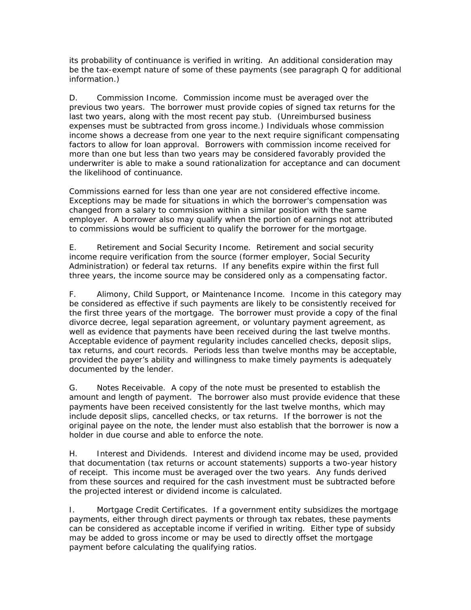its probability of continuance is verified in writing. An additional consideration may be the tax-exempt nature of some of these payments (see paragraph Q for additional information.)

D. Commission Income. Commission income must be averaged over the previous two years. The borrower must provide copies of signed tax returns for the last two years, along with the most recent pay stub. (Unreimbursed business expenses must be subtracted from gross income.) Individuals whose commission income shows a decrease from one year to the next require significant compensating factors to allow for loan approval. Borrowers with commission income received for more than one but less than two years may be considered favorably provided the underwriter is able to make a sound rationalization for acceptance and can document the likelihood of continuance.

Commissions earned for less than one year are not considered effective income. Exceptions may be made for situations in which the borrower's compensation was changed from a salary to commission within a similar position with the same employer. A borrower also may qualify when the portion of earnings not attributed to commissions would be sufficient to qualify the borrower for the mortgage.

E. Retirement and Social Security Income. Retirement and social security income require verification from the source (former employer, Social Security Administration) or federal tax returns. If any benefits expire within the first full three years, the income source may be considered only as a compensating factor.

F. Alimony, Child Support, or Maintenance Income. Income in this category may be considered as effective if such payments are likely to be consistently received for the first three years of the mortgage. The borrower must provide a copy of the final divorce decree, legal separation agreement, or voluntary payment agreement, as well as evidence that payments have been received during the last twelve months. Acceptable evidence of payment regularity includes cancelled checks, deposit slips, tax returns, and court records. Periods less than twelve months may be acceptable, provided the payer's ability and willingness to make timely payments is adequately documented by the lender.

G. Notes Receivable. A copy of the note must be presented to establish the amount and length of payment. The borrower also must provide evidence that these payments have been received consistently for the last twelve months, which may include deposit slips, cancelled checks, or tax returns. If the borrower is not the original payee on the note, the lender must also establish that the borrower is now a holder in due course and able to enforce the note.

H. Interest and Dividends. Interest and dividend income may be used, provided that documentation (tax returns or account statements) supports a two-year history of receipt. This income must be averaged over the two years. Any funds derived from these sources and required for the cash investment must be subtracted before the projected interest or dividend income is calculated.

I. Mortgage Credit Certificates. If a government entity subsidizes the mortgage payments, either through direct payments or through tax rebates, these payments can be considered as acceptable income if verified in writing. Either type of subsidy may be added to gross income or may be used to directly offset the mortgage payment before calculating the qualifying ratios.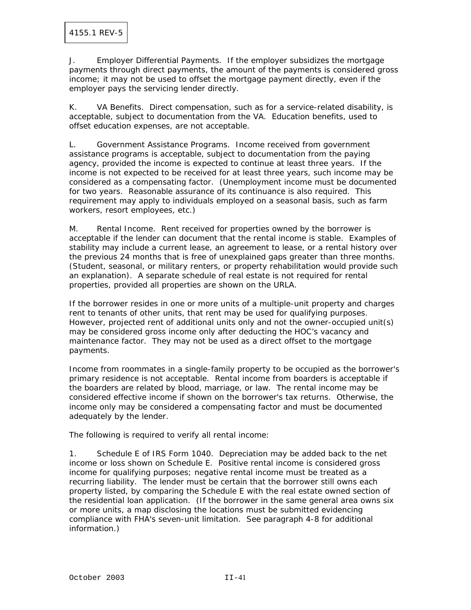J. Employer Differential Payments. If the employer subsidizes the mortgage payments through direct payments, the amount of the payments is considered gross income; it may not be used to offset the mortgage payment directly, even if the employer pays the servicing lender directly.

K. VA Benefits. Direct compensation, such as for a service-related disability, is acceptable, subject to documentation from the VA. Education benefits, used to offset education expenses, are not acceptable.

L. Government Assistance Programs. Income received from government assistance programs is acceptable, subject to documentation from the paying agency, provided the income is expected to continue at least three years. If the income is not expected to be received for at least three years, such income may be considered as a compensating factor. (Unemployment income must be documented for two years. Reasonable assurance of its continuance is also required. This requirement may apply to individuals employed on a seasonal basis, such as farm workers, resort employees, etc.)

M. Rental Income. Rent received for properties owned by the borrower is acceptable if the lender can document that the rental income is stable. Examples of stability may include a current lease, an agreement to lease, or a rental history over the previous 24 months that is free of unexplained gaps greater than three months. (Student, seasonal, or military renters, or property rehabilitation would provide such an explanation). A separate schedule of real estate is not required for rental properties, provided all properties are shown on the URLA.

If the borrower resides in one or more units of a multiple-unit property and charges rent to tenants of other units, that rent may be used for qualifying purposes. However, projected rent of additional units only and not the owner-occupied unit(s) may be considered gross income only after deducting the HOC's vacancy and maintenance factor. They may not be used as a direct offset to the mortgage payments.

Income from roommates in a single-family property to be occupied as the borrower's primary residence is not acceptable. Rental income from boarders is acceptable if the boarders are related by blood, marriage, or law. The rental income may be considered effective income if shown on the borrower's tax returns. Otherwise, the income only may be considered a compensating factor and must be documented adequately by the lender.

The following is required to verify all rental income:

1. Schedule E of IRS Form 1040. Depreciation may be added back to the net income or loss shown on Schedule E. Positive rental income is considered gross income for qualifying purposes; negative rental income must be treated as a recurring liability. The lender must be certain that the borrower still owns each property listed, by comparing the Schedule E with the real estate owned section of the residential loan application. (If the borrower in the same general area owns six or more units, a map disclosing the locations must be submitted evidencing compliance with FHA's seven-unit limitation. See paragraph 4-8 for additional information.)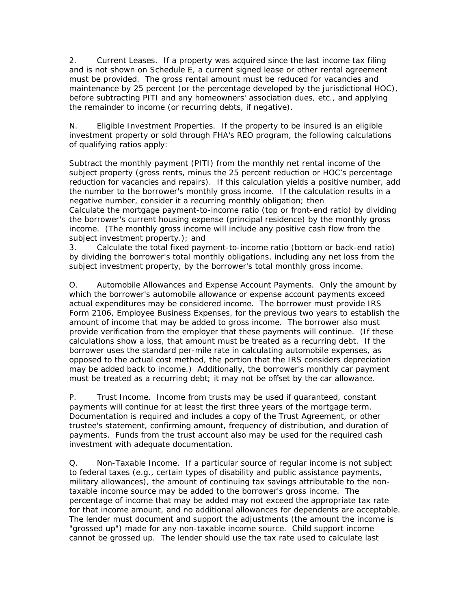2. Current Leases. If a property was acquired since the last income tax filing and is not shown on Schedule E, a current signed lease or other rental agreement must be provided. The gross rental amount must be reduced for vacancies and maintenance by 25 percent (or the percentage developed by the jurisdictional HOC), before subtracting PITI and any homeowners' association dues, etc., and applying the remainder to income (or recurring debts, if negative).

N. Eligible Investment Properties. If the property to be insured is an eligible investment property or sold through FHA's REO program, the following calculations of qualifying ratios apply:

Subtract the monthly payment (PITI) from the monthly net rental income of the subject property (gross rents, minus the 25 percent reduction or HOC's percentage reduction for vacancies and repairs). If this calculation yields a positive number, add the number to the borrower's monthly gross income. If the calculation results in a negative number, consider it a recurring monthly obligation; then Calculate the mortgage payment-to-income ratio (top or front-end ratio) by dividing the borrower's current housing expense (principal residence) by the monthly gross income. (The monthly gross income will include any positive cash flow from the subject investment property.); and

3. Calculate the total fixed payment-to-income ratio (bottom or back-end ratio) by dividing the borrower's total monthly obligations, including any net loss from the subject investment property, by the borrower's total monthly gross income.

O. Automobile Allowances and Expense Account Payments. Only the amount by which the borrower's automobile allowance or expense account payments exceed actual expenditures may be considered income. The borrower must provide IRS Form 2106, Employee Business Expenses, for the previous two years to establish the amount of income that may be added to gross income. The borrower also must provide verification from the employer that these payments will continue. (If these calculations show a loss, that amount must be treated as a recurring debt. If the borrower uses the standard per-mile rate in calculating automobile expenses, as opposed to the actual cost method, the portion that the IRS considers depreciation may be added back to income.) Additionally, the borrower's monthly car payment must be treated as a recurring debt; it may not be offset by the car allowance.

P. Trust Income. Income from trusts may be used if guaranteed, constant payments will continue for at least the first three years of the mortgage term. Documentation is required and includes a copy of the Trust Agreement, or other trustee's statement, confirming amount, frequency of distribution, and duration of payments. Funds from the trust account also may be used for the required cash investment with adequate documentation.

Q. Non-Taxable Income. If a particular source of regular income is not subject to federal taxes (e.g., certain types of disability and public assistance payments, military allowances), the amount of continuing tax savings attributable to the nontaxable income source may be added to the borrower's gross income. The percentage of income that may be added may not exceed the appropriate tax rate for that income amount, and no additional allowances for dependents are acceptable. The lender must document and support the adjustments (the amount the income is "grossed up") made for any non-taxable income source. Child support income cannot be grossed up. The lender should use the tax rate used to calculate last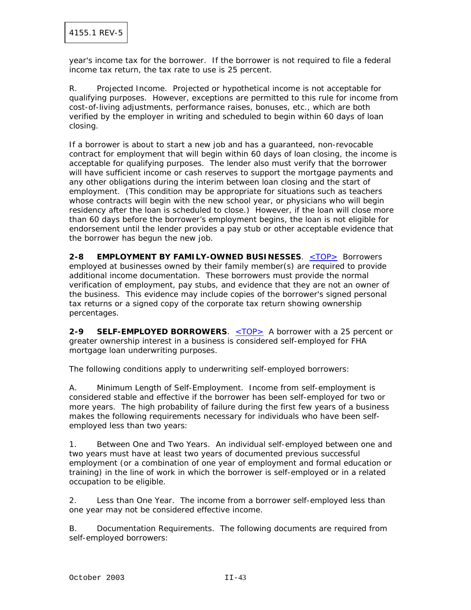year's income tax for the borrower. If the borrower is not required to file a federal income tax return, the tax rate to use is 25 percent.

R. Projected Income. Projected or hypothetical income is not acceptable for qualifying purposes. However, exceptions are permitted to this rule for income from cost-of-living adjustments, performance raises, bonuses, etc., which are both verified by the employer in writing and scheduled to begin within 60 days of loan closing.

If a borrower is about to start a new job and has a guaranteed, non-revocable contract for employment that will begin within 60 days of loan closing, the income is acceptable for qualifying purposes. The lender also must verify that the borrower will have sufficient income or cash reserves to support the mortgage payments and any other obligations during the interim between loan closing and the start of employment. (This condition may be appropriate for situations such as teachers whose contracts will begin with the new school year, or physicians who will begin residency after the loan is scheduled to close.) However, if the loan will close more than 60 days before the borrower's employment begins, the loan is not eligible for endorsement until the lender provides a pay stub or other acceptable evidence that the borrower has begun the new job.

**2-8 EMPLOYMENT BY FAMILY-OWNED BUSINESSES**. <TOP> Borrowers employed at businesses owned by their family member(s) are required to provide additional income documentation. These borrowers must provide the normal verification of employment, pay stubs, and evidence that they are not an owner of the business. This evidence may include copies of the borrower's signed personal tax returns or a signed copy of the corporate tax return showing ownership percentages.

**2-9 SELF-EMPLOYED BORROWERS**. <TOP> A borrower with a 25 percent or greater ownership interest in a business is considered self-employed for FHA mortgage loan underwriting purposes.

The following conditions apply to underwriting self-employed borrowers:

A. Minimum Length of Self-Employment. Income from self-employment is considered stable and effective if the borrower has been self-employed for two or more years. The high probability of failure during the first few years of a business makes the following requirements necessary for individuals who have been selfemployed less than two years:

1. Between One and Two Years. An individual self-employed between one and two years must have at least two years of documented previous successful employment (or a combination of one year of employment and formal education or training) in the line of work in which the borrower is self-employed or in a related occupation to be eligible.

2. Less than One Year. The income from a borrower self-employed less than one year may not be considered effective income.

B. Documentation Requirements. The following documents are required from self-employed borrowers: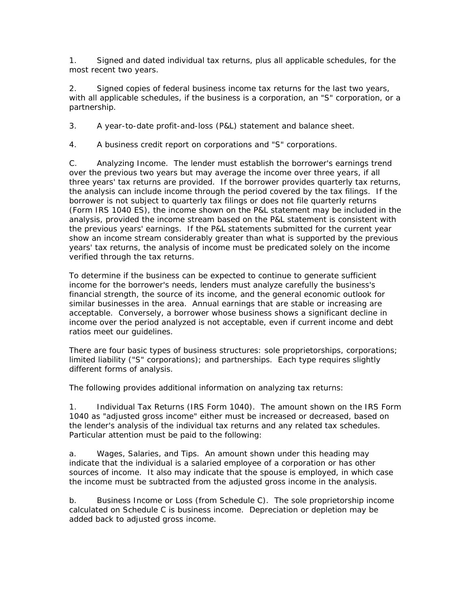1. Signed and dated individual tax returns, plus all applicable schedules, for the most recent two years.

2. Signed copies of federal business income tax returns for the last two years, with all applicable schedules, if the business is a corporation, an "S" corporation, or a partnership.

3. A year-to-date profit-and-loss (P&L) statement and balance sheet.

4. A business credit report on corporations and "S" corporations.

C. Analyzing Income. The lender must establish the borrower's earnings trend over the previous two years but may average the income over three years, if all three years' tax returns are provided. If the borrower provides quarterly tax returns, the analysis can include income through the period covered by the tax filings. If the borrower is not subject to quarterly tax filings or does not file quarterly returns (Form IRS 1040 ES), the income shown on the P&L statement may be included in the analysis, provided the income stream based on the P&L statement is consistent with the previous years' earnings. If the P&L statements submitted for the current year show an income stream considerably greater than what is supported by the previous years' tax returns, the analysis of income must be predicated solely on the income verified through the tax returns.

To determine if the business can be expected to continue to generate sufficient income for the borrower's needs, lenders must analyze carefully the business's financial strength, the source of its income, and the general economic outlook for similar businesses in the area. Annual earnings that are stable or increasing are acceptable. Conversely, a borrower whose business shows a significant decline in income over the period analyzed is not acceptable, even if current income and debt ratios meet our guidelines.

There are four basic types of business structures: sole proprietorships, corporations; limited liability ("S" corporations); and partnerships. Each type requires slightly different forms of analysis.

The following provides additional information on analyzing tax returns:

1. Individual Tax Returns (IRS Form 1040). The amount shown on the IRS Form 1040 as "adjusted gross income" either must be increased or decreased, based on the lender's analysis of the individual tax returns and any related tax schedules. Particular attention must be paid to the following:

a. Wages, Salaries, and Tips. An amount shown under this heading may indicate that the individual is a salaried employee of a corporation or has other sources of income. It also may indicate that the spouse is employed, in which case the income must be subtracted from the adjusted gross income in the analysis.

b. Business Income or Loss (from Schedule C). The sole proprietorship income calculated on Schedule C is business income. Depreciation or depletion may be added back to adjusted gross income.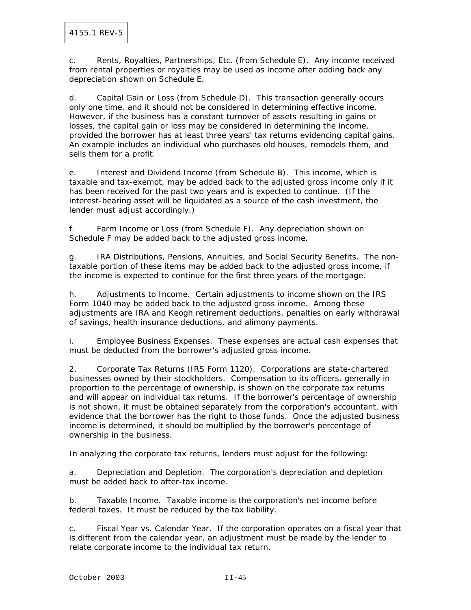c. Rents, Royalties, Partnerships, Etc. (from Schedule E). Any income received from rental properties or royalties may be used as income after adding back any depreciation shown on Schedule E.

d. Capital Gain or Loss (from Schedule D). This transaction generally occurs only one time, and it should not be considered in determining effective income. However, if the business has a constant turnover of assets resulting in gains or losses, the capital gain or loss may be considered in determining the income, provided the borrower has at least three years' tax returns evidencing capital gains. An example includes an individual who purchases old houses, remodels them, and sells them for a profit.

e. Interest and Dividend Income (from Schedule B). This income, which is taxable and tax-exempt, may be added back to the adjusted gross income only if it has been received for the past two years and is expected to continue. (If the interest-bearing asset will be liquidated as a source of the cash investment, the lender must adjust accordingly.)

f. Farm Income or Loss (from Schedule F). Any depreciation shown on Schedule F may be added back to the adjusted gross income.

g. IRA Distributions, Pensions, Annuities, and Social Security Benefits. The nontaxable portion of these items may be added back to the adjusted gross income, if the income is expected to continue for the first three years of the mortgage.

h. Adjustments to Income. Certain adjustments to income shown on the IRS Form 1040 may be added back to the adjusted gross income. Among these adjustments are IRA and Keogh retirement deductions, penalties on early withdrawal of savings, health insurance deductions, and alimony payments.

i. Employee Business Expenses. These expenses are actual cash expenses that must be deducted from the borrower's adjusted gross income.

2. Corporate Tax Returns (IRS Form 1120). Corporations are state-chartered businesses owned by their stockholders. Compensation to its officers, generally in proportion to the percentage of ownership, is shown on the corporate tax returns and will appear on individual tax returns. If the borrower's percentage of ownership is not shown, it must be obtained separately from the corporation's accountant, with evidence that the borrower has the right to those funds. Once the adjusted business income is determined, it should be multiplied by the borrower's percentage of ownership in the business.

In analyzing the corporate tax returns, lenders must adjust for the following:

a. Depreciation and Depletion. The corporation's depreciation and depletion must be added back to after-tax income.

b. Taxable Income. Taxable income is the corporation's net income before federal taxes. It must be reduced by the tax liability.

c. Fiscal Year vs. Calendar Year. If the corporation operates on a fiscal year that is different from the calendar year, an adjustment must be made by the lender to relate corporate income to the individual tax return.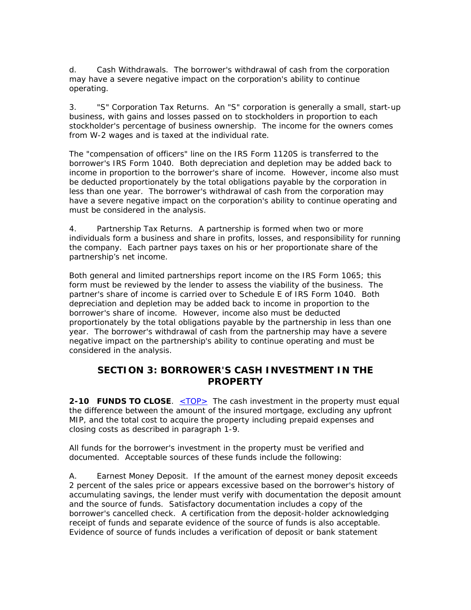d. Cash Withdrawals. The borrower's withdrawal of cash from the corporation may have a severe negative impact on the corporation's ability to continue operating.

3. "S" Corporation Tax Returns. An "S" corporation is generally a small, start-up business, with gains and losses passed on to stockholders in proportion to each stockholder's percentage of business ownership. The income for the owners comes from W-2 wages and is taxed at the individual rate.

The "compensation of officers" line on the IRS Form 1120S is transferred to the borrower's IRS Form 1040. Both depreciation and depletion may be added back to income in proportion to the borrower's share of income. However, income also must be deducted proportionately by the total obligations payable by the corporation in less than one year. The borrower's withdrawal of cash from the corporation may have a severe negative impact on the corporation's ability to continue operating and must be considered in the analysis.

4. Partnership Tax Returns. A partnership is formed when two or more individuals form a business and share in profits, losses, and responsibility for running the company. Each partner pays taxes on his or her proportionate share of the partnership's net income.

Both general and limited partnerships report income on the IRS Form 1065; this form must be reviewed by the lender to assess the viability of the business. The partner's share of income is carried over to Schedule E of IRS Form 1040. Both depreciation and depletion may be added back to income in proportion to the borrower's share of income. However, income also must be deducted proportionately by the total obligations payable by the partnership in less than one year. The borrower's withdrawal of cash from the partnership may have a severe negative impact on the partnership's ability to continue operating and must be considered in the analysis.

## **SECTION 3: BORROWER'S CASH INVESTMENT IN THE PROPERTY**

**2-10 FUNDS TO CLOSE.** <TOP> The cash investment in the property must equal the difference between the amount of the insured mortgage, excluding any upfront MIP, and the total cost to acquire the property including prepaid expenses and closing costs as described in paragraph 1-9.

All funds for the borrower's investment in the property must be verified and documented. Acceptable sources of these funds include the following:

A. Earnest Money Deposit. If the amount of the earnest money deposit exceeds 2 percent of the sales price or appears excessive based on the borrower's history of accumulating savings, the lender must verify with documentation the deposit amount and the source of funds. Satisfactory documentation includes a copy of the borrower's cancelled check. A certification from the deposit-holder acknowledging receipt of funds and separate evidence of the source of funds is also acceptable. Evidence of source of funds includes a verification of deposit or bank statement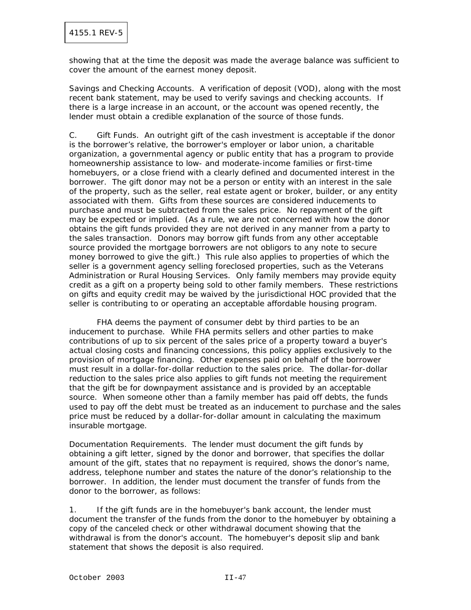showing that at the time the deposit was made the average balance was sufficient to cover the amount of the earnest money deposit.

Savings and Checking Accounts. A verification of deposit (VOD), along with the most recent bank statement, may be used to verify savings and checking accounts. If there is a large increase in an account, or the account was opened recently, the lender must obtain a credible explanation of the source of those funds.

C. Gift Funds. An outright gift of the cash investment is acceptable if the donor is the borrower's relative, the borrower's employer or labor union, a charitable organization, a governmental agency or public entity that has a program to provide homeownership assistance to low- and moderate-income families or first-time homebuyers, or a close friend with a clearly defined and documented interest in the borrower. The gift donor may not be a person or entity with an interest in the sale of the property, such as the seller, real estate agent or broker, builder, or any entity associated with them. Gifts from these sources are considered inducements to purchase and must be subtracted from the sales price. No repayment of the gift may be expected or implied. (As a rule, we are not concerned with how the donor obtains the gift funds provided they are not derived in any manner from a party to the sales transaction. Donors may borrow gift funds from any other acceptable source provided the mortgage borrowers are not obligors to any note to secure money borrowed to give the gift.) This rule also applies to properties of which the seller is a government agency selling foreclosed properties, such as the Veterans Administration or Rural Housing Services. Only family members may provide equity credit as a gift on a property being sold to other family members. These restrictions on gifts and equity credit may be waived by the jurisdictional HOC provided that the seller is contributing to or operating an acceptable affordable housing program.

 FHA deems the payment of consumer debt by third parties to be an inducement to purchase. While FHA permits sellers and other parties to make contributions of up to six percent of the sales price of a property toward a buyer's actual closing costs and financing concessions, this policy applies exclusively to the provision of mortgage financing. Other expenses paid on behalf of the borrower must result in a dollar-for-dollar reduction to the sales price. The dollar-for-dollar reduction to the sales price also applies to gift funds not meeting the requirement that the gift be for downpayment assistance and is provided by an acceptable source. When someone other than a family member has paid off debts, the funds used to pay off the debt must be treated as an inducement to purchase and the sales price must be reduced by a dollar-for-dollar amount in calculating the maximum insurable mortgage.

Documentation Requirements. The lender must document the gift funds by obtaining a gift letter, signed by the donor and borrower, that specifies the dollar amount of the gift, states that no repayment is required, shows the donor's name, address, telephone number and states the nature of the donor's relationship to the borrower. In addition, the lender must document the transfer of funds from the donor to the borrower, as follows:

1. If the gift funds are in the homebuyer's bank account, the lender must document the transfer of the funds from the donor to the homebuyer by obtaining a copy of the canceled check or other withdrawal document showing that the withdrawal is from the donor's account. The homebuyer's deposit slip and bank statement that shows the deposit is also required.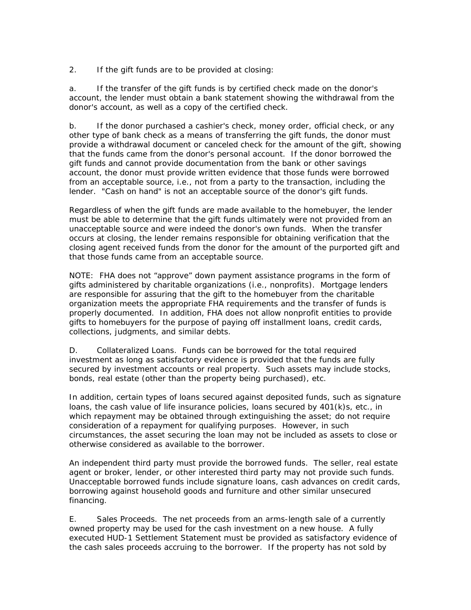2. If the gift funds are to be provided at closing:

a. If the transfer of the gift funds is by certified check made on the donor's account, the lender must obtain a bank statement showing the withdrawal from the donor's account, as well as a copy of the certified check.

b. If the donor purchased a cashier's check, money order, official check, or any other type of bank check as a means of transferring the gift funds, the donor must provide a withdrawal document or canceled check for the amount of the gift, showing that the funds came from the donor's personal account. If the donor borrowed the gift funds and cannot provide documentation from the bank or other savings account, the donor must provide written evidence that those funds were borrowed from an acceptable source, i.e., not from a party to the transaction, including the lender. "Cash on hand" is not an acceptable source of the donor's gift funds.

Regardless of when the gift funds are made available to the homebuyer, the lender must be able to determine that the gift funds ultimately were not provided from an unacceptable source and were indeed the donor's own funds. When the transfer occurs at closing, the lender remains responsible for obtaining verification that the closing agent received funds from the donor for the amount of the purported gift and that those funds came from an acceptable source.

NOTE: FHA does not "approve" down payment assistance programs in the form of gifts administered by charitable organizations (i.e., nonprofits). Mortgage lenders are responsible for assuring that the gift to the homebuyer from the charitable organization meets the appropriate FHA requirements and the transfer of funds is properly documented. In addition, FHA does not allow nonprofit entities to provide gifts to homebuyers for the purpose of paying off installment loans, credit cards, collections, judgments, and similar debts.

D. Collateralized Loans. Funds can be borrowed for the total required investment as long as satisfactory evidence is provided that the funds are fully secured by investment accounts or real property. Such assets may include stocks, bonds, real estate (other than the property being purchased), etc.

In addition, certain types of loans secured against deposited funds, such as signature loans, the cash value of life insurance policies, loans secured by 401(k)s, etc., in which repayment may be obtained through extinguishing the asset; do not require consideration of a repayment for qualifying purposes. However, in such circumstances, the asset securing the loan may not be included as assets to close or otherwise considered as available to the borrower.

An independent third party must provide the borrowed funds. The seller, real estate agent or broker, lender, or other interested third party may not provide such funds. Unacceptable borrowed funds include signature loans, cash advances on credit cards, borrowing against household goods and furniture and other similar unsecured financing.

E. Sales Proceeds. The net proceeds from an arms-length sale of a currently owned property may be used for the cash investment on a new house. A fully executed HUD-1 Settlement Statement must be provided as satisfactory evidence of the cash sales proceeds accruing to the borrower. If the property has not sold by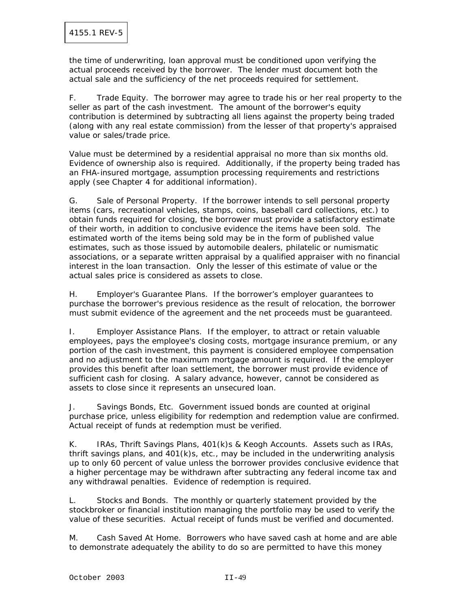the time of underwriting, loan approval must be conditioned upon verifying the actual proceeds received by the borrower. The lender must document both the actual sale and the sufficiency of the net proceeds required for settlement.

F. Trade Equity. The borrower may agree to trade his or her real property to the seller as part of the cash investment. The amount of the borrower's equity contribution is determined by subtracting all liens against the property being traded (along with any real estate commission) from the lesser of that property's appraised value or sales/trade price.

Value must be determined by a residential appraisal no more than six months old. Evidence of ownership also is required. Additionally, if the property being traded has an FHA-insured mortgage, assumption processing requirements and restrictions apply (see Chapter 4 for additional information).

G. Sale of Personal Property. If the borrower intends to sell personal property items (cars, recreational vehicles, stamps, coins, baseball card collections, etc.) to obtain funds required for closing, the borrower must provide a satisfactory estimate of their worth, in addition to conclusive evidence the items have been sold. The estimated worth of the items being sold may be in the form of published value estimates, such as those issued by automobile dealers, philatelic or numismatic associations, or a separate written appraisal by a qualified appraiser with no financial interest in the loan transaction. Only the lesser of this estimate of value or the actual sales price is considered as assets to close.

H. Employer's Guarantee Plans. If the borrower's employer guarantees to purchase the borrower's previous residence as the result of relocation, the borrower must submit evidence of the agreement and the net proceeds must be guaranteed.

I. Employer Assistance Plans. If the employer, to attract or retain valuable employees, pays the employee's closing costs, mortgage insurance premium, or any portion of the cash investment, this payment is considered employee compensation and no adjustment to the maximum mortgage amount is required. If the employer provides this benefit after loan settlement, the borrower must provide evidence of sufficient cash for closing. A salary advance, however, cannot be considered as assets to close since it represents an unsecured loan.

J. Savings Bonds, Etc. Government issued bonds are counted at original purchase price, unless eligibility for redemption and redemption value are confirmed. Actual receipt of funds at redemption must be verified.

K. IRAs, Thrift Savings Plans, 401(k)s & Keogh Accounts. Assets such as IRAs, thrift savings plans, and 401(k)s, etc., may be included in the underwriting analysis up to only 60 percent of value unless the borrower provides conclusive evidence that a higher percentage may be withdrawn after subtracting any federal income tax and any withdrawal penalties. Evidence of redemption is required.

L. Stocks and Bonds. The monthly or quarterly statement provided by the stockbroker or financial institution managing the portfolio may be used to verify the value of these securities. Actual receipt of funds must be verified and documented.

M. Cash Saved At Home. Borrowers who have saved cash at home and are able to demonstrate adequately the ability to do so are permitted to have this money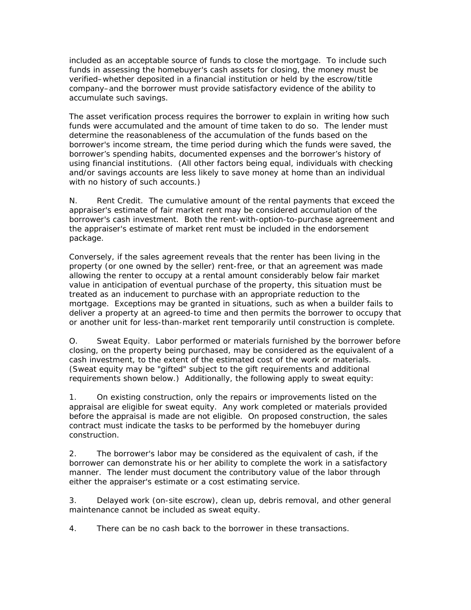included as an acceptable source of funds to close the mortgage. To include such funds in assessing the homebuyer's cash assets for closing, the money must be verified–whether deposited in a financial institution or held by the escrow/title company–and the borrower must provide satisfactory evidence of the ability to accumulate such savings.

The asset verification process requires the borrower to explain in writing how such funds were accumulated and the amount of time taken to do so. The lender must determine the reasonableness of the accumulation of the funds based on the borrower's income stream, the time period during which the funds were saved, the borrower's spending habits, documented expenses and the borrower's history of using financial institutions. (All other factors being equal, individuals with checking and/or savings accounts are less likely to save money at home than an individual with no history of such accounts.)

N. Rent Credit. The cumulative amount of the rental payments that exceed the appraiser's estimate of fair market rent may be considered accumulation of the borrower's cash investment. Both the rent-with-option-to-purchase agreement and the appraiser's estimate of market rent must be included in the endorsement package.

Conversely, if the sales agreement reveals that the renter has been living in the property (or one owned by the seller) rent-free, or that an agreement was made allowing the renter to occupy at a rental amount considerably below fair market value in anticipation of eventual purchase of the property, this situation must be treated as an inducement to purchase with an appropriate reduction to the mortgage. Exceptions may be granted in situations, such as when a builder fails to deliver a property at an agreed-to time and then permits the borrower to occupy that or another unit for less-than-market rent temporarily until construction is complete.

O. Sweat Equity. Labor performed or materials furnished by the borrower before closing, on the property being purchased, may be considered as the equivalent of a cash investment, to the extent of the estimated cost of the work or materials. (Sweat equity may be "gifted" subject to the gift requirements and additional requirements shown below.) Additionally, the following apply to sweat equity:

1. On existing construction, only the repairs or improvements listed on the appraisal are eligible for sweat equity. Any work completed or materials provided before the appraisal is made are not eligible. On proposed construction, the sales contract must indicate the tasks to be performed by the homebuyer during construction.

2. The borrower's labor may be considered as the equivalent of cash, if the borrower can demonstrate his or her ability to complete the work in a satisfactory manner. The lender must document the contributory value of the labor through either the appraiser's estimate or a cost estimating service.

3. Delayed work (on-site escrow), clean up, debris removal, and other general maintenance cannot be included as sweat equity.

4. There can be no cash back to the borrower in these transactions.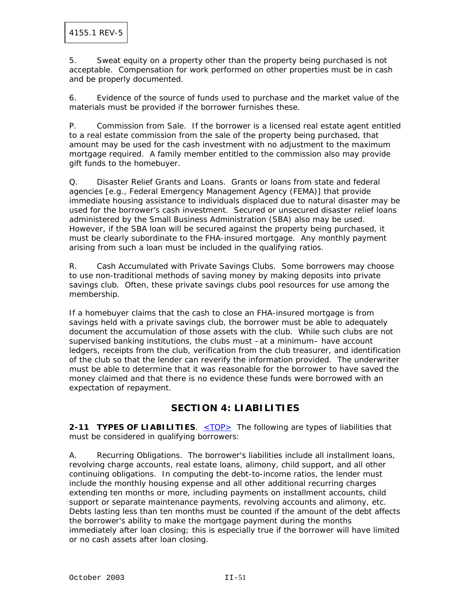5. Sweat equity on a property other than the property being purchased is not acceptable. Compensation for work performed on other properties must be in cash and be properly documented.

6. Evidence of the source of funds used to purchase and the market value of the materials must be provided if the borrower furnishes these.

P. Commission from Sale. If the borrower is a licensed real estate agent entitled to a real estate commission from the sale of the property being purchased, that amount may be used for the cash investment with no adjustment to the maximum mortgage required. A family member entitled to the commission also may provide gift funds to the homebuyer.

Q. Disaster Relief Grants and Loans. Grants or loans from state and federal agencies [e.g., Federal Emergency Management Agency (FEMA)] that provide immediate housing assistance to individuals displaced due to natural disaster may be used for the borrower's cash investment. Secured or unsecured disaster relief loans administered by the Small Business Administration (SBA) also may be used. However, if the SBA loan will be secured against the property being purchased, it must be clearly subordinate to the FHA-insured mortgage. Any monthly payment arising from such a loan must be included in the qualifying ratios.

R. Cash Accumulated with Private Savings Clubs. Some borrowers may choose to use non-traditional methods of saving money by making deposits into private savings club. Often, these private savings clubs pool resources for use among the membership.

If a homebuyer claims that the cash to close an FHA-insured mortgage is from savings held with a private savings club, the borrower must be able to adequately document the accumulation of those assets with the club. While such clubs are not supervised banking institutions, the clubs must –at a minimum– have account ledgers, receipts from the club, verification from the club treasurer, and identification of the club so that the lender can reverify the information provided. The underwriter must be able to determine that it was reasonable for the borrower to have saved the money claimed and that there is no evidence these funds were borrowed with an expectation of repayment.

# **SECTION 4: LIABILITIES**

**2-11 TYPES OF LIABILITIES.** <TOP> The following are types of liabilities that must be considered in qualifying borrowers:

A. Recurring Obligations. The borrower's liabilities include all installment loans, revolving charge accounts, real estate loans, alimony, child support, and all other continuing obligations. In computing the debt-to-income ratios, the lender must include the monthly housing expense and all other additional recurring charges extending ten months or more, including payments on installment accounts, child support or separate maintenance payments, revolving accounts and alimony, etc. Debts lasting less than ten months must be counted if the amount of the debt affects the borrower's ability to make the mortgage payment during the months immediately after loan closing; this is especially true if the borrower will have limited or no cash assets after loan closing.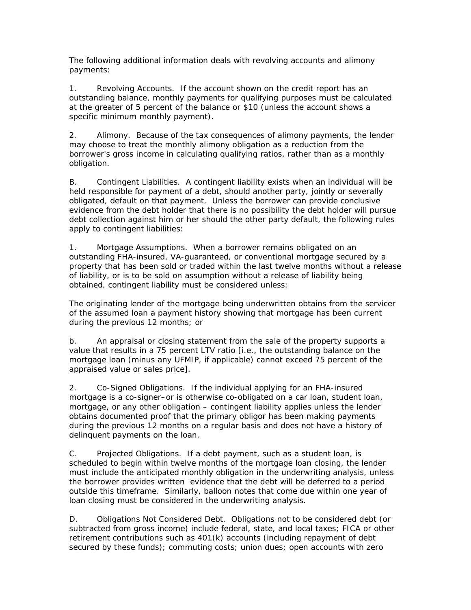The following additional information deals with revolving accounts and alimony payments:

1. Revolving Accounts. If the account shown on the credit report has an outstanding balance, monthly payments for qualifying purposes must be calculated at the greater of 5 percent of the balance or \$10 (unless the account shows a specific minimum monthly payment).

2. Alimony. Because of the tax consequences of alimony payments, the lender may choose to treat the monthly alimony obligation as a reduction from the borrower's gross income in calculating qualifying ratios, rather than as a monthly obligation.

B. Contingent Liabilities. A contingent liability exists when an individual will be held responsible for payment of a debt, should another party, jointly or severally obligated, default on that payment. Unless the borrower can provide conclusive evidence from the debt holder that there is no possibility the debt holder will pursue debt collection against him or her should the other party default, the following rules apply to contingent liabilities:

1. Mortgage Assumptions. When a borrower remains obligated on an outstanding FHA-insured, VA-guaranteed, or conventional mortgage secured by a property that has been sold or traded within the last twelve months without a release of liability, or is to be sold on assumption without a release of liability being obtained, contingent liability must be considered unless:

The originating lender of the mortgage being underwritten obtains from the servicer of the assumed loan a payment history showing that mortgage has been current during the previous 12 months; or

b. An appraisal or closing statement from the sale of the property supports a value that results in a 75 percent LTV ratio [i.e., the outstanding balance on the mortgage loan (minus any UFMIP, if applicable) cannot exceed 75 percent of the appraised value or sales price].

2. Co-Signed Obligations. If the individual applying for an FHA-insured mortgage is a co-signer–or is otherwise co-obligated on a car loan, student loan, mortgage, or any other obligation – contingent liability applies unless the lender obtains documented proof that the primary obligor has been making payments during the previous 12 months on a regular basis and does not have a history of delinquent payments on the loan.

C. Projected Obligations. If a debt payment, such as a student loan, is scheduled to begin within twelve months of the mortgage loan closing, the lender must include the anticipated monthly obligation in the underwriting analysis, unless the borrower provides written evidence that the debt will be deferred to a period outside this timeframe. Similarly, balloon notes that come due within one year of loan closing must be considered in the underwriting analysis.

D. Obligations Not Considered Debt. Obligations not to be considered debt (or subtracted from gross income) include federal, state, and local taxes; FICA or other retirement contributions such as 401(k) accounts (including repayment of debt secured by these funds); commuting costs; union dues; open accounts with zero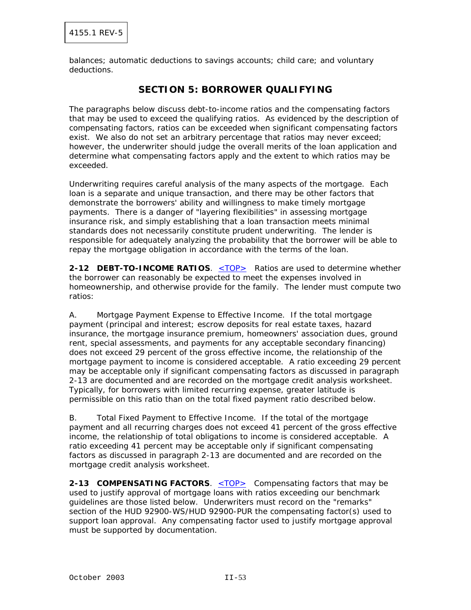balances; automatic deductions to savings accounts; child care; and voluntary deductions.

## **SECTION 5: BORROWER QUALIFYING**

The paragraphs below discuss debt-to-income ratios and the compensating factors that may be used to exceed the qualifying ratios. As evidenced by the description of compensating factors, ratios can be exceeded when significant compensating factors exist. We also do not set an arbitrary percentage that ratios may never exceed; however, the underwriter should judge the overall merits of the loan application and determine what compensating factors apply and the extent to which ratios may be exceeded.

Underwriting requires careful analysis of the many aspects of the mortgage. Each loan is a separate and unique transaction, and there may be other factors that demonstrate the borrowers' ability and willingness to make timely mortgage payments. There is a danger of "layering flexibilities" in assessing mortgage insurance risk, and simply establishing that a loan transaction meets minimal standards does not necessarily constitute prudent underwriting. The lender is responsible for adequately analyzing the probability that the borrower will be able to repay the mortgage obligation in accordance with the terms of the loan.

**2-12 DEBT-TO-INCOME RATIOS.** <TOP> Ratios are used to determine whether the borrower can reasonably be expected to meet the expenses involved in homeownership, and otherwise provide for the family. The lender must compute two ratios:

A. Mortgage Payment Expense to Effective Income. If the total mortgage payment (principal and interest; escrow deposits for real estate taxes, hazard insurance, the mortgage insurance premium, homeowners' association dues, ground rent, special assessments, and payments for any acceptable secondary financing) does not exceed 29 percent of the gross effective income, the relationship of the mortgage payment to income is considered acceptable. A ratio exceeding 29 percent may be acceptable only if significant compensating factors as discussed in paragraph 2-13 are documented and are recorded on the mortgage credit analysis worksheet. Typically, for borrowers with limited recurring expense, greater latitude is permissible on this ratio than on the total fixed payment ratio described below.

B. Total Fixed Payment to Effective Income. If the total of the mortgage payment and all recurring charges does not exceed 41 percent of the gross effective income, the relationship of total obligations to income is considered acceptable. A ratio exceeding 41 percent may be acceptable only if significant compensating factors as discussed in paragraph 2-13 are documented and are recorded on the mortgage credit analysis worksheet.

**2-13 COMPENSATING FACTORS.** <TOP> Compensating factors that may be used to justify approval of mortgage loans with ratios exceeding our benchmark guidelines are those listed below. Underwriters must record on the "remarks" section of the HUD 92900-WS/HUD 92900-PUR the compensating factor(s) used to support loan approval. Any compensating factor used to justify mortgage approval must be supported by documentation.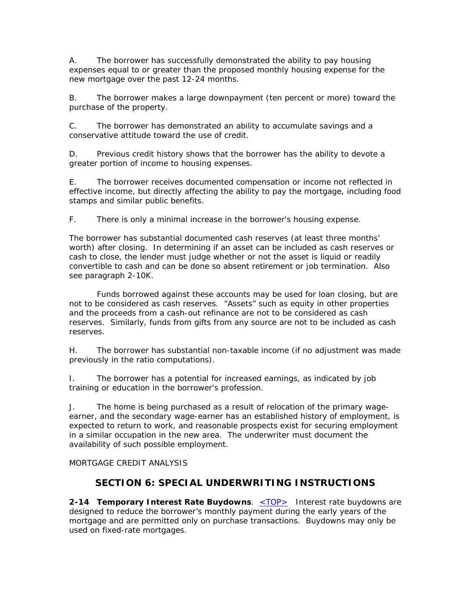A. The borrower has successfully demonstrated the ability to pay housing expenses equal to or greater than the proposed monthly housing expense for the new mortgage over the past 12-24 months.

B. The borrower makes a large downpayment (ten percent or more) toward the purchase of the property.

C. The borrower has demonstrated an ability to accumulate savings and a conservative attitude toward the use of credit.

D. Previous credit history shows that the borrower has the ability to devote a greater portion of income to housing expenses.

E. The borrower receives documented compensation or income not reflected in effective income, but directly affecting the ability to pay the mortgage, including food stamps and similar public benefits.

F. There is only a minimal increase in the borrower's housing expense.

The borrower has substantial documented cash reserves (at least three months' worth) after closing. In determining if an asset can be included as cash reserves or cash to close, the lender must judge whether or not the asset is liquid or readily convertible to cash and can be done so absent retirement or job termination. Also see paragraph 2-10K.

 Funds borrowed against these accounts may be used for loan closing, but are not to be considered as cash reserves. "Assets" such as equity in other properties and the proceeds from a cash-out refinance are not to be considered as cash reserves. Similarly, funds from gifts from any source are not to be included as cash reserves.

H. The borrower has substantial non-taxable income (if no adjustment was made previously in the ratio computations).

I. The borrower has a potential for increased earnings, as indicated by job training or education in the borrower's profession.

J. The home is being purchased as a result of relocation of the primary wageearner, and the secondary wage-earner has an established history of employment, is expected to return to work, and reasonable prospects exist for securing employment in a similar occupation in the new area. The underwriter must document the availability of such possible employment.

MORTGAGE CREDIT ANALYSIS

## **SECTION 6: SPECIAL UNDERWRITING INSTRUCTIONS**

**2-14 Temporary Interest Rate Buydowns**. <TOP> Interest rate buydowns are designed to reduce the borrower's monthly payment during the early years of the mortgage and are permitted only on purchase transactions. Buydowns may only be used on fixed-rate mortgages.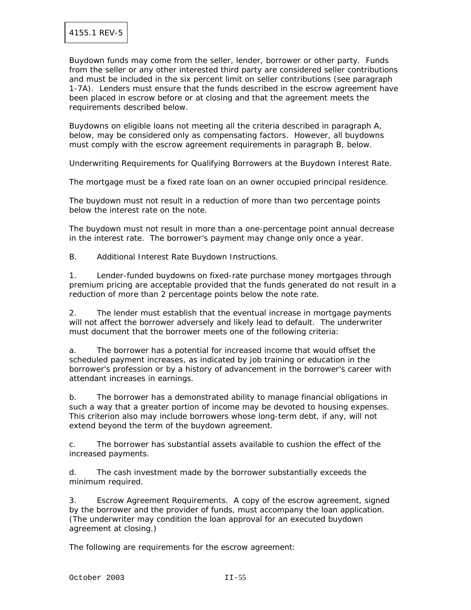Buydown funds may come from the seller, lender, borrower or other party. Funds from the seller or any other interested third party are considered seller contributions and must be included in the six percent limit on seller contributions (see paragraph 1-7A). Lenders must ensure that the funds described in the escrow agreement have been placed in escrow before or at closing and that the agreement meets the requirements described below.

Buydowns on eligible loans not meeting all the criteria described in paragraph A, below, may be considered only as compensating factors. However, all buydowns must comply with the escrow agreement requirements in paragraph B, below.

Underwriting Requirements for Qualifying Borrowers at the Buydown Interest Rate.

The mortgage must be a fixed rate loan on an owner occupied principal residence.

The buydown must not result in a reduction of more than two percentage points below the interest rate on the note.

The buydown must not result in more than a one-percentage point annual decrease in the interest rate. The borrower's payment may change only once a year.

B. Additional Interest Rate Buydown Instructions.

1. Lender-funded buydowns on fixed-rate purchase money mortgages through premium pricing are acceptable provided that the funds generated do not result in a reduction of more than 2 percentage points below the note rate.

2. The lender must establish that the eventual increase in mortgage payments will not affect the borrower adversely and likely lead to default. The underwriter must document that the borrower meets one of the following criteria:

a. The borrower has a potential for increased income that would offset the scheduled payment increases, as indicated by job training or education in the borrower's profession or by a history of advancement in the borrower's career with attendant increases in earnings.

b. The borrower has a demonstrated ability to manage financial obligations in such a way that a greater portion of income may be devoted to housing expenses. This criterion also may include borrowers whose long-term debt, if any, will not extend beyond the term of the buydown agreement.

c. The borrower has substantial assets available to cushion the effect of the increased payments.

d. The cash investment made by the borrower substantially exceeds the minimum required.

3. Escrow Agreement Requirements. A copy of the escrow agreement, signed by the borrower and the provider of funds, must accompany the loan application. (The underwriter may condition the loan approval for an executed buydown agreement at closing.)

The following are requirements for the escrow agreement: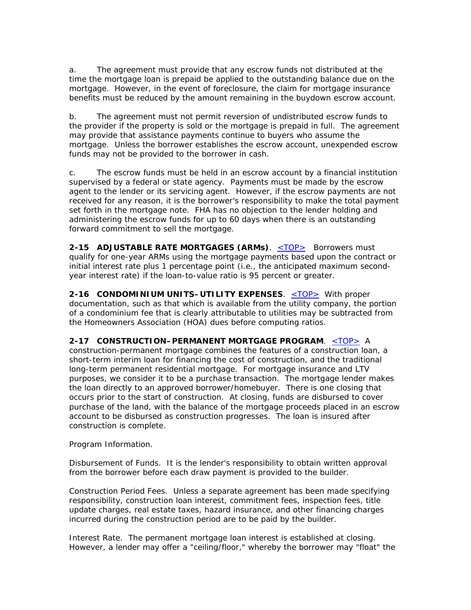a. The agreement must provide that any escrow funds not distributed at the time the mortgage loan is prepaid be applied to the outstanding balance due on the mortgage. However, in the event of foreclosure, the claim for mortgage insurance benefits must be reduced by the amount remaining in the buydown escrow account.

b. The agreement must not permit reversion of undistributed escrow funds to the provider if the property is sold or the mortgage is prepaid in full. The agreement may provide that assistance payments continue to buyers who assume the mortgage. Unless the borrower establishes the escrow account, unexpended escrow funds may not be provided to the borrower in cash.

c. The escrow funds must be held in an escrow account by a financial institution supervised by a federal or state agency. Payments must be made by the escrow agent to the lender or its servicing agent. However, if the escrow payments are not received for any reason, it is the borrower's responsibility to make the total payment set forth in the mortgage note. FHA has no objection to the lender holding and administering the escrow funds for up to 60 days when there is an outstanding forward commitment to sell the mortgage.

**2-15 ADJUSTABLE RATE MORTGAGES (ARMs)**. <TOP> Borrowers must qualify for one-year ARMs using the mortgage payments based upon the contract or initial interest rate plus 1 percentage point (i.e., the anticipated maximum secondyear interest rate) if the loan-to-value ratio is 95 percent or greater.

**2-16 CONDOMINIUM UNITS–UTILITY EXPENSES**. <TOP> With proper documentation, such as that which is available from the utility company, the portion of a condominium fee that is clearly attributable to utilities may be subtracted from the Homeowners Association (HOA) dues before computing ratios.

#### **2-17 CONSTRUCTION–PERMANENT MORTGAGE PROGRAM**. <TOP> A

construction-permanent mortgage combines the features of a construction loan, a short-term interim loan for financing the cost of construction, and the traditional long-term permanent residential mortgage. For mortgage insurance and LTV purposes, we consider it to be a purchase transaction. The mortgage lender makes the loan directly to an approved borrower/homebuyer. There is one closing that occurs prior to the start of construction. At closing, funds are disbursed to cover purchase of the land, with the balance of the mortgage proceeds placed in an escrow account to be disbursed as construction progresses. The loan is insured after construction is complete.

Program Information.

Disbursement of Funds. It is the lender's responsibility to obtain written approval from the borrower before each draw payment is provided to the builder.

Construction Period Fees. Unless a separate agreement has been made specifying responsibility, construction loan interest, commitment fees, inspection fees, title update charges, real estate taxes, hazard insurance, and other financing charges incurred during the construction period are to be paid by the builder.

Interest Rate. The permanent mortgage loan interest is established at closing. However, a lender may offer a "ceiling/floor," whereby the borrower may "float" the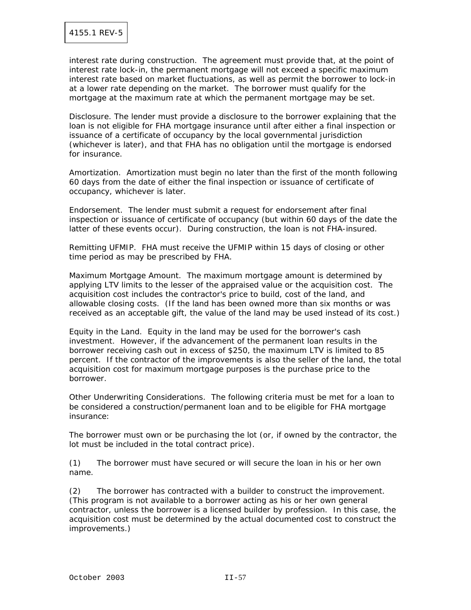interest rate during construction. The agreement must provide that, at the point of interest rate lock-in, the permanent mortgage will not exceed a specific maximum interest rate based on market fluctuations, as well as permit the borrower to lock-in at a lower rate depending on the market. The borrower must qualify for the mortgage at the maximum rate at which the permanent mortgage may be set.

Disclosure. The lender must provide a disclosure to the borrower explaining that the loan is not eligible for FHA mortgage insurance until after either a final inspection or issuance of a certificate of occupancy by the local governmental jurisdiction (whichever is later), and that FHA has no obligation until the mortgage is endorsed for insurance.

Amortization. Amortization must begin no later than the first of the month following 60 days from the date of either the final inspection or issuance of certificate of occupancy, whichever is later.

Endorsement. The lender must submit a request for endorsement after final inspection or issuance of certificate of occupancy (but within 60 days of the date the latter of these events occur). During construction, the loan is not FHA-insured.

Remitting UFMIP. FHA must receive the UFMIP within 15 days of closing or other time period as may be prescribed by FHA.

Maximum Mortgage Amount. The maximum mortgage amount is determined by applying LTV limits to the lesser of the appraised value or the acquisition cost. The acquisition cost includes the contractor's price to build, cost of the land, and allowable closing costs. (If the land has been owned more than six months or was received as an acceptable gift, the value of the land may be used instead of its cost.)

Equity in the Land. Equity in the land may be used for the borrower's cash investment. However, if the advancement of the permanent loan results in the borrower receiving cash out in excess of \$250, the maximum LTV is limited to 85 percent. If the contractor of the improvements is also the seller of the land, the total acquisition cost for maximum mortgage purposes is the purchase price to the borrower.

Other Underwriting Considerations. The following criteria must be met for a loan to be considered a construction/permanent loan and to be eligible for FHA mortgage insurance:

The borrower must own or be purchasing the lot (or, if owned by the contractor, the lot must be included in the total contract price).

(1) The borrower must have secured or will secure the loan in his or her own name.

(2) The borrower has contracted with a builder to construct the improvement. (This program is not available to a borrower acting as his or her own general contractor, unless the borrower is a licensed builder by profession. In this case, the acquisition cost must be determined by the actual documented cost to construct the improvements.)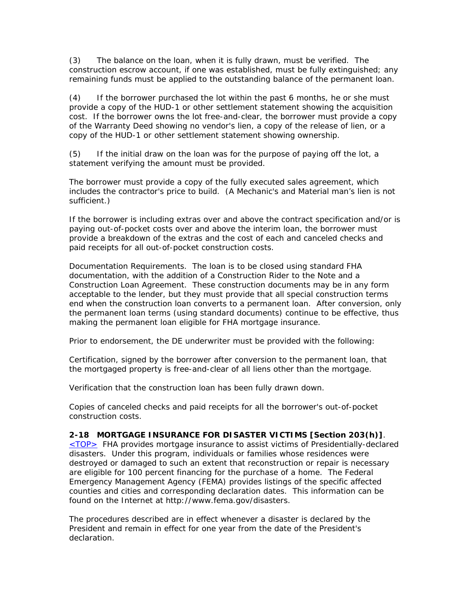(3) The balance on the loan, when it is fully drawn, must be verified. The construction escrow account, if one was established, must be fully extinguished; any remaining funds must be applied to the outstanding balance of the permanent loan.

(4) If the borrower purchased the lot within the past 6 months, he or she must provide a copy of the HUD-1 or other settlement statement showing the acquisition cost. If the borrower owns the lot free-and-clear, the borrower must provide a copy of the Warranty Deed showing no vendor's lien, a copy of the release of lien, or a copy of the HUD-1 or other settlement statement showing ownership.

(5) If the initial draw on the loan was for the purpose of paying off the lot, a statement verifying the amount must be provided.

The borrower must provide a copy of the fully executed sales agreement, which includes the contractor's price to build. (A Mechanic's and Material man's lien is not sufficient.)

If the borrower is including extras over and above the contract specification and/or is paying out-of-pocket costs over and above the interim loan, the borrower must provide a breakdown of the extras and the cost of each and canceled checks and paid receipts for all out-of-pocket construction costs.

Documentation Requirements. The loan is to be closed using standard FHA documentation, with the addition of a Construction Rider to the Note and a Construction Loan Agreement. These construction documents may be in any form acceptable to the lender, but they must provide that all special construction terms end when the construction loan converts to a permanent loan. After conversion, only the permanent loan terms (using standard documents) continue to be effective, thus making the permanent loan eligible for FHA mortgage insurance.

Prior to endorsement, the DE underwriter must be provided with the following:

Certification, signed by the borrower after conversion to the permanent loan, that the mortgaged property is free-and-clear of all liens other than the mortgage.

Verification that the construction loan has been fully drawn down.

Copies of canceled checks and paid receipts for all the borrower's out-of-pocket construction costs.

#### **2-18 MORTGAGE INSURANCE FOR DISASTER VICTIMS [Section 203(h)]**.

 $\leq$ TOP $>$  FHA provides mortgage insurance to assist victims of Presidentially-declared disasters. Under this program, individuals or families whose residences were destroyed or damaged to such an extent that reconstruction or repair is necessary are eligible for 100 percent financing for the purchase of a home. The Federal Emergency Management Agency (FEMA) provides listings of the specific affected counties and cities and corresponding declaration dates. This information can be found on the Internet at http://www.fema.gov/disasters.

The procedures described are in effect whenever a disaster is declared by the President and remain in effect for one year from the date of the President's declaration.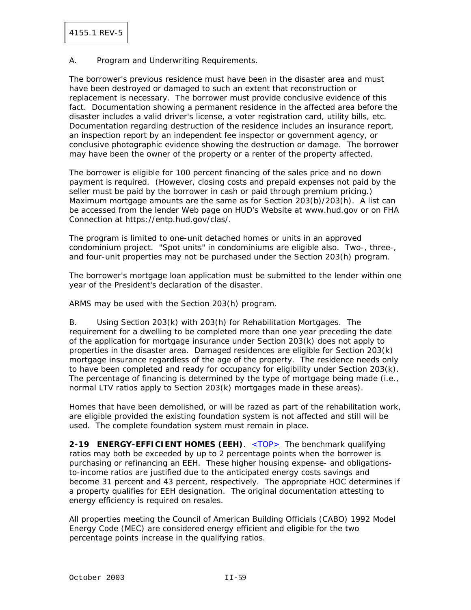A. Program and Underwriting Requirements.

The borrower's previous residence must have been in the disaster area and must have been destroyed or damaged to such an extent that reconstruction or replacement is necessary. The borrower must provide conclusive evidence of this fact. Documentation showing a permanent residence in the affected area before the disaster includes a valid driver's license, a voter registration card, utility bills, etc. Documentation regarding destruction of the residence includes an insurance report, an inspection report by an independent fee inspector or government agency, or conclusive photographic evidence showing the destruction or damage. The borrower may have been the owner of the property or a renter of the property affected.

The borrower is eligible for 100 percent financing of the sales price and no down payment is required. (However, closing costs and prepaid expenses not paid by the seller must be paid by the borrower in cash or paid through premium pricing.) Maximum mortgage amounts are the same as for Section 203(b)/203(h). A list can be accessed from the lender Web page on HUD's Website at www.hud.gov or on FHA Connection at https://entp.hud.gov/clas/.

The program is limited to one-unit detached homes or units in an approved condominium project. "Spot units" in condominiums are eligible also. Two-, three-, and four-unit properties may not be purchased under the Section 203(h) program.

The borrower's mortgage loan application must be submitted to the lender within one year of the President's declaration of the disaster.

ARMS may be used with the Section 203(h) program.

B. Using Section 203(k) with 203(h) for Rehabilitation Mortgages. The requirement for a dwelling to be completed more than one year preceding the date of the application for mortgage insurance under Section 203(k) does not apply to properties in the disaster area. Damaged residences are eligible for Section 203(k) mortgage insurance regardless of the age of the property. The residence needs only to have been completed and ready for occupancy for eligibility under Section 203(k). The percentage of financing is determined by the type of mortgage being made (i.e., normal LTV ratios apply to Section 203(k) mortgages made in these areas).

Homes that have been demolished, or will be razed as part of the rehabilitation work, are eligible provided the existing foundation system is not affected and still will be used. The complete foundation system must remain in place.

**2-19 ENERGY-EFFICIENT HOMES (EEH)**. <u><TOP></u> The benchmark qualifying ratios may both be exceeded by up to 2 percentage points when the borrower is purchasing or refinancing an EEH. These higher housing expense- and obligationsto-income ratios are justified due to the anticipated energy costs savings and become 31 percent and 43 percent, respectively. The appropriate HOC determines if a property qualifies for EEH designation. The original documentation attesting to energy efficiency is required on resales.

All properties meeting the Council of American Building Officials (CABO) 1992 Model Energy Code (MEC) are considered energy efficient and eligible for the two percentage points increase in the qualifying ratios.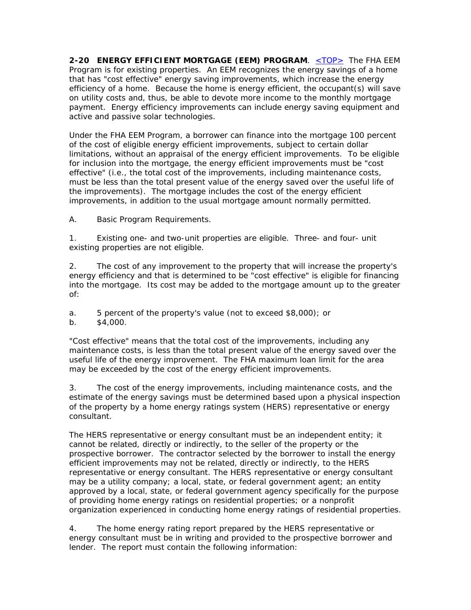**2-20 ENERGY EFFICIENT MORTGAGE (EEM) PROGRAM**. <TOP> The FHA EEM Program is for existing properties. An EEM recognizes the energy savings of a home that has "cost effective" energy saving improvements, which increase the energy efficiency of a home. Because the home is energy efficient, the occupant(s) will save on utility costs and, thus, be able to devote more income to the monthly mortgage payment. Energy efficiency improvements can include energy saving equipment and active and passive solar technologies.

Under the FHA EEM Program, a borrower can finance into the mortgage 100 percent of the cost of eligible energy efficient improvements, subject to certain dollar limitations, without an appraisal of the energy efficient improvements. To be eligible for inclusion into the mortgage, the energy efficient improvements must be "cost effective" (i.e., the total cost of the improvements, including maintenance costs, must be less than the total present value of the energy saved over the useful life of the improvements). The mortgage includes the cost of the energy efficient improvements, in addition to the usual mortgage amount normally permitted.

A. Basic Program Requirements.

1. Existing one- and two-unit properties are eligible. Three- and four- unit existing properties are not eligible.

2. The cost of any improvement to the property that will increase the property's energy efficiency and that is determined to be "cost effective" is eligible for financing into the mortgage. Its cost may be added to the mortgage amount up to the greater of:

a. 5 percent of the property's value (not to exceed \$8,000); or

b. \$4,000.

"Cost effective" means that the total cost of the improvements, including any maintenance costs, is less than the total present value of the energy saved over the useful life of the energy improvement. The FHA maximum loan limit for the area may be exceeded by the cost of the energy efficient improvements.

3. The cost of the energy improvements, including maintenance costs, and the estimate of the energy savings must be determined based upon a physical inspection of the property by a home energy ratings system (HERS) representative or energy consultant.

The HERS representative or energy consultant must be an independent entity; it cannot be related, directly or indirectly, to the seller of the property or the prospective borrower. The contractor selected by the borrower to install the energy efficient improvements may not be related, directly or indirectly, to the HERS representative or energy consultant. The HERS representative or energy consultant may be a utility company; a local, state, or federal government agent; an entity approved by a local, state, or federal government agency specifically for the purpose of providing home energy ratings on residential properties; or a nonprofit organization experienced in conducting home energy ratings of residential properties.

4. The home energy rating report prepared by the HERS representative or energy consultant must be in writing and provided to the prospective borrower and lender. The report must contain the following information: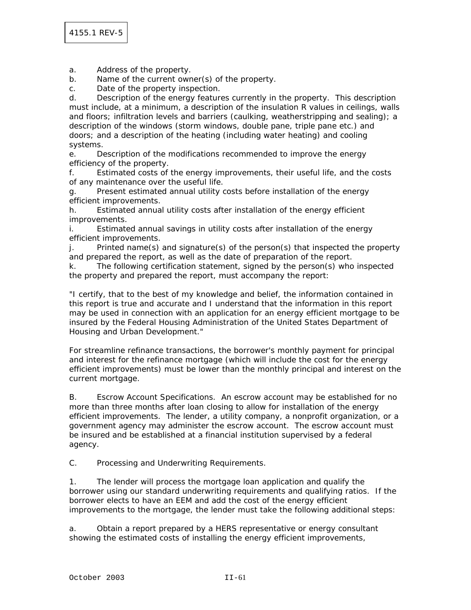a. Address of the property.

b. Name of the current owner(s) of the property.

c. Date of the property inspection.

d. Description of the energy features currently in the property. This description must include, at a minimum, a description of the insulation R values in ceilings, walls and floors; infiltration levels and barriers (caulking, weatherstripping and sealing); a description of the windows (storm windows, double pane, triple pane etc.) and doors; and a description of the heating (including water heating) and cooling systems.

e. Description of the modifications recommended to improve the energy efficiency of the property.

f. Estimated costs of the energy improvements, their useful life, and the costs of any maintenance over the useful life.

g. Present estimated annual utility costs before installation of the energy efficient improvements.

h. Estimated annual utility costs after installation of the energy efficient improvements.

i. Estimated annual savings in utility costs after installation of the energy efficient improvements.

j. Printed name(s) and signature(s) of the person(s) that inspected the property and prepared the report, as well as the date of preparation of the report.

k. The following certification statement, signed by the person(s) who inspected the property and prepared the report, must accompany the report:

"I certify, that to the best of my knowledge and belief, the information contained in this report is true and accurate and I understand that the information in this report may be used in connection with an application for an energy efficient mortgage to be insured by the Federal Housing Administration of the United States Department of Housing and Urban Development."

For streamline refinance transactions, the borrower's monthly payment for principal and interest for the refinance mortgage (which will include the cost for the energy efficient improvements) must be lower than the monthly principal and interest on the current mortgage.

B. Escrow Account Specifications. An escrow account may be established for no more than three months after loan closing to allow for installation of the energy efficient improvements. The lender, a utility company, a nonprofit organization, or a government agency may administer the escrow account. The escrow account must be insured and be established at a financial institution supervised by a federal agency.

C. Processing and Underwriting Requirements.

1. The lender will process the mortgage loan application and qualify the borrower using our standard underwriting requirements and qualifying ratios. If the borrower elects to have an EEM and add the cost of the energy efficient improvements to the mortgage, the lender must take the following additional steps:

a. Obtain a report prepared by a HERS representative or energy consultant showing the estimated costs of installing the energy efficient improvements,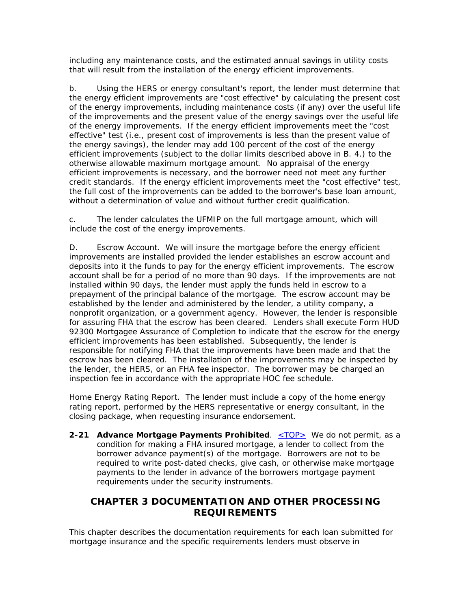including any maintenance costs, and the estimated annual savings in utility costs that will result from the installation of the energy efficient improvements.

b. Using the HERS or energy consultant's report, the lender must determine that the energy efficient improvements are "cost effective" by calculating the present cost of the energy improvements, including maintenance costs (if any) over the useful life of the improvements and the present value of the energy savings over the useful life of the energy improvements. If the energy efficient improvements meet the "cost effective" test (i.e., present cost of improvements is less than the present value of the energy savings), the lender may add 100 percent of the cost of the energy efficient improvements (subject to the dollar limits described above in B. 4.) to the otherwise allowable maximum mortgage amount. No appraisal of the energy efficient improvements is necessary, and the borrower need not meet any further credit standards. If the energy efficient improvements meet the "cost effective" test, the full cost of the improvements can be added to the borrower's base loan amount, without a determination of value and without further credit qualification.

c. The lender calculates the UFMIP on the full mortgage amount, which will include the cost of the energy improvements.

D. Escrow Account. We will insure the mortgage before the energy efficient improvements are installed provided the lender establishes an escrow account and deposits into it the funds to pay for the energy efficient improvements. The escrow account shall be for a period of no more than 90 days. If the improvements are not installed within 90 days, the lender must apply the funds held in escrow to a prepayment of the principal balance of the mortgage. The escrow account may be established by the lender and administered by the lender, a utility company, a nonprofit organization, or a government agency. However, the lender is responsible for assuring FHA that the escrow has been cleared. Lenders shall execute Form HUD 92300 Mortgagee Assurance of Completion to indicate that the escrow for the energy efficient improvements has been established. Subsequently, the lender is responsible for notifying FHA that the improvements have been made and that the escrow has been cleared. The installation of the improvements may be inspected by the lender, the HERS, or an FHA fee inspector. The borrower may be charged an inspection fee in accordance with the appropriate HOC fee schedule.

Home Energy Rating Report. The lender must include a copy of the home energy rating report, performed by the HERS representative or energy consultant, in the closing package, when requesting insurance endorsement.

**2-21 Advance Mortgage Payments Prohibited.** <TOP> We do not permit, as a condition for making a FHA insured mortgage, a lender to collect from the borrower advance payment(s) of the mortgage. Borrowers are not to be required to write post-dated checks, give cash, or otherwise make mortgage payments to the lender in advance of the borrowers mortgage payment requirements under the security instruments.

# **CHAPTER 3 DOCUMENTATION AND OTHER PROCESSING REQUIREMENTS**

This chapter describes the documentation requirements for each loan submitted for mortgage insurance and the specific requirements lenders must observe in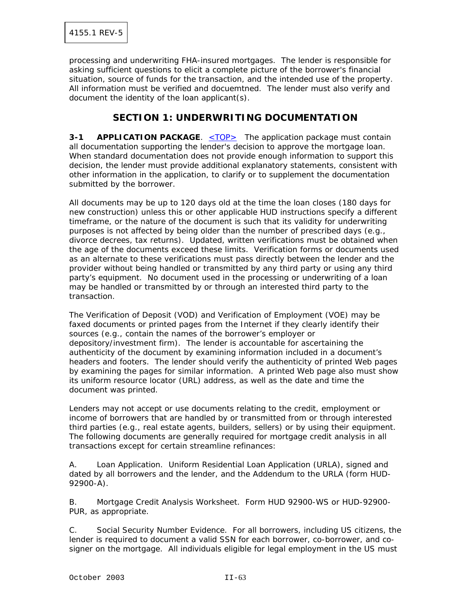processing and underwriting FHA-insured mortgages. The lender is responsible for asking sufficient questions to elicit a complete picture of the borrower's financial situation, source of funds for the transaction, and the intended use of the property. All information must be verified and docuemtned. The lender must also verify and document the identity of the loan applicant(s).

## **SECTION 1: UNDERWRITING DOCUMENTATION**

**3-1 APPLICATION PACKAGE.** <TOP> The application package must contain all documentation supporting the lender's decision to approve the mortgage loan. When standard documentation does not provide enough information to support this decision, the lender must provide additional explanatory statements, consistent with other information in the application, to clarify or to supplement the documentation submitted by the borrower.

All documents may be up to 120 days old at the time the loan closes (180 days for new construction) unless this or other applicable HUD instructions specify a different timeframe, or the nature of the document is such that its validity for underwriting purposes is not affected by being older than the number of prescribed days (e.g., divorce decrees, tax returns). Updated, written verifications must be obtained when the age of the documents exceed these limits. Verification forms or documents used as an alternate to these verifications must pass directly between the lender and the provider without being handled or transmitted by any third party or using any third party's equipment. No document used in the processing or underwriting of a loan may be handled or transmitted by or through an interested third party to the transaction.

The Verification of Deposit (VOD) and Verification of Employment (VOE) may be faxed documents or printed pages from the Internet if they clearly identify their sources (e.g., contain the names of the borrower's employer or depository/investment firm). The lender is accountable for ascertaining the authenticity of the document by examining information included in a document's headers and footers. The lender should verify the authenticity of printed Web pages by examining the pages for similar information. A printed Web page also must show its uniform resource locator (URL) address, as well as the date and time the document was printed.

Lenders may not accept or use documents relating to the credit, employment or income of borrowers that are handled by or transmitted from or through interested third parties (e.g., real estate agents, builders, sellers) or by using their equipment. The following documents are generally required for mortgage credit analysis in all transactions except for certain streamline refinances:

A. Loan Application. Uniform Residential Loan Application (URLA), signed and dated by all borrowers and the lender, and the Addendum to the URLA (form HUD-92900-A).

B. Mortgage Credit Analysis Worksheet. Form HUD 92900-WS or HUD-92900- PUR, as appropriate.

C. Social Security Number Evidence. For all borrowers, including US citizens, the lender is required to document a valid SSN for each borrower, co-borrower, and cosigner on the mortgage. All individuals eligible for legal employment in the US must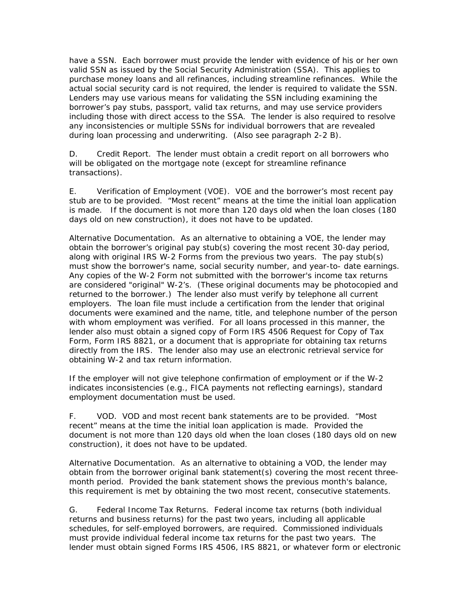have a SSN. Each borrower must provide the lender with evidence of his or her own valid SSN as issued by the Social Security Administration (SSA). This applies to purchase money loans and all refinances, including streamline refinances. While the actual social security card is not required, the lender is required to validate the SSN. Lenders may use various means for validating the SSN including examining the borrower's pay stubs, passport, valid tax returns, and may use service providers including those with direct access to the SSA. The lender is also required to resolve any inconsistencies or multiple SSNs for individual borrowers that are revealed during loan processing and underwriting. (Also see paragraph 2-2 B).

D. Credit Report. The lender must obtain a credit report on all borrowers who will be obligated on the mortgage note (except for streamline refinance transactions).

E. Verification of Employment (VOE). VOE and the borrower's most recent pay stub are to be provided. "Most recent" means at the time the initial loan application is made. If the document is not more than 120 days old when the loan closes (180 days old on new construction), it does not have to be updated.

Alternative Documentation. As an alternative to obtaining a VOE, the lender may obtain the borrower's original pay stub(s) covering the most recent 30-day period, along with original IRS W-2 Forms from the previous two years. The pay stub(s) must show the borrower's name, social security number, and year-to- date earnings. Any copies of the W-2 Form not submitted with the borrower's income tax returns are considered "original" W-2's. (These original documents may be photocopied and returned to the borrower.) The lender also must verify by telephone all current employers. The loan file must include a certification from the lender that original documents were examined and the name, title, and telephone number of the person with whom employment was verified. For all loans processed in this manner, the lender also must obtain a signed copy of Form IRS 4506 Request for Copy of Tax Form, Form IRS 8821, or a document that is appropriate for obtaining tax returns directly from the IRS. The lender also may use an electronic retrieval service for obtaining W-2 and tax return information.

If the employer will not give telephone confirmation of employment or if the W-2 indicates inconsistencies (e.g., FICA payments not reflecting earnings), standard employment documentation must be used.

F. VOD. VOD and most recent bank statements are to be provided. "Most recent" means at the time the initial loan application is made. Provided the document is not more than 120 days old when the loan closes (180 days old on new construction), it does not have to be updated.

Alternative Documentation. As an alternative to obtaining a VOD, the lender may obtain from the borrower original bank statement(s) covering the most recent threemonth period. Provided the bank statement shows the previous month's balance, this requirement is met by obtaining the two most recent, consecutive statements.

G. Federal Income Tax Returns. Federal income tax returns (both individual returns and business returns) for the past two years, including all applicable schedules, for self-employed borrowers, are required. Commissioned individuals must provide individual federal income tax returns for the past two years. The lender must obtain signed Forms IRS 4506, IRS 8821, or whatever form or electronic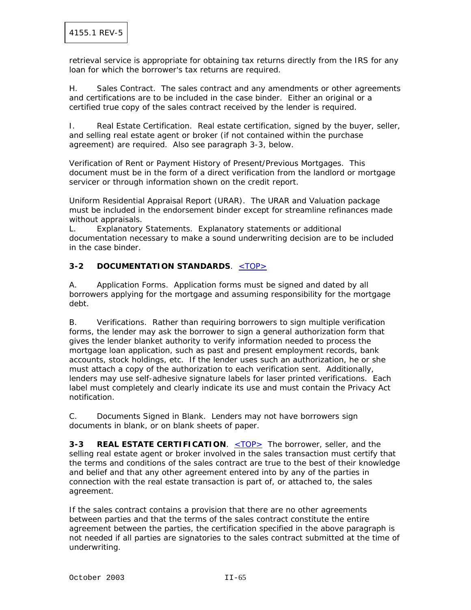retrieval service is appropriate for obtaining tax returns directly from the IRS for any loan for which the borrower's tax returns are required.

H. Sales Contract. The sales contract and any amendments or other agreements and certifications are to be included in the case binder. Either an original or a certified true copy of the sales contract received by the lender is required.

I. Real Estate Certification. Real estate certification, signed by the buyer, seller, and selling real estate agent or broker (if not contained within the purchase agreement) are required. Also see paragraph 3-3, below.

Verification of Rent or Payment History of Present/Previous Mortgages. This document must be in the form of a direct verification from the landlord or mortgage servicer or through information shown on the credit report.

Uniform Residential Appraisal Report (URAR). The URAR and Valuation package must be included in the endorsement binder except for streamline refinances made without appraisals.

L. Explanatory Statements. Explanatory statements or additional documentation necessary to make a sound underwriting decision are to be included in the case binder.

## **3-2 DOCUMENTATION STANDARDS**. <TOP>

A. Application Forms. Application forms must be signed and dated by all borrowers applying for the mortgage and assuming responsibility for the mortgage debt.

B. Verifications. Rather than requiring borrowers to sign multiple verification forms, the lender may ask the borrower to sign a general authorization form that gives the lender blanket authority to verify information needed to process the mortgage loan application, such as past and present employment records, bank accounts, stock holdings, etc. If the lender uses such an authorization, he or she must attach a copy of the authorization to each verification sent. Additionally, lenders may use self-adhesive signature labels for laser printed verifications. Each label must completely and clearly indicate its use and must contain the Privacy Act notification.

C. Documents Signed in Blank. Lenders may not have borrowers sign documents in blank, or on blank sheets of paper.

**3-3 REAL ESTATE CERTIFICATION.** <TOP> The borrower, seller, and the selling real estate agent or broker involved in the sales transaction must certify that the terms and conditions of the sales contract are true to the best of their knowledge and belief and that any other agreement entered into by any of the parties in connection with the real estate transaction is part of, or attached to, the sales agreement.

If the sales contract contains a provision that there are no other agreements between parties and that the terms of the sales contract constitute the entire agreement between the parties, the certification specified in the above paragraph is not needed if all parties are signatories to the sales contract submitted at the time of underwriting.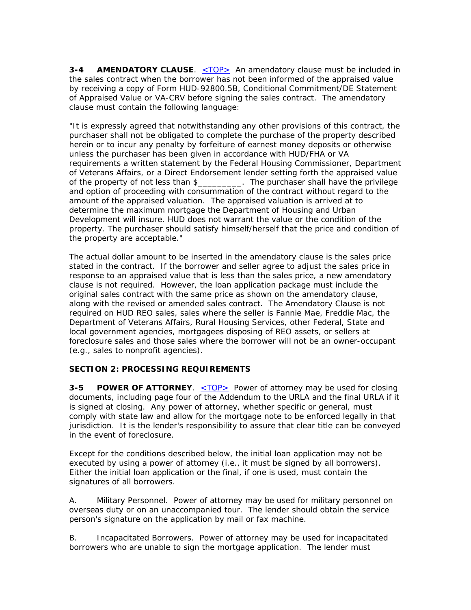**3-4 AMENDATORY CLAUSE**. <u><TOP></u> An amendatory clause must be included in the sales contract when the borrower has not been informed of the appraised value by receiving a copy of Form HUD-92800.5B, Conditional Commitment/DE Statement of Appraised Value or VA-CRV before signing the sales contract. The amendatory clause must contain the following language:

"It is expressly agreed that notwithstanding any other provisions of this contract, the purchaser shall not be obligated to complete the purchase of the property described herein or to incur any penalty by forfeiture of earnest money deposits or otherwise unless the purchaser has been given in accordance with HUD/FHA or VA requirements a written statement by the Federal Housing Commissioner, Department of Veterans Affairs, or a Direct Endorsement lender setting forth the appraised value of the property of not less than \$\_\_\_\_\_\_\_\_\_. The purchaser shall have the privilege and option of proceeding with consummation of the contract without regard to the amount of the appraised valuation. The appraised valuation is arrived at to determine the maximum mortgage the Department of Housing and Urban Development will insure. HUD does not warrant the value or the condition of the property. The purchaser should satisfy himself/herself that the price and condition of the property are acceptable."

The actual dollar amount to be inserted in the amendatory clause is the sales price stated in the contract. If the borrower and seller agree to adjust the sales price in response to an appraised value that is less than the sales price, a new amendatory clause is not required. However, the loan application package must include the original sales contract with the same price as shown on the amendatory clause, along with the revised or amended sales contract. The Amendatory Clause is not required on HUD REO sales, sales where the seller is Fannie Mae, Freddie Mac, the Department of Veterans Affairs, Rural Housing Services, other Federal, State and local government agencies, mortgagees disposing of REO assets, or sellers at foreclosure sales and those sales where the borrower will not be an owner-occupant (e.g., sales to nonprofit agencies).

## **SECTION 2: PROCESSING REQUIREMENTS**

**3-5 POWER OF ATTORNEY.** <TOP> Power of attorney may be used for closing documents, including page four of the Addendum to the URLA and the final URLA if it is signed at closing. Any power of attorney, whether specific or general, must comply with state law and allow for the mortgage note to be enforced legally in that jurisdiction. It is the lender's responsibility to assure that clear title can be conveyed in the event of foreclosure.

Except for the conditions described below, the initial loan application may not be executed by using a power of attorney (i.e., it must be signed by all borrowers). Either the initial loan application or the final, if one is used, must contain the signatures of all borrowers.

A. Military Personnel. Power of attorney may be used for military personnel on overseas duty or on an unaccompanied tour. The lender should obtain the service person's signature on the application by mail or fax machine.

B. Incapacitated Borrowers. Power of attorney may be used for incapacitated borrowers who are unable to sign the mortgage application. The lender must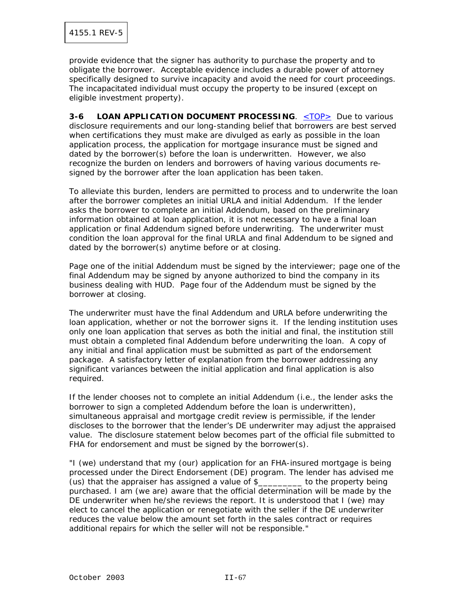provide evidence that the signer has authority to purchase the property and to obligate the borrower. Acceptable evidence includes a durable power of attorney specifically designed to survive incapacity and avoid the need for court proceedings. The incapacitated individual must occupy the property to be insured (except on eligible investment property).

**3-6 LOAN APPLICATION DOCUMENT PROCESSING.** <TOP> Due to various disclosure requirements and our long-standing belief that borrowers are best served when certifications they must make are divulged as early as possible in the loan application process, the application for mortgage insurance must be signed and dated by the borrower(s) before the loan is underwritten. However, we also recognize the burden on lenders and borrowers of having various documents resigned by the borrower after the loan application has been taken.

To alleviate this burden, lenders are permitted to process and to underwrite the loan after the borrower completes an initial URLA and initial Addendum. If the lender asks the borrower to complete an initial Addendum, based on the preliminary information obtained at loan application, it is not necessary to have a final loan application or final Addendum signed before underwriting. The underwriter must condition the loan approval for the final URLA and final Addendum to be signed and dated by the borrower(s) anytime before or at closing.

Page one of the initial Addendum must be signed by the interviewer; page one of the final Addendum may be signed by anyone authorized to bind the company in its business dealing with HUD. Page four of the Addendum must be signed by the borrower at closing.

The underwriter must have the final Addendum and URLA before underwriting the loan application, whether or not the borrower signs it. If the lending institution uses only one loan application that serves as both the initial and final, the institution still must obtain a completed final Addendum before underwriting the loan. A copy of any initial and final application must be submitted as part of the endorsement package. A satisfactory letter of explanation from the borrower addressing any significant variances between the initial application and final application is also required.

If the lender chooses not to complete an initial Addendum (i.e., the lender asks the borrower to sign a completed Addendum before the loan is underwritten), simultaneous appraisal and mortgage credit review is permissible, if the lender discloses to the borrower that the lender's DE underwriter may adjust the appraised value. The disclosure statement below becomes part of the official file submitted to FHA for endorsement and must be signed by the borrower(s).

"I (we) understand that my (our) application for an FHA-insured mortgage is being processed under the Direct Endorsement (DE) program. The lender has advised me (us) that the appraiser has assigned a value of \$\_\_\_\_\_\_\_\_\_ to the property being purchased. I am (we are) aware that the official determination will be made by the DE underwriter when he/she reviews the report. It is understood that I (we) may elect to cancel the application or renegotiate with the seller if the DE underwriter reduces the value below the amount set forth in the sales contract or requires additional repairs for which the seller will not be responsible."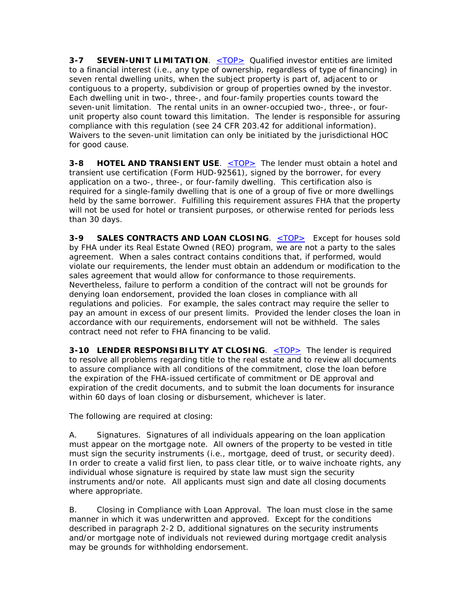**3-7 SEVEN-UNIT LIMITATION.** <TOP> Qualified investor entities are limited to a financial interest (i.e., any type of ownership, regardless of type of financing) in seven rental dwelling units, when the subject property is part of, adjacent to or contiguous to a property, subdivision or group of properties owned by the investor. Each dwelling unit in two-, three-, and four-family properties counts toward the seven-unit limitation. The rental units in an owner-occupied two-, three-, or fourunit property also count toward this limitation. The lender is responsible for assuring compliance with this regulation (see 24 CFR 203.42 for additional information). Waivers to the seven-unit limitation can only be initiated by the jurisdictional HOC for good cause.

**3-8 HOTEL AND TRANSIENT USE.** <TOP> The lender must obtain a hotel and transient use certification (Form HUD-92561), signed by the borrower, for every application on a two-, three-, or four-family dwelling. This certification also is required for a single-family dwelling that is one of a group of five or more dwellings held by the same borrower. Fulfilling this requirement assures FHA that the property will not be used for hotel or transient purposes, or otherwise rented for periods less than 30 days.

**3-9 SALES CONTRACTS AND LOAN CLOSING.** <TOP> Except for houses sold by FHA under its Real Estate Owned (REO) program, we are not a party to the sales agreement. When a sales contract contains conditions that, if performed, would violate our requirements, the lender must obtain an addendum or modification to the sales agreement that would allow for conformance to those requirements. Nevertheless, failure to perform a condition of the contract will not be grounds for denying loan endorsement, provided the loan closes in compliance with all regulations and policies. For example, the sales contract may require the seller to pay an amount in excess of our present limits. Provided the lender closes the loan in accordance with our requirements, endorsement will not be withheld. The sales contract need not refer to FHA financing to be valid.

**3-10 LENDER RESPONSIBILITY AT CLOSING.** <TOP> The lender is required to resolve all problems regarding title to the real estate and to review all documents to assure compliance with all conditions of the commitment, close the loan before the expiration of the FHA-issued certificate of commitment or DE approval and expiration of the credit documents, and to submit the loan documents for insurance within 60 days of loan closing or disbursement, whichever is later.

The following are required at closing:

A. Signatures. Signatures of all individuals appearing on the loan application must appear on the mortgage note. All owners of the property to be vested in title must sign the security instruments (i.e., mortgage, deed of trust, or security deed). In order to create a valid first lien, to pass clear title, or to waive inchoate rights, any individual whose signature is required by state law must sign the security instruments and/or note. All applicants must sign and date all closing documents where appropriate.

B. Closing in Compliance with Loan Approval. The loan must close in the same manner in which it was underwritten and approved. Except for the conditions described in paragraph 2-2 D, additional signatures on the security instruments and/or mortgage note of individuals not reviewed during mortgage credit analysis may be grounds for withholding endorsement.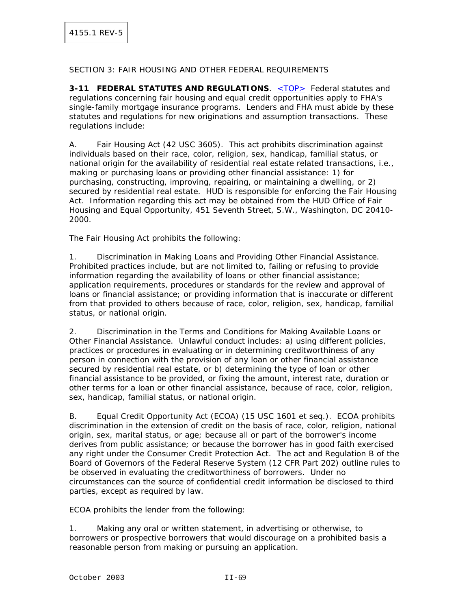### SECTION 3: FAIR HOUSING AND OTHER FEDERAL REQUIREMENTS

**3-11 FEDERAL STATUTES AND REGULATIONS**. <TOP> Federal statutes and regulations concerning fair housing and equal credit opportunities apply to FHA's single-family mortgage insurance programs. Lenders and FHA must abide by these statutes and regulations for new originations and assumption transactions. These regulations include:

A. Fair Housing Act (42 USC 3605). This act prohibits discrimination against individuals based on their race, color, religion, sex, handicap, familial status, or national origin for the availability of residential real estate related transactions, i.e., making or purchasing loans or providing other financial assistance: 1) for purchasing, constructing, improving, repairing, or maintaining a dwelling, or 2) secured by residential real estate. HUD is responsible for enforcing the Fair Housing Act. Information regarding this act may be obtained from the HUD Office of Fair Housing and Equal Opportunity, 451 Seventh Street, S.W., Washington, DC 20410- 2000.

The Fair Housing Act prohibits the following:

1. Discrimination in Making Loans and Providing Other Financial Assistance. Prohibited practices include, but are not limited to, failing or refusing to provide information regarding the availability of loans or other financial assistance; application requirements, procedures or standards for the review and approval of loans or financial assistance; or providing information that is inaccurate or different from that provided to others because of race, color, religion, sex, handicap, familial status, or national origin.

2. Discrimination in the Terms and Conditions for Making Available Loans or Other Financial Assistance. Unlawful conduct includes: a) using different policies, practices or procedures in evaluating or in determining creditworthiness of any person in connection with the provision of any loan or other financial assistance secured by residential real estate, or b) determining the type of loan or other financial assistance to be provided, or fixing the amount, interest rate, duration or other terms for a loan or other financial assistance, because of race, color, religion, sex, handicap, familial status, or national origin.

B. Equal Credit Opportunity Act (ECOA) (15 USC 1601 et seq.). ECOA prohibits discrimination in the extension of credit on the basis of race, color, religion, national origin, sex, marital status, or age; because all or part of the borrower's income derives from public assistance; or because the borrower has in good faith exercised any right under the Consumer Credit Protection Act. The act and Regulation B of the Board of Governors of the Federal Reserve System (12 CFR Part 202) outline rules to be observed in evaluating the creditworthiness of borrowers. Under no circumstances can the source of confidential credit information be disclosed to third parties, except as required by law.

ECOA prohibits the lender from the following:

1. Making any oral or written statement, in advertising or otherwise, to borrowers or prospective borrowers that would discourage on a prohibited basis a reasonable person from making or pursuing an application.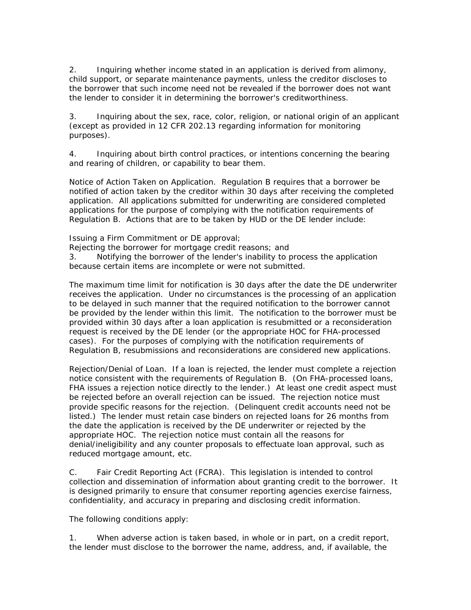2. Inquiring whether income stated in an application is derived from alimony, child support, or separate maintenance payments, unless the creditor discloses to the borrower that such income need not be revealed if the borrower does not want the lender to consider it in determining the borrower's creditworthiness.

3. Inquiring about the sex, race, color, religion, or national origin of an applicant (except as provided in 12 CFR 202.13 regarding information for monitoring purposes).

4. Inquiring about birth control practices, or intentions concerning the bearing and rearing of children, or capability to bear them.

Notice of Action Taken on Application. Regulation B requires that a borrower be notified of action taken by the creditor within 30 days after receiving the completed application. All applications submitted for underwriting are considered completed applications for the purpose of complying with the notification requirements of Regulation B. Actions that are to be taken by HUD or the DE lender include:

Issuing a Firm Commitment or DE approval;

Rejecting the borrower for mortgage credit reasons; and

3. Notifying the borrower of the lender's inability to process the application because certain items are incomplete or were not submitted.

The maximum time limit for notification is 30 days after the date the DE underwriter receives the application. Under no circumstances is the processing of an application to be delayed in such manner that the required notification to the borrower cannot be provided by the lender within this limit. The notification to the borrower must be provided within 30 days after a loan application is resubmitted or a reconsideration request is received by the DE lender (or the appropriate HOC for FHA-processed cases). For the purposes of complying with the notification requirements of Regulation B, resubmissions and reconsiderations are considered new applications.

Rejection/Denial of Loan. If a loan is rejected, the lender must complete a rejection notice consistent with the requirements of Regulation B. (On FHA-processed loans, FHA issues a rejection notice directly to the lender.) At least one credit aspect must be rejected before an overall rejection can be issued. The rejection notice must provide specific reasons for the rejection. (Delinquent credit accounts need not be listed.) The lender must retain case binders on rejected loans for 26 months from the date the application is received by the DE underwriter or rejected by the appropriate HOC. The rejection notice must contain all the reasons for denial/ineligibility and any counter proposals to effectuate loan approval, such as reduced mortgage amount, etc.

C. Fair Credit Reporting Act (FCRA). This legislation is intended to control collection and dissemination of information about granting credit to the borrower. It is designed primarily to ensure that consumer reporting agencies exercise fairness, confidentiality, and accuracy in preparing and disclosing credit information.

The following conditions apply:

1. When adverse action is taken based, in whole or in part, on a credit report, the lender must disclose to the borrower the name, address, and, if available, the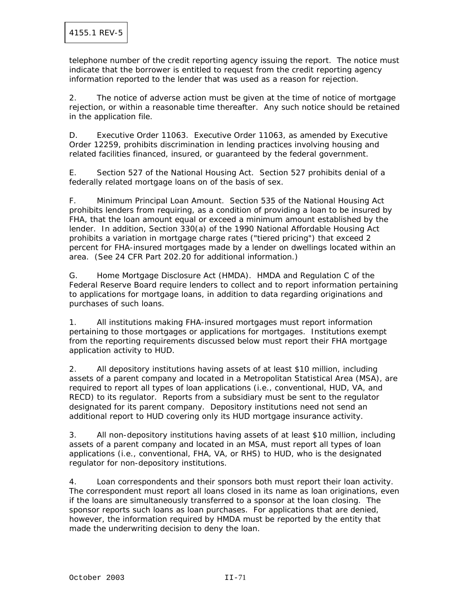telephone number of the credit reporting agency issuing the report. The notice must indicate that the borrower is entitled to request from the credit reporting agency information reported to the lender that was used as a reason for rejection.

2. The notice of adverse action must be given at the time of notice of mortgage rejection, or within a reasonable time thereafter. Any such notice should be retained in the application file.

D. Executive Order 11063. Executive Order 11063, as amended by Executive Order 12259, prohibits discrimination in lending practices involving housing and related facilities financed, insured, or guaranteed by the federal government.

E. Section 527 of the National Housing Act. Section 527 prohibits denial of a federally related mortgage loans on of the basis of sex.

F. Minimum Principal Loan Amount. Section 535 of the National Housing Act prohibits lenders from requiring, as a condition of providing a loan to be insured by FHA, that the loan amount equal or exceed a minimum amount established by the lender. In addition, Section 330(a) of the 1990 National Affordable Housing Act prohibits a variation in mortgage charge rates ("tiered pricing") that exceed 2 percent for FHA-insured mortgages made by a lender on dwellings located within an area. (See 24 CFR Part 202.20 for additional information.)

G. Home Mortgage Disclosure Act (HMDA). HMDA and Regulation C of the Federal Reserve Board require lenders to collect and to report information pertaining to applications for mortgage loans, in addition to data regarding originations and purchases of such loans.

1. All institutions making FHA-insured mortgages must report information pertaining to those mortgages or applications for mortgages. Institutions exempt from the reporting requirements discussed below must report their FHA mortgage application activity to HUD.

2. All depository institutions having assets of at least \$10 million, including assets of a parent company and located in a Metropolitan Statistical Area (MSA), are required to report all types of loan applications (i.e., conventional, HUD, VA, and RECD) to its regulator. Reports from a subsidiary must be sent to the regulator designated for its parent company. Depository institutions need not send an additional report to HUD covering only its HUD mortgage insurance activity.

3. All non-depository institutions having assets of at least \$10 million, including assets of a parent company and located in an MSA, must report all types of loan applications (i.e., conventional, FHA, VA, or RHS) to HUD, who is the designated regulator for non-depository institutions.

4. Loan correspondents and their sponsors both must report their loan activity. The correspondent must report all loans closed in its name as loan originations, even if the loans are simultaneously transferred to a sponsor at the loan closing. The sponsor reports such loans as loan purchases. For applications that are denied, however, the information required by HMDA must be reported by the entity that made the underwriting decision to deny the loan.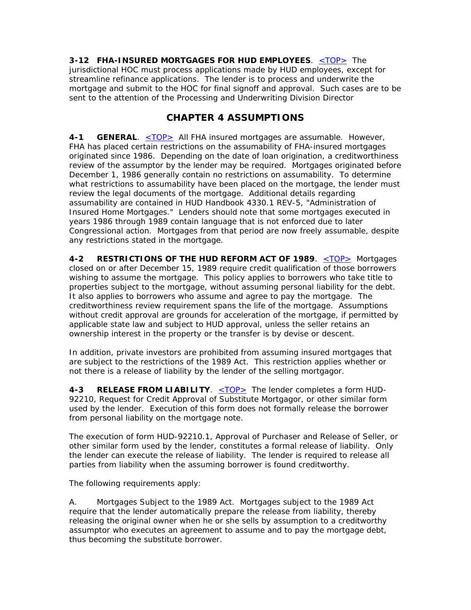**3-12 FHA-INSURED MORTGAGES FOR HUD EMPLOYEES**. <TOP> The jurisdictional HOC must process applications made by HUD employees, except for streamline refinance applications. The lender is to process and underwrite the mortgage and submit to the HOC for final signoff and approval. Such cases are to be sent to the attention of the Processing and Underwriting Division Director

# **CHAPTER 4 ASSUMPTIONS**

**4-1 GENERAL.** <TOP> All FHA insured mortgages are assumable. However, FHA has placed certain restrictions on the assumability of FHA-insured mortgages originated since 1986. Depending on the date of loan origination, a creditworthiness review of the assumptor by the lender may be required. Mortgages originated before December 1, 1986 generally contain no restrictions on assumability. To determine what restrictions to assumability have been placed on the mortgage, the lender must review the legal documents of the mortgage. Additional details regarding assumability are contained in HUD Handbook 4330.1 REV-5, "Administration of Insured Home Mortgages." Lenders should note that some mortgages executed in years 1986 through 1989 contain language that is not enforced due to later Congressional action. Mortgages from that period are now freely assumable, despite any restrictions stated in the mortgage.

**4-2 RESTRICTIONS OF THE HUD REFORM ACT OF 1989**. <TOP> Mortgages closed on or after December 15, 1989 require credit qualification of those borrowers wishing to assume the mortgage. This policy applies to borrowers who take title to properties subject to the mortgage, without assuming personal liability for the debt. It also applies to borrowers who assume and agree to pay the mortgage. The creditworthiness review requirement spans the life of the mortgage. Assumptions without credit approval are grounds for acceleration of the mortgage, if permitted by applicable state law and subject to HUD approval, unless the seller retains an ownership interest in the property or the transfer is by devise or descent.

In addition, private investors are prohibited from assuming insured mortgages that are subject to the restrictions of the 1989 Act. This restriction applies whether or not there is a release of liability by the lender of the selling mortgagor.

4-3 RELEASE FROM LIABILITY. <TOP> The lender completes a form HUD-92210, Request for Credit Approval of Substitute Mortgagor, or other similar form used by the lender. Execution of this form does not formally release the borrower from personal liability on the mortgage note.

The execution of form HUD-92210.1, Approval of Purchaser and Release of Seller, or other similar form used by the lender, constitutes a formal release of liability. Only the lender can execute the release of liability. The lender is required to release all parties from liability when the assuming borrower is found creditworthy.

The following requirements apply:

A. Mortgages Subject to the 1989 Act. Mortgages subject to the 1989 Act require that the lender automatically prepare the release from liability, thereby releasing the original owner when he or she sells by assumption to a creditworthy assumptor who executes an agreement to assume and to pay the mortgage debt, thus becoming the substitute borrower.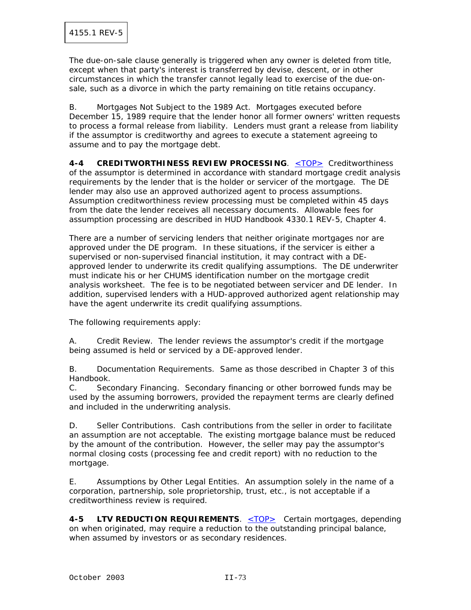The due-on-sale clause generally is triggered when any owner is deleted from title, except when that party's interest is transferred by devise, descent, or in other circumstances in which the transfer cannot legally lead to exercise of the due-onsale, such as a divorce in which the party remaining on title retains occupancy.

B. Mortgages Not Subject to the 1989 Act. Mortgages executed before December 15, 1989 require that the lender honor all former owners' written requests to process a formal release from liability. Lenders must grant a release from liability if the assumptor is creditworthy and agrees to execute a statement agreeing to assume and to pay the mortgage debt.

**4-4 CREDITWORTHINESS REVIEW PROCESSING**. <TOP> Creditworthiness of the assumptor is determined in accordance with standard mortgage credit analysis requirements by the lender that is the holder or servicer of the mortgage. The DE lender may also use an approved authorized agent to process assumptions. Assumption creditworthiness review processing must be completed within 45 days from the date the lender receives all necessary documents. Allowable fees for assumption processing are described in HUD Handbook 4330.1 REV-5, Chapter 4.

There are a number of servicing lenders that neither originate mortgages nor are approved under the DE program. In these situations, if the servicer is either a supervised or non-supervised financial institution, it may contract with a DEapproved lender to underwrite its credit qualifying assumptions. The DE underwriter must indicate his or her CHUMS identification number on the mortgage credit analysis worksheet. The fee is to be negotiated between servicer and DE lender. In addition, supervised lenders with a HUD-approved authorized agent relationship may have the agent underwrite its credit qualifying assumptions.

The following requirements apply:

A. Credit Review. The lender reviews the assumptor's credit if the mortgage being assumed is held or serviced by a DE-approved lender.

B. Documentation Requirements. Same as those described in Chapter 3 of this Handbook.

C. Secondary Financing. Secondary financing or other borrowed funds may be used by the assuming borrowers, provided the repayment terms are clearly defined and included in the underwriting analysis.

D. Seller Contributions. Cash contributions from the seller in order to facilitate an assumption are not acceptable. The existing mortgage balance must be reduced by the amount of the contribution. However, the seller may pay the assumptor's normal closing costs (processing fee and credit report) with no reduction to the mortgage.

E. Assumptions by Other Legal Entities. An assumption solely in the name of a corporation, partnership, sole proprietorship, trust, etc., is not acceptable if a creditworthiness review is required.

**4-5 LTV REDUCTION REQUIREMENTS.** <TOP> Certain mortgages, depending on when originated, may require a reduction to the outstanding principal balance, when assumed by investors or as secondary residences.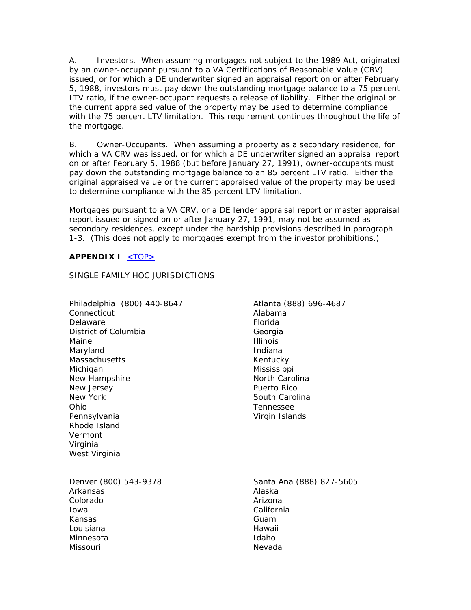A. Investors. When assuming mortgages not subject to the 1989 Act, originated by an owner-occupant pursuant to a VA Certifications of Reasonable Value (CRV) issued, or for which a DE underwriter signed an appraisal report on or after February 5, 1988, investors must pay down the outstanding mortgage balance to a 75 percent LTV ratio, if the owner-occupant requests a release of liability. Either the original or the current appraised value of the property may be used to determine compliance with the 75 percent LTV limitation. This requirement continues throughout the life of the mortgage.

B. Owner-Occupants. When assuming a property as a secondary residence, for which a VA CRV was issued, or for which a DE underwriter signed an appraisal report on or after February 5, 1988 (but before January 27, 1991), owner-occupants must pay down the outstanding mortgage balance to an 85 percent LTV ratio. Either the original appraised value or the current appraised value of the property may be used to determine compliance with the 85 percent LTV limitation.

Mortgages pursuant to a VA CRV, or a DE lender appraisal report or master appraisal report issued or signed on or after January 27, 1991, may not be assumed as secondary residences, except under the hardship provisions described in paragraph 1-3. (This does not apply to mortgages exempt from the investor prohibitions.)

## **APPENDIX I** <TOP>

SINGLE FAMILY HOC JURISDICTIONS

| Philadelphia (800) 440-8647<br>Connecticut<br>Delaware<br>District of Columbia<br>Maine<br>Maryland<br>Massachusetts<br>Michigan<br>New Hampshire<br>New Jersey<br>New York<br>Ohio<br>Pennsylvania<br>Rhode Island<br>Vermont<br>Virginia<br>West Virginia | Atlanta (888) 696-4687<br>Alabama<br>Florida<br>Georgia<br><b>Illinois</b><br>Indiana<br>Kentucky<br>Mississippi<br>North Carolina<br>Puerto Rico<br>South Carolina<br>Tennessee<br>Virgin Islands |
|-------------------------------------------------------------------------------------------------------------------------------------------------------------------------------------------------------------------------------------------------------------|----------------------------------------------------------------------------------------------------------------------------------------------------------------------------------------------------|
| Denver (800) 543-9378                                                                                                                                                                                                                                       | Santa Ana (888) 827-5605                                                                                                                                                                           |
| Arkansas                                                                                                                                                                                                                                                    | Alaska                                                                                                                                                                                             |
| Colorado                                                                                                                                                                                                                                                    | Arizona                                                                                                                                                                                            |
| Iowa                                                                                                                                                                                                                                                        | California                                                                                                                                                                                         |
| Kansas                                                                                                                                                                                                                                                      | Guam                                                                                                                                                                                               |
| Louisiana                                                                                                                                                                                                                                                   | Hawaii                                                                                                                                                                                             |
| Minnesota                                                                                                                                                                                                                                                   | Idaho                                                                                                                                                                                              |
| Missouri                                                                                                                                                                                                                                                    | Nevada                                                                                                                                                                                             |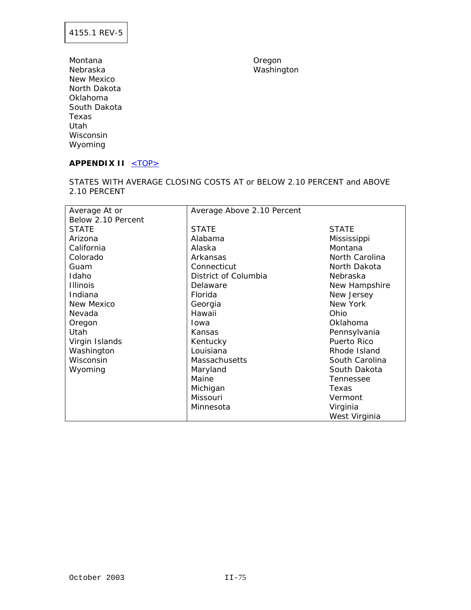Montana **Montana** Oregon Nebraska Washington New Mexico North Dakota Oklahoma South Dakota Texas Utah Wisconsin Wyoming

# APPENDIX II <TOP>

STATES WITH AVERAGE CLOSING COSTS AT or BELOW 2.10 PERCENT and ABOVE 2.10 PERCENT

| Average At or      | Average Above 2.10 Percent |                |
|--------------------|----------------------------|----------------|
| Below 2.10 Percent |                            |                |
| <b>STATE</b>       | <b>STATE</b>               | <b>STATE</b>   |
| Arizona            | Alabama                    | Mississippi    |
| California         | Alaska                     | Montana        |
| Colorado           | Arkansas                   | North Carolina |
| Guam               | Connecticut                | North Dakota   |
| Idaho              | District of Columbia       | Nebraska       |
| <b>Illinois</b>    | Delaware                   | New Hampshire  |
| Indiana            | Florida                    | New Jersey     |
| New Mexico         | Georgia                    | New York       |
| Nevada             | Hawaii                     | Ohio           |
| Oregon             | <b>I</b> owa               | Oklahoma       |
| <b>Utah</b>        | Kansas                     | Pennsylvania   |
| Virgin Islands     | Kentucky                   | Puerto Rico    |
| Washington         | Louisiana                  | Rhode Island   |
| Wisconsin          | <b>Massachusetts</b>       | South Carolina |
| Wyoming            | Maryland                   | South Dakota   |
|                    | Maine                      | Tennessee      |
|                    | Michigan                   | Texas          |
|                    | Missouri                   | Vermont        |
|                    | Minnesota                  | Virginia       |
|                    |                            | West Virginia  |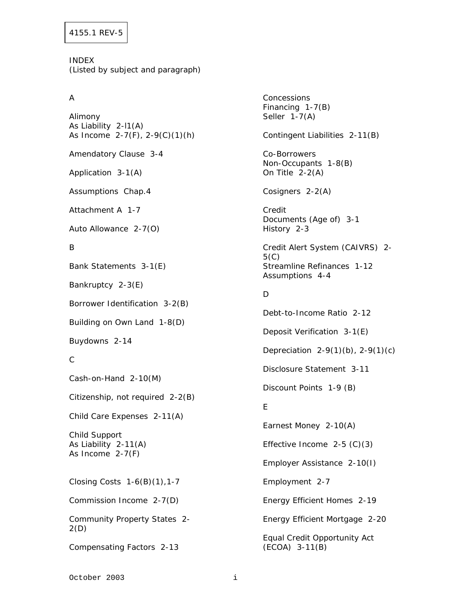INDEX (Listed by subject and paragraph)

## A

Alimony As Liability 2-l1(A) As Income 2-7(F), 2-9(C)(1)(h) Amendatory Clause 3-4 Application 3-1(A) Assumptions Chap.4 Attachment A 1-7 Auto Allowance 2-7(O) B Bank Statements 3-1(E) Bankruptcy 2-3(E) Borrower Identification 3-2(B) Building on Own Land 1-8(D) Buydowns 2-14 C Cash-on-Hand 2-10(M) Citizenship, not required 2-2(B) Child Care Expenses 2-11(A) Child Support As Liability 2-11(A) As Income 2-7(F) Closing Costs 1-6(B)(1),1-7 Commission Income 2-7(D) Community Property States 2- 2(D) Compensating Factors 2-13

**Concessions** Financing 1-7(B) Seller 1-7(A) Contingent Liabilities 2-11(B) Co-Borrowers Non-Occupants 1-8(B) On Title 2-2(A) Cosigners 2-2(A) Credit Documents (Age of) 3-1 History 2-3 Credit Alert System (CAIVRS) 2- 5(C) Streamline Refinances 1-12 Assumptions 4-4 D Debt-to-Income Ratio 2-12 Deposit Verification 3-1(E) Depreciation 2-9(1)(b), 2-9(1)(c) Disclosure Statement 3-11 Discount Points 1-9 (B) E Earnest Money 2-10(A) Effective Income 2-5 (C)(3) Employer Assistance 2-10(I) Employment 2-7 Energy Efficient Homes 2-19 Energy Efficient Mortgage 2-20 Equal Credit Opportunity Act (ECOA) 3-11(B)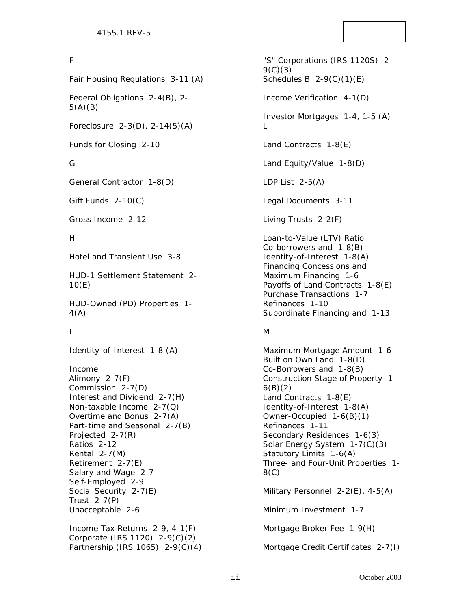#### F

Fair Housing Regulations 3-11 (A)

Federal Obligations 2-4(B), 2-  $5(A)(B)$ 

Foreclosure 2-3(D), 2-14(5)(A)

Funds for Closing 2-10

#### G

General Contractor 1-8(D)

Gift Funds 2-10(C)

Gross Income 2-12

#### H

Hotel and Transient Use 3-8

HUD-1 Settlement Statement 2- 10(E)

HUD-Owned (PD) Properties 1- 4(A)

I

Identity-of-Interest 1-8 (A)

Income Alimony 2-7(F) Commission 2-7(D) Interest and Dividend 2-7(H) Non-taxable Income 2-7(Q) Overtime and Bonus 2-7(A) Part-time and Seasonal 2-7(B) Projected 2-7(R) Ratios 2-12 Rental 2-7(M) Retirement 2-7(E) Salary and Wage 2-7 Self-Employed 2-9 Social Security 2-7(E) Trust 2-7(P) Unacceptable 2-6

Income Tax Returns 2-9, 4-1(F) Corporate (IRS 1120) 2-9(C)(2) Partnership (IRS 1065) 2-9(C)(4)

"S" Corporations (IRS 1120S) 2-  $9(C)(3)$ Schedules B  $2-9(C)(1)(E)$ Income Verification 4-1(D) Investor Mortgages 1-4, 1-5 (A)  $\mathbf{L}$ Land Contracts 1-8(E) Land Equity/Value 1-8(D) LDP List  $2-5(A)$ Legal Documents 3-11 Living Trusts 2-2(F) Loan-to-Value (LTV) Ratio Co-borrowers and 1-8(B) Identity-of-Interest 1-8(A) Financing Concessions and Maximum Financing 1-6 Payoffs of Land Contracts 1-8(E) Purchase Transactions 1-7 Refinances 1-10 Subordinate Financing and 1-13 M Maximum Mortgage Amount 1-6

Built on Own Land 1-8(D) Co-Borrowers and 1-8(B) Construction Stage of Property 1-  $6(B)(2)$ Land Contracts 1-8(E) Identity-of-Interest 1-8(A) Owner-Occupied 1-6(B)(1) Refinances 1-11 Secondary Residences 1-6(3) Solar Energy System 1-7(C)(3) Statutory Limits 1-6(A) Three- and Four-Unit Properties 1- 8(C)

Military Personnel 2-2(E), 4-5(A)

Minimum Investment 1-7

Mortgage Broker Fee 1-9(H)

Mortgage Credit Certificates 2-7(I)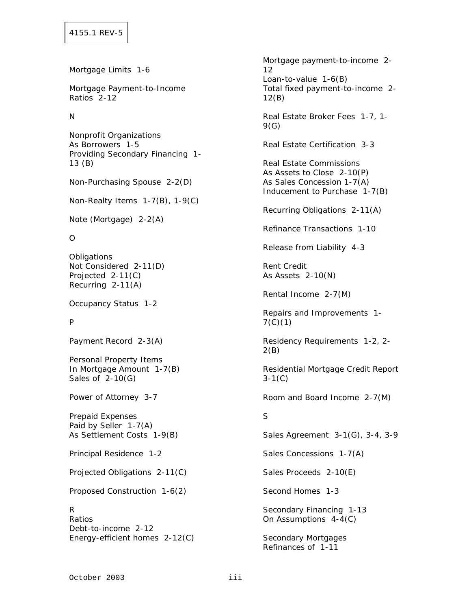Mortgage Limits 1-6

Mortgage Payment-to-Income Ratios 2-12

#### N

Nonprofit Organizations As Borrowers 1-5 Providing Secondary Financing 1- 13 (B)

Non-Purchasing Spouse 2-2(D)

Non-Realty Items 1-7(B), 1-9(C)

Note (Mortgage) 2-2(A)

#### O

**Obligations** Not Considered 2-11(D) Projected 2-11(C) Recurring 2-11(A)

Occupancy Status 1-2

## P

Payment Record 2-3(A)

Personal Property Items In Mortgage Amount 1-7(B) Sales of 2-10(G)

Power of Attorney 3-7

Prepaid Expenses Paid by Seller 1-7(A) As Settlement Costs 1-9(B)

Principal Residence 1-2

Projected Obligations 2-11(C)

Proposed Construction 1-6(2)

R Ratios Debt-to-income 2-12 Energy-efficient homes 2-12(C) Mortgage payment-to-income 2- 12 Loan-to-value 1-6(B) Total fixed payment-to-income 2- 12(B) Real Estate Broker Fees 1-7, 1- 9(G) Real Estate Certification 3-3 Real Estate Commissions As Assets to Close 2-10(P) As Sales Concession 1-7(A) Inducement to Purchase 1-7(B) Recurring Obligations 2-11(A) Refinance Transactions 1-10 Release from Liability 4-3 Rent Credit As Assets 2-10(N) Rental Income 2-7(M) Repairs and Improvements 1- 7(C)(1) Residency Requirements 1-2, 2- 2(B) Residential Mortgage Credit Report 3-1(C) Room and Board Income 2-7(M) S Sales Agreement 3-1(G), 3-4, 3-9 Sales Concessions 1-7(A) Sales Proceeds 2-10(E) Second Homes 1-3 Secondary Financing 1-13 On Assumptions 4-4(C) Secondary Mortgages Refinances of 1-11